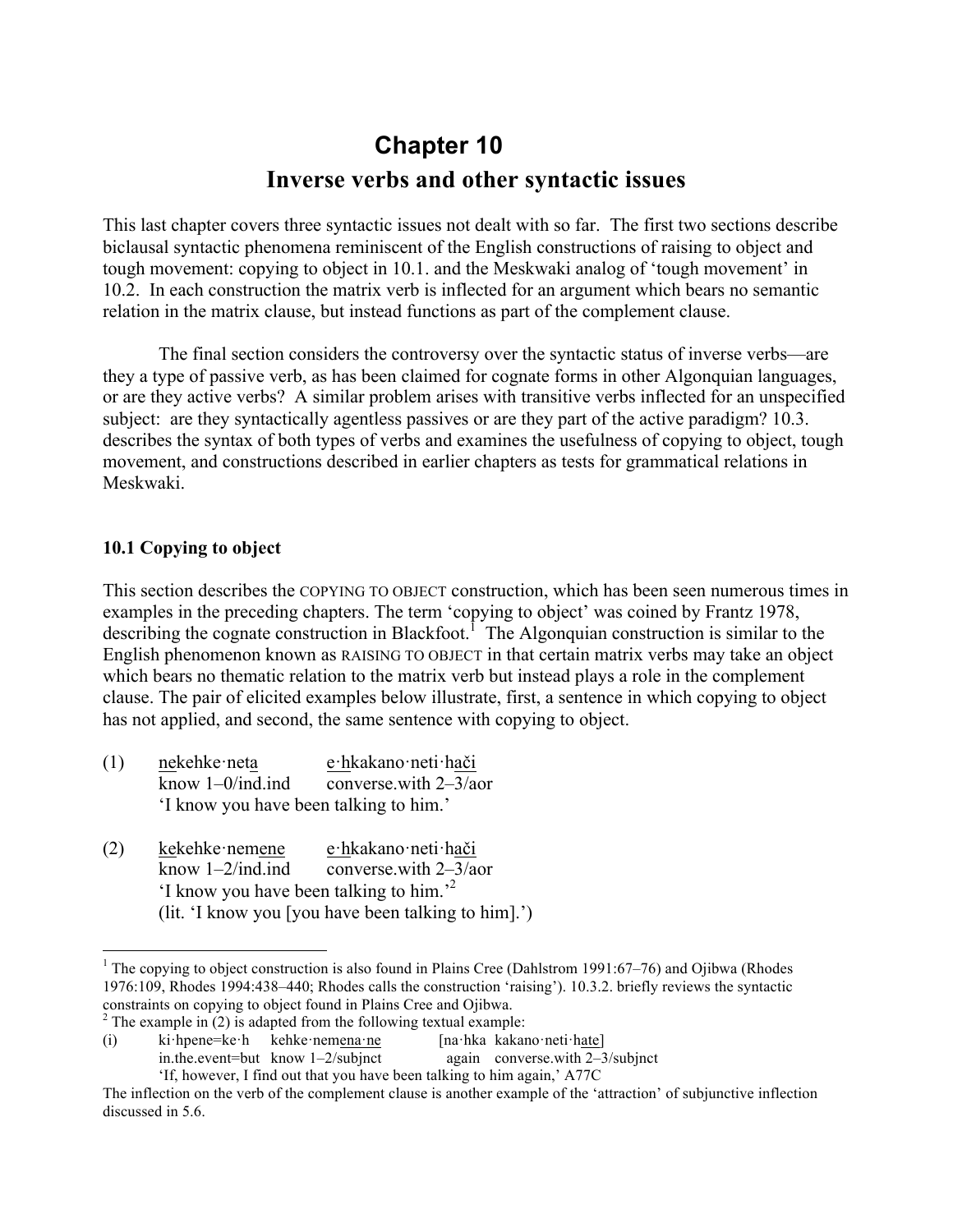# **Chapter 10 Inverse verbs and other syntactic issues**

This last chapter covers three syntactic issues not dealt with so far. The first two sections describe biclausal syntactic phenomena reminiscent of the English constructions of raising to object and tough movement: copying to object in 10.1. and the Meskwaki analog of 'tough movement' in 10.2. In each construction the matrix verb is inflected for an argument which bears no semantic relation in the matrix clause, but instead functions as part of the complement clause.

The final section considers the controversy over the syntactic status of inverse verbs—are they a type of passive verb, as has been claimed for cognate forms in other Algonquian languages, or are they active verbs? A similar problem arises with transitive verbs inflected for an unspecified subject: are they syntactically agentless passives or are they part of the active paradigm? 10.3. describes the syntax of both types of verbs and examines the usefulness of copying to object, tough movement, and constructions described in earlier chapters as tests for grammatical relations in Meskwaki.

#### **10.1 Copying to object**

This section describes the COPYING TO OBJECT construction, which has been seen numerous times in examples in the preceding chapters. The term 'copying to object' was coined by Frantz 1978, describing the cognate construction in Blackfoot.<sup>1</sup> The Algonquian construction is similar to the English phenomenon known as RAISING TO OBJECT in that certain matrix verbs may take an object which bears no thematic relation to the matrix verb but instead plays a role in the complement clause. The pair of elicited examples below illustrate, first, a sentence in which copying to object has not applied, and second, the same sentence with copying to object.

- (1) nekehke·neta e·hkakano·neti·hači know 1–0/ind.ind converse.with 2–3/aor 'I know you have been talking to him.'
- (2) kekehke·nemene e·hkakano·neti·hači know 1–2/ind.ind converse.with 2–3/aor 'I know you have been talking to him.' 2 (lit. 'I know you [you have been talking to him].')

<sup>&</sup>lt;sup>1</sup> The copying to object construction is also found in Plains Cree (Dahlstrom 1991:67–76) and Ojibwa (Rhodes 1976:109, Rhodes 1994:438–440; Rhodes calls the construction 'raising'). 10.3.2. briefly reviews the syntactic constraints on copying to object found in Plains Cree and Ojibwa.<br><sup>2</sup> The example in (2) is adapted from the following textual example:

<sup>(</sup>i) ki·hpene=ke·h kehke·nemena·ne [na·hka kakano·neti·hate] in.the.event=but know 1–2/subjnct again converse.with 2–3/subjnct

<sup>&#</sup>x27;If, however, I find out that you have been talking to him again,' A77C

The inflection on the verb of the complement clause is another example of the 'attraction' of subjunctive inflection discussed in 5.6.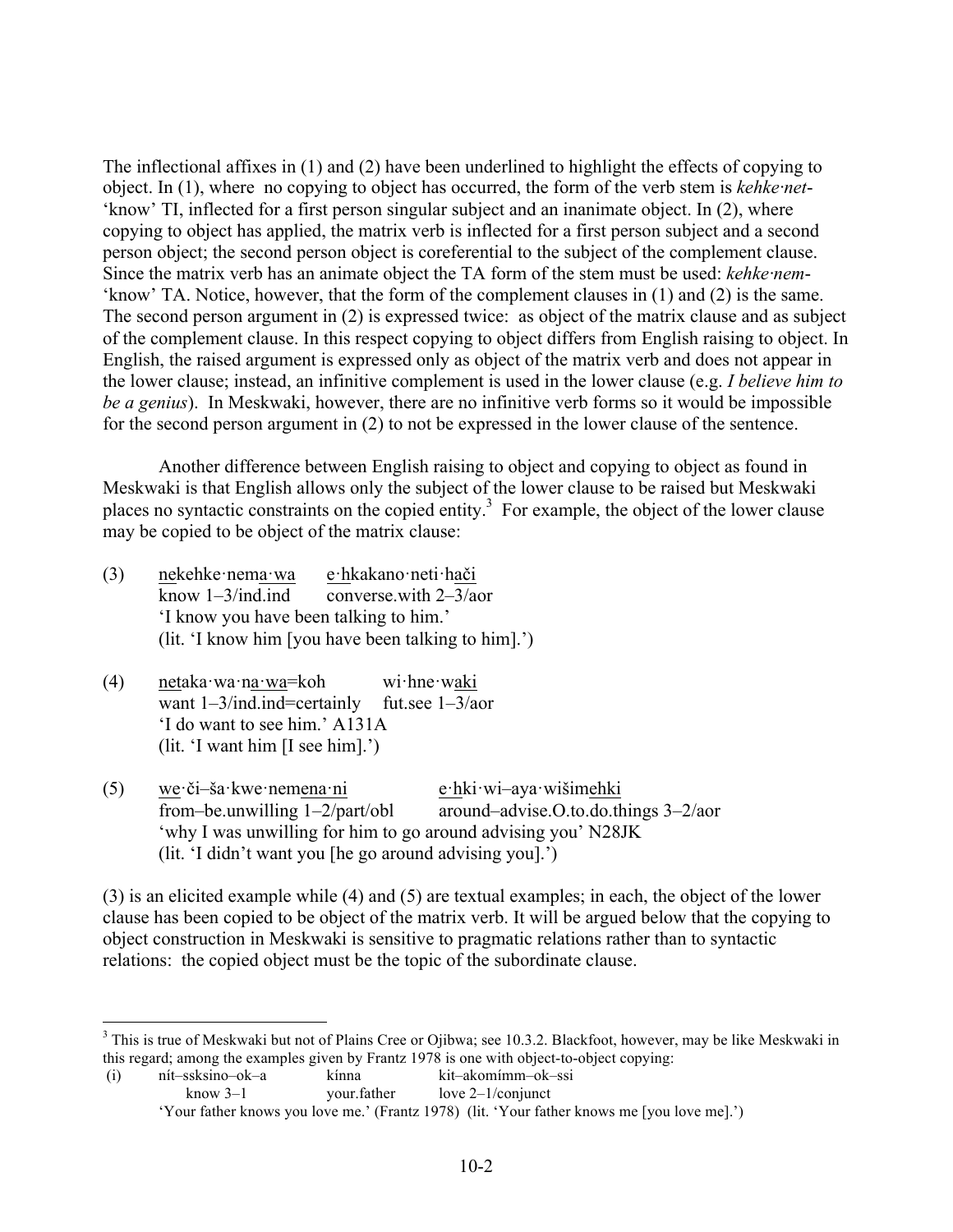The inflectional affixes in (1) and (2) have been underlined to highlight the effects of copying to object. In (1), where no copying to object has occurred, the form of the verb stem is *kehke·net*- 'know' TI, inflected for a first person singular subject and an inanimate object. In (2), where copying to object has applied, the matrix verb is inflected for a first person subject and a second person object; the second person object is coreferential to the subject of the complement clause. Since the matrix verb has an animate object the TA form of the stem must be used: *kehke·nem*- 'know' TA. Notice, however, that the form of the complement clauses in (1) and (2) is the same. The second person argument in (2) is expressed twice: as object of the matrix clause and as subject of the complement clause. In this respect copying to object differs from English raising to object. In English, the raised argument is expressed only as object of the matrix verb and does not appear in the lower clause; instead, an infinitive complement is used in the lower clause (e.g. *I believe him to be a genius*). In Meskwaki, however, there are no infinitive verb forms so it would be impossible for the second person argument in (2) to not be expressed in the lower clause of the sentence.

Another difference between English raising to object and copying to object as found in Meskwaki is that English allows only the subject of the lower clause to be raised but Meskwaki places no syntactic constraints on the copied entity.3 For example, the object of the lower clause may be copied to be object of the matrix clause:

- (3) nekehke·nema·wa e·hkakano·neti·hači know  $1-3$ /ind. ind converse with  $2-3/a$ or 'I know you have been talking to him.' (lit. 'I know him [you have been talking to him].')
- (4) netaka·wa·na·wa=koh wi·hne·waki want 1–3/ind.ind=certainly fut.see 1–3/aor 'I do want to see him.' A131A (lit. 'I want him [I see him].')
- (5) we·či–ša·kwe·nemena·ni e·hki·wi–aya·wišimehki from–be.unwilling 1–2/part/obl around–advise.O.to.do.things 3–2/aor 'why I was unwilling for him to go around advising you' N28JK (lit. 'I didn't want you [he go around advising you].')

(3) is an elicited example while (4) and (5) are textual examples; in each, the object of the lower clause has been copied to be object of the matrix verb. It will be argued below that the copying to object construction in Meskwaki is sensitive to pragmatic relations rather than to syntactic relations: the copied object must be the topic of the subordinate clause.

<sup>&</sup>lt;sup>3</sup> This is true of Meskwaki but not of Plains Cree or Ojibwa; see 10.3.2. Blackfoot, however, may be like Meskwaki in this regard; among the examples given by Frantz 1978 is one with object-to-object copying:

<sup>(</sup>i) nít–ssksino–ok–a kínna kit–akomímm–ok–ssi know  $3-1$  your.father love  $2-1$ /conjunct 'Your father knows you love me.' (Frantz 1978) (lit. 'Your father knows me [you love me].')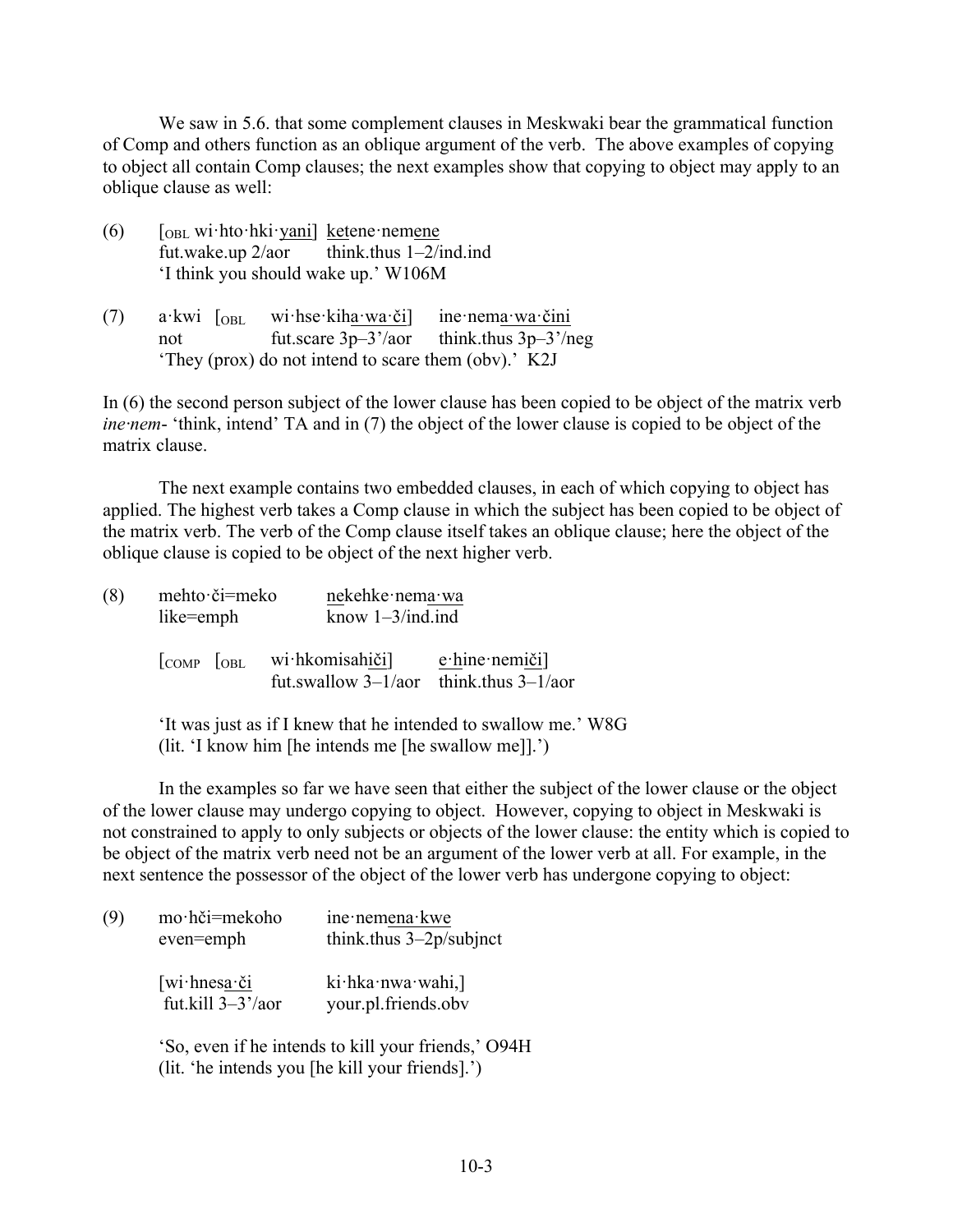We saw in 5.6. that some complement clauses in Meskwaki bear the grammatical function of Comp and others function as an oblique argument of the verb. The above examples of copying to object all contain Comp clauses; the next examples show that copying to object may apply to an oblique clause as well:

- (6)  $\left[ \right]$   $\left[ \right]$  [OBL wi·hto·hki·yani] ketene·nemene fut.wake.up  $2/a$ or think.thus  $1-2/ind$ .ind 'I think you should wake up.' W106M
- (7) a·kwi [OBL wi·hse·kiha·wa·či] ine·nema·wa·čini not fut.scare 3p–3'/aor think.thus 3p–3'/neg 'They (prox) do not intend to scare them (obv).' K2J

In (6) the second person subject of the lower clause has been copied to be object of the matrix verb *ine·nem*- 'think, intend' TA and in (7) the object of the lower clause is copied to be object of the matrix clause.

The next example contains two embedded clauses, in each of which copying to object has applied. The highest verb takes a Comp clause in which the subject has been copied to be object of the matrix verb. The verb of the Comp clause itself takes an oblique clause; here the object of the oblique clause is copied to be object of the next higher verb.

| (8) | like=emph                                        | mehto či=meko |                                                              | nekehke nema wa<br>know $1-3$ /ind.ind |  |  |
|-----|--------------------------------------------------|---------------|--------------------------------------------------------------|----------------------------------------|--|--|
|     | $\overline{\text{COMP}}$ $\overline{\text{OBL}}$ |               | wi hkomisahiči]<br>fut.swallow $3-1/a$ think thus $3-1/a$ or | $e$ ·hine·nemiči]                      |  |  |

'It was just as if I knew that he intended to swallow me.' W8G (lit. 'I know him [he intends me [he swallow me]].')

In the examples so far we have seen that either the subject of the lower clause or the object of the lower clause may undergo copying to object. However, copying to object in Meskwaki is not constrained to apply to only subjects or objects of the lower clause: the entity which is copied to be object of the matrix verb need not be an argument of the lower verb at all. For example, in the next sentence the possessor of the object of the lower verb has undergone copying to object:

| (9) | mo·hči=mekoho<br>even=emph                              | ine nemena kwe<br>think.thus $3-2p$ /subjnct        |  |  |
|-----|---------------------------------------------------------|-----------------------------------------------------|--|--|
|     | $[wi\cdot hnessa\cdot \check{c}i]$<br>fut.kill 3-3'/aor | $ki$ ·hka·nwa·wahi,]<br>your.pl.friends.obv         |  |  |
|     |                                                         | 'So, even if he intends to kill your friends,' O94H |  |  |

(lit. 'he intends you [he kill your friends].')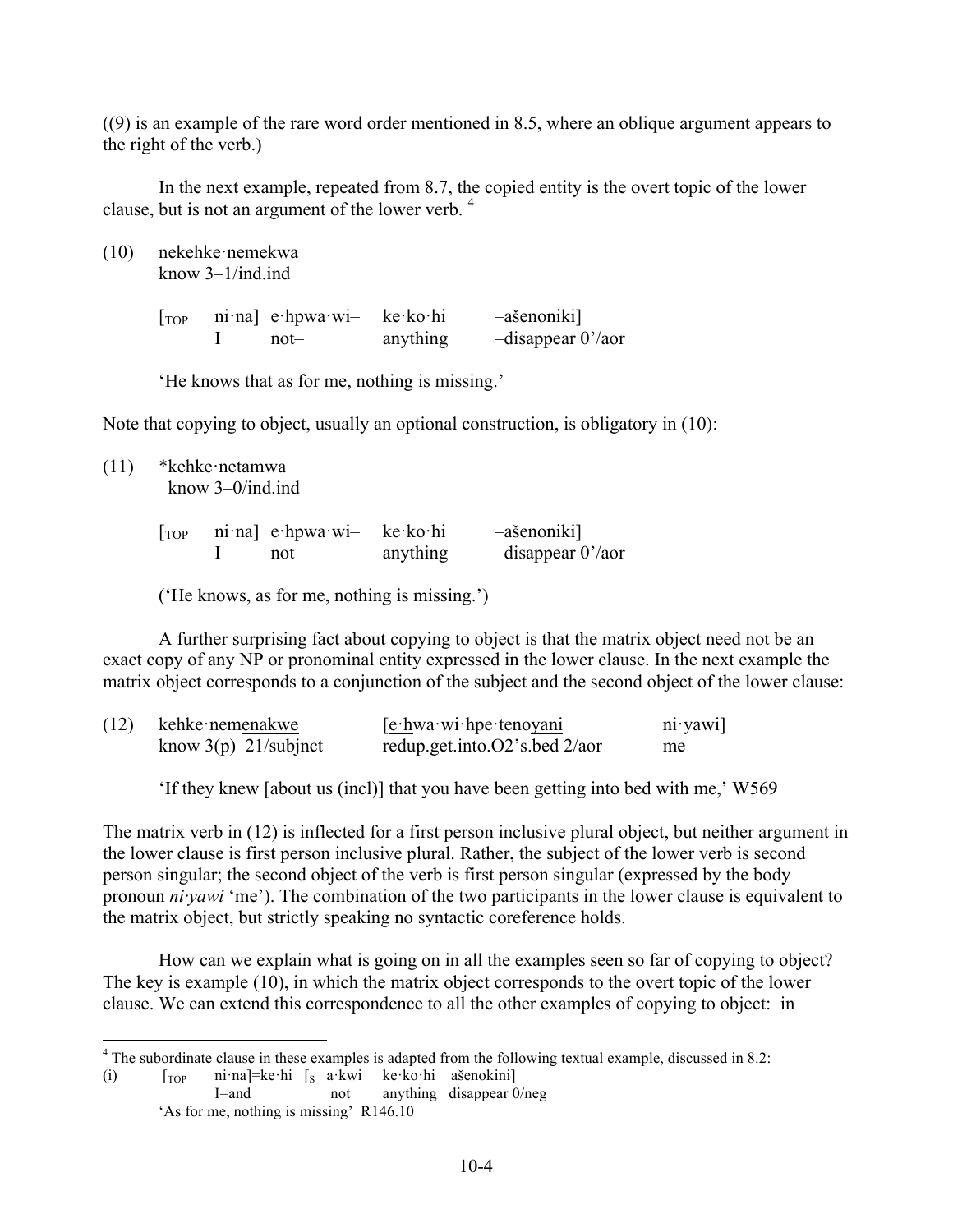((9) is an example of the rare word order mentioned in 8.5, where an oblique argument appears to the right of the verb.)

In the next example, repeated from 8.7, the copied entity is the overt topic of the lower clause, but is not an argument of the lower verb. <sup>4</sup>

(10) nekehke·nemekwa know 3–1/ind.ind

> [TOP ni·na] e·hpwa·wi– ke·ko·hi –ašenoniki] I not– anything –disappear 0'/aor

'He knows that as for me, nothing is missing.'

Note that copying to object, usually an optional construction, is obligatory in (10):

(11) \*kehke·netamwa know 3–0/ind.ind

| [ <sub>top</sub> ] | $ni$ na $\cdot$ e hpwa wi- ke ko hi |          | -ašenoniki]           |
|--------------------|-------------------------------------|----------|-----------------------|
|                    | not—                                | anything | $-disappear 0' / aor$ |

('He knows, as for me, nothing is missing.')

A further surprising fact about copying to object is that the matrix object need not be an exact copy of any NP or pronominal entity expressed in the lower clause. In the next example the matrix object corresponds to a conjunction of the subject and the second object of the lower clause:

| (12) | kehke nemenakwe         | $[ehwahwahine-tenoyani]$             | $ni$ yawi |
|------|-------------------------|--------------------------------------|-----------|
|      | know $3(p)$ –21/subjnct | redup.get.into. $O2$ 's.bed $2/a$ or | me        |

'If they knew [about us (incl)] that you have been getting into bed with me,' W569

The matrix verb in (12) is inflected for a first person inclusive plural object, but neither argument in the lower clause is first person inclusive plural. Rather, the subject of the lower verb is second person singular; the second object of the verb is first person singular (expressed by the body pronoun *ni·yawi* 'me'). The combination of the two participants in the lower clause is equivalent to the matrix object, but strictly speaking no syntactic coreference holds.

How can we explain what is going on in all the examples seen so far of copying to object? The key is example (10), in which the matrix object corresponds to the overt topic of the lower clause. We can extend this correspondence to all the other examples of copying to object: in

(i)  $\begin{bmatrix} \text{Top} & \text{ni}\cdot \text{na} \end{bmatrix} = \text{ke}\cdot \text{hi} \begin{bmatrix} \text{s} & \text{a}\cdot \text{k} \text{wi} & \text{ke}\cdot \text{k} \text{o}\cdot \text{hi} & \text{ašenokini} \end{bmatrix}$ <br>  $\begin{bmatrix} \text{F}-\text{and} & \text{no} \end{bmatrix}$ not anything disappear 0/neg 'As for me, nothing is missing' R146.10

<sup>&</sup>lt;sup>4</sup> The subordinate clause in these examples is adapted from the following textual example, discussed in 8.2: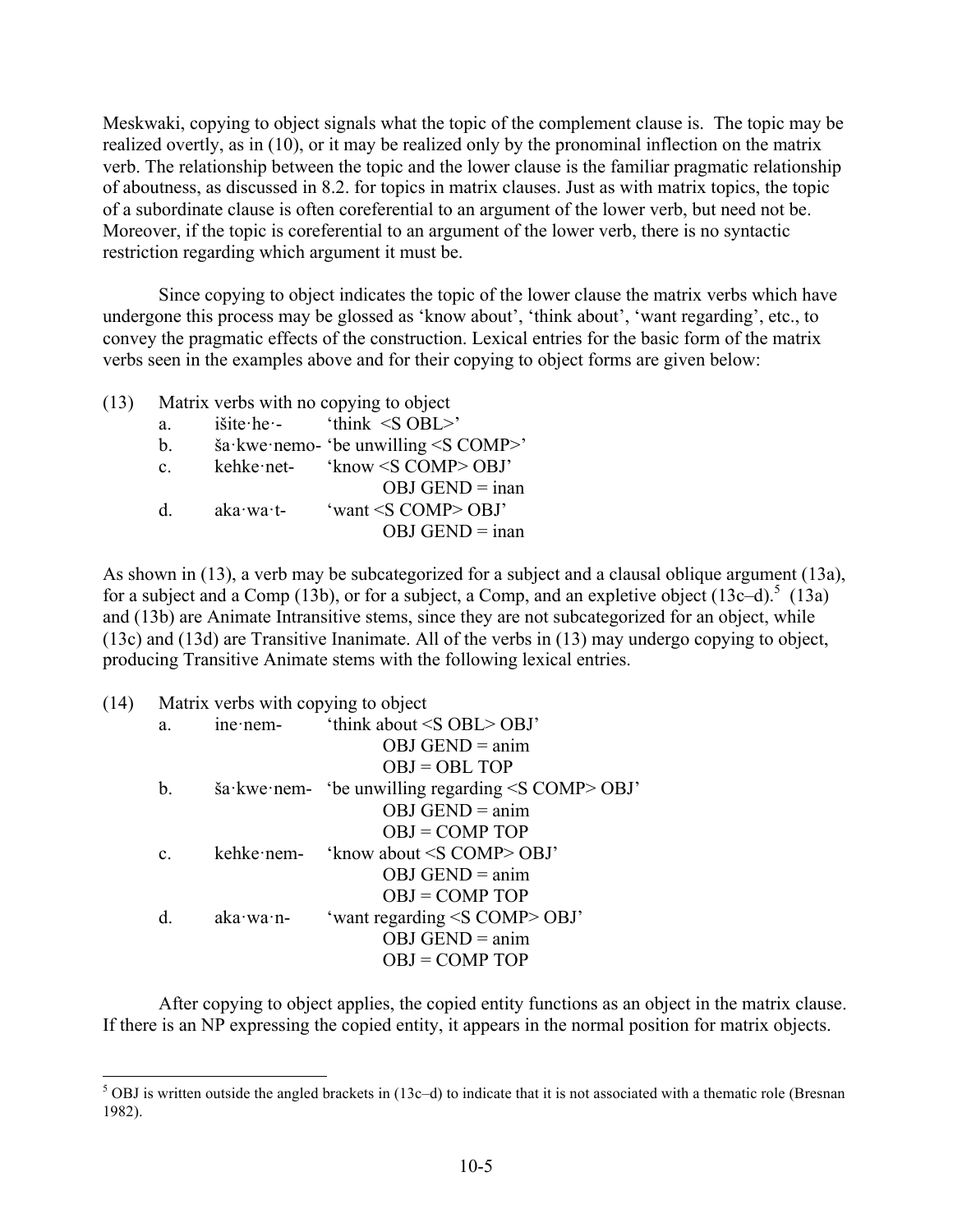Meskwaki, copying to object signals what the topic of the complement clause is. The topic may be realized overtly, as in (10), or it may be realized only by the pronominal inflection on the matrix verb. The relationship between the topic and the lower clause is the familiar pragmatic relationship of aboutness, as discussed in 8.2. for topics in matrix clauses. Just as with matrix topics, the topic of a subordinate clause is often coreferential to an argument of the lower verb, but need not be. Moreover, if the topic is coreferential to an argument of the lower verb, there is no syntactic restriction regarding which argument it must be.

Since copying to object indicates the topic of the lower clause the matrix verbs which have undergone this process may be glossed as 'know about', 'think about', 'want regarding', etc., to convey the pragmatic effects of the construction. Lexical entries for the basic form of the matrix verbs seen in the examples above and for their copying to object forms are given below:

- (13) Matrix verbs with no copying to object a. išite·he·- 'think <S OBL>'
	- b.  $\check{\text{s}}$ a·kwe·nemo- 'be unwilling <S COMP>'
	- c. kehke·net- 'know <S COMP> OBJ'

|           | $OBJ$ GEND = inan            |
|-----------|------------------------------|
| aka∙wa∙t- | 'want $\leq$ S COMP $>$ OBJ' |
|           | $OBJ$ GEND = inan            |

As shown in (13), a verb may be subcategorized for a subject and a clausal oblique argument (13a), for a subject and a Comp (13b), or for a subject, a Comp, and an expletive object (13c–d).<sup>5</sup> (13a) and (13b) are Animate Intransitive stems, since they are not subcategorized for an object, while (13c) and (13d) are Transitive Inanimate. All of the verbs in (13) may undergo copying to object, producing Transitive Animate stems with the following lexical entries.

| (14) |                | Matrix verbs with copying to object |                                                                        |
|------|----------------|-------------------------------------|------------------------------------------------------------------------|
|      | a.             |                                     | ine nem-<br>'think about $\leq S$ OBL $>$ OBJ'                         |
|      |                |                                     | $OBJ$ GEND = anim                                                      |
|      |                |                                     | $OBJ = OBL TOP$                                                        |
|      | $b_{\cdot}$    |                                     | $\frac{1}{2}$ sa kwe nem- 'be unwilling regarding $\leq$ COMP $>$ OBJ' |
|      |                |                                     | $OBJ$ GEND = anim                                                      |
|      |                |                                     | $OBJ = COMP TOP$                                                       |
|      | $\mathbf{c}$ . |                                     | kehke nem- 'know about $\leq S$ COMP> OBJ'                             |
|      |                |                                     | $OBJ$ GEND = anim                                                      |
|      |                |                                     | $OBJ = COMP TOP$                                                       |
|      | d.             | $aka$ ·wa·n-                        | 'want regarding <s comp=""> OBJ'</s>                                   |
|      |                |                                     | $OBJ$ GEND = anim                                                      |
|      |                |                                     | $OBJ = COMP TOP$                                                       |
|      |                |                                     |                                                                        |

After copying to object applies, the copied entity functions as an object in the matrix clause. If there is an NP expressing the copied entity, it appears in the normal position for matrix objects.

 $5$  OBJ is written outside the angled brackets in (13c–d) to indicate that it is not associated with a thematic role (Bresnan 1982).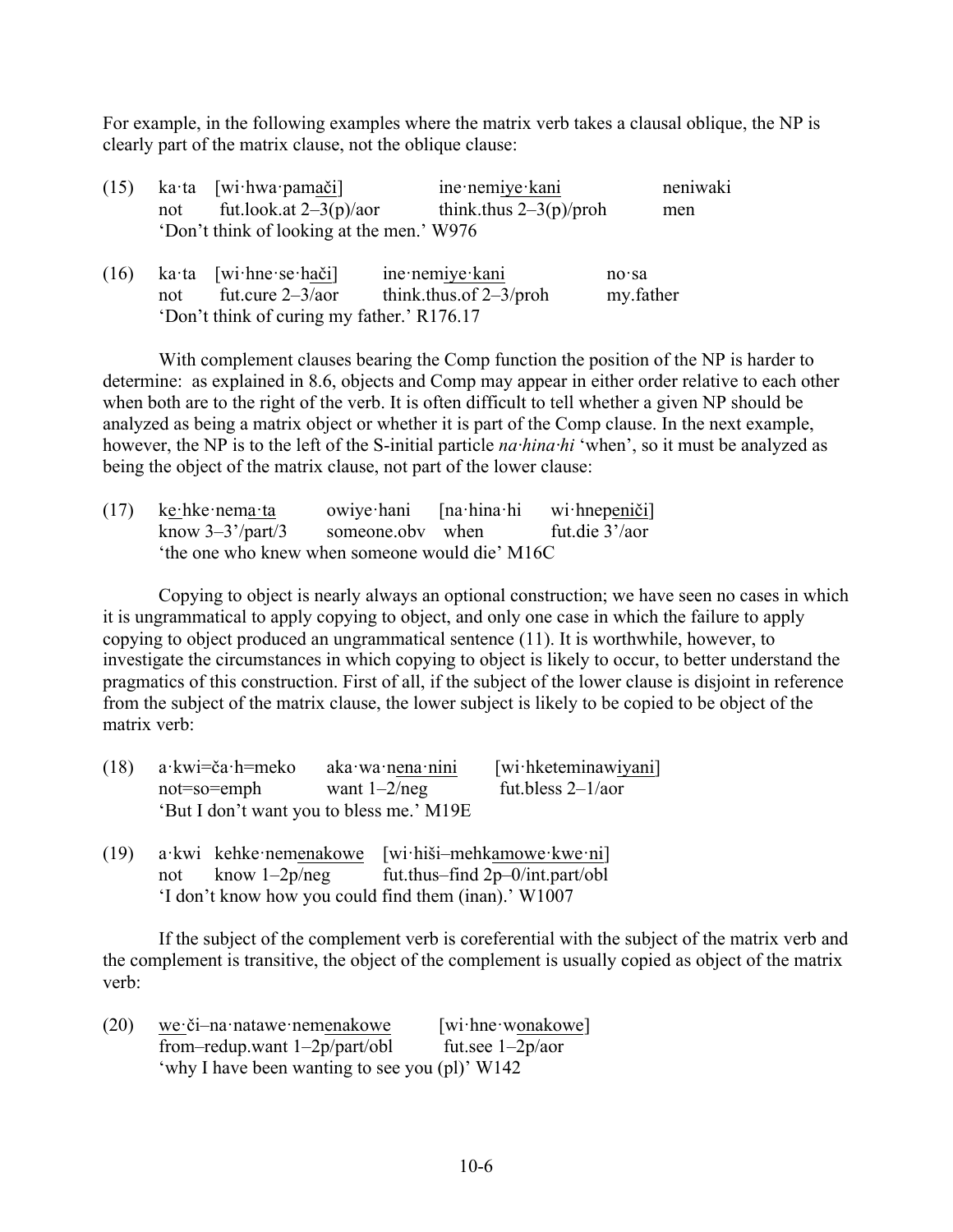For example, in the following examples where the matrix verb takes a clausal oblique, the NP is clearly part of the matrix clause, not the oblique clause:

| (15) |     | ka ta [wi hwa pamači]                      | ine nemiye kani           | neniwaki  |
|------|-----|--------------------------------------------|---------------------------|-----------|
|      | not | fut.look.at $2-3(p)/a$ or                  | think.thus $2-3(p)/p$ roh | men       |
|      |     | 'Don't think of looking at the men.' W976  |                           |           |
| (16) |     | $k$ a·ta [wi·hne·se·hači]                  | ine nemiye kani           | $no$ sa   |
|      | not | fut.cure $2 - 3/a$ or                      | think.thus.of $2-3$ /proh | my.father |
|      |     | 'Don't think of curing my father.' R176.17 |                           |           |

With complement clauses bearing the Comp function the position of the NP is harder to determine: as explained in 8.6, objects and Comp may appear in either order relative to each other when both are to the right of the verb. It is often difficult to tell whether a given NP should be analyzed as being a matrix object or whether it is part of the Comp clause. In the next example, however, the NP is to the left of the S-initial particle *na·hina·hi* 'when', so it must be analyzed as being the object of the matrix clause, not part of the lower clause:

| (17) | ke∙hke∙nema∙ta                                |                  | owiye hani [na hina hi wi hnepeniči] |
|------|-----------------------------------------------|------------------|--------------------------------------|
|      | know $3-3^{\prime}/part/3$                    | someone.oby when | fut.die 3'/aor                       |
|      | the one who knew when someone would die' M16C |                  |                                      |

Copying to object is nearly always an optional construction; we have seen no cases in which it is ungrammatical to apply copying to object, and only one case in which the failure to apply copying to object produced an ungrammatical sentence (11). It is worthwhile, however, to investigate the circumstances in which copying to object is likely to occur, to better understand the pragmatics of this construction. First of all, if the subject of the lower clause is disjoint in reference from the subject of the matrix clause, the lower subject is likely to be copied to be object of the matrix verb:

| $(18)$ a kwi=ča h=meko | aka wa nena nini                         | [wi hketeminawiyani] |
|------------------------|------------------------------------------|----------------------|
| not=so=emph            | want $1-2$ /neg                          | fut bless $2-1/a$    |
|                        | 'But I don't want you to bless me.' M19E |                      |

(19) a·kwi kehke·nemenakowe [wi·hiši–mehkamowe·kwe·ni] not know 1–2p/neg fut.thus–find 2p–0/int.part/obl 'I don't know how you could find them (inan).' W1007

If the subject of the complement verb is coreferential with the subject of the matrix verb and the complement is transitive, the object of the complement is usually copied as object of the matrix verb:

(20) we·či–na·natawe·nemenakowe [wi·hne·wonakowe] from–redup.want  $1-2p/part/obl$  fut.see  $1-2p/aor$ 'why I have been wanting to see you (pl)' W142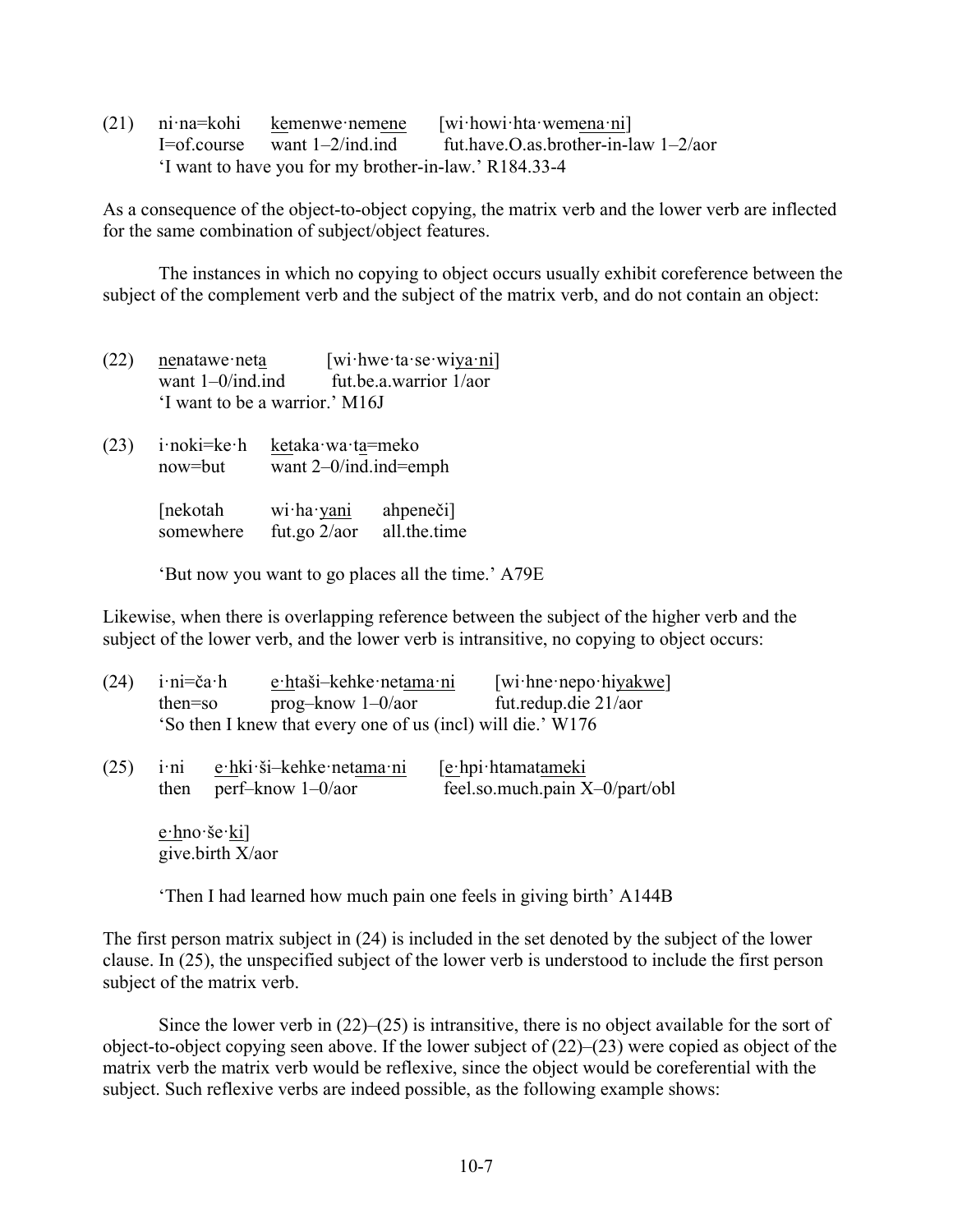(21) ni·na=kohi kemenwe·nemene [wi·howi·hta·wemena·ni] I=of.course want  $1-2$ /ind.ind fut.have.O.as.brother-in-law  $1-2$ /aor 'I want to have you for my brother-in-law.' R184.33-4

As a consequence of the object-to-object copying, the matrix verb and the lower verb are inflected for the same combination of subject/object features.

The instances in which no copying to object occurs usually exhibit coreference between the subject of the complement verb and the subject of the matrix verb, and do not contain an object:

- (22) nenatawe·neta [wi·hwe·ta·se·wiya·ni] want 1–0/ind.ind fut.be.a.warrior 1/aor 'I want to be a warrior.' M16J
- (23) i·noki=ke·h ketaka·wa·ta=meko now=but want 2–0/ind.ind=emph

| [nekotah  | wi·ha·yani      | ahpeneči]    |
|-----------|-----------------|--------------|
| somewhere | fut.go $2/a$ or | all.the.time |

'But now you want to go places all the time.' A79E

Likewise, when there is overlapping reference between the subject of the higher verb and the subject of the lower verb, and the lower verb is intransitive, no copying to object occurs:

| (24) | $i \cdot ni = \check{c}a \cdot h$<br>then=so |                                         | e htaši-kehke netama ni<br>$prog-know 1-0/aor$              | $[\text{wi} \cdot \text{hne} \cdot \text{nepo} \cdot \text{hiyakwe}]$<br>fut.redup.die 21/aor |
|------|----------------------------------------------|-----------------------------------------|-------------------------------------------------------------|-----------------------------------------------------------------------------------------------|
|      |                                              |                                         | 'So then I knew that every one of us (incl) will die.' W176 |                                                                                               |
| (25) | $i \cdot ni$<br>then                         |                                         | e hki ši-kehke netama ni<br>perf-know $1 - 0$ /aor          | [e·hpi·htamatameki<br>feel.so.much.pain X-0/part/obl                                          |
|      |                                              | $e$ ·hno·še· $k$ i]<br>give.birth X/aor |                                                             |                                                                                               |

'Then I had learned how much pain one feels in giving birth' A144B

The first person matrix subject in (24) is included in the set denoted by the subject of the lower clause. In (25), the unspecified subject of the lower verb is understood to include the first person subject of the matrix verb.

Since the lower verb in (22)–(25) is intransitive, there is no object available for the sort of object-to-object copying seen above. If the lower subject of (22)–(23) were copied as object of the matrix verb the matrix verb would be reflexive, since the object would be coreferential with the subject. Such reflexive verbs are indeed possible, as the following example shows: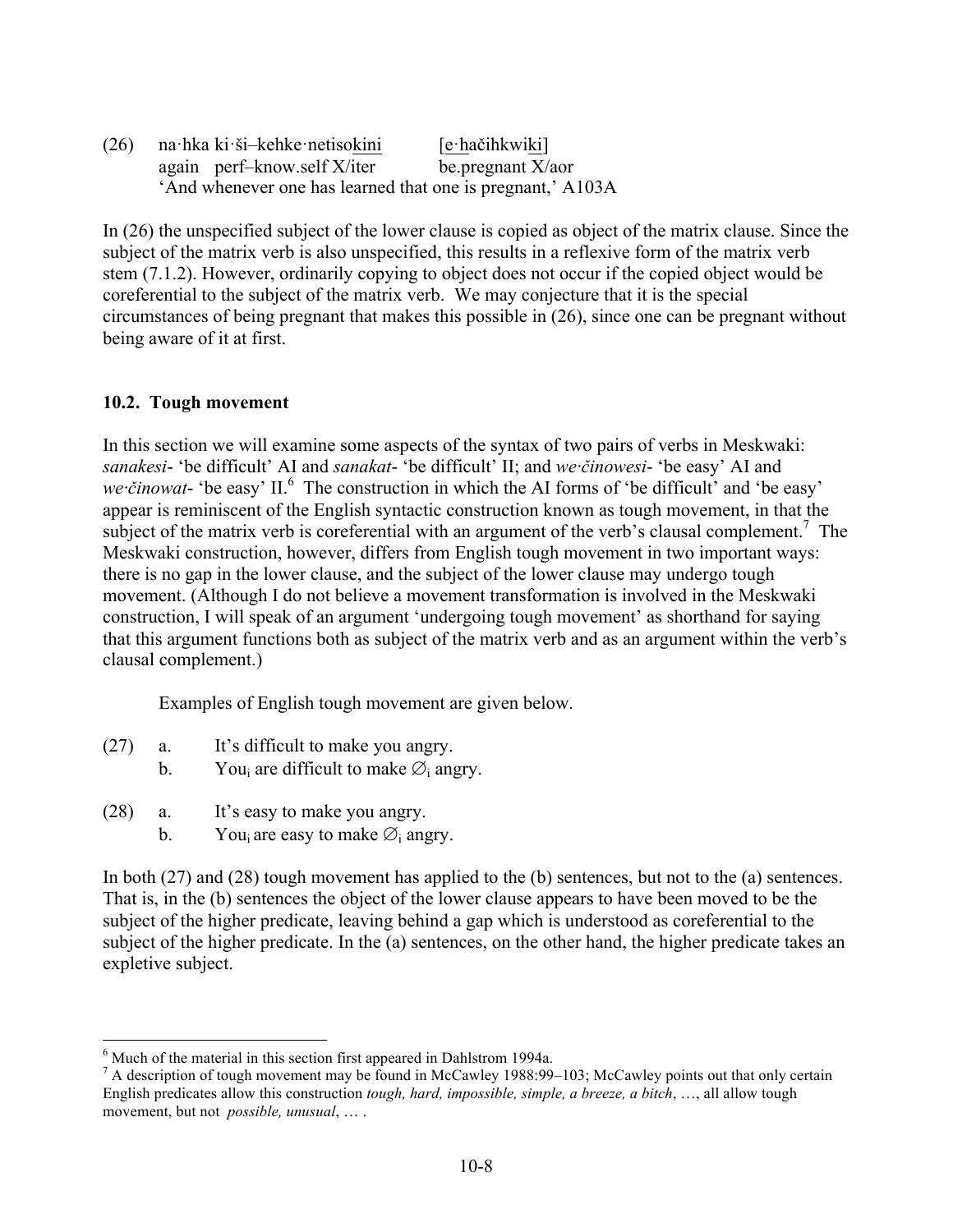(26) na·hka ki·ši–kehke·netisokini [e·hačihkwiki] again perf–know.self X/iter be.pregnant X/aor 'And whenever one has learned that one is pregnant,' A103A

In (26) the unspecified subject of the lower clause is copied as object of the matrix clause. Since the subject of the matrix verb is also unspecified, this results in a reflexive form of the matrix verb stem (7.1.2). However, ordinarily copying to object does not occur if the copied object would be coreferential to the subject of the matrix verb. We may conjecture that it is the special circumstances of being pregnant that makes this possible in (26), since one can be pregnant without being aware of it at first.

## **10.2. Tough movement**

In this section we will examine some aspects of the syntax of two pairs of verbs in Meskwaki: *sanakesi*- 'be difficult' AI and *sanakat*- 'be difficult' II; and *we·činowesi*- 'be easy' AI and *we činowat*- 'be easy' II.<sup>6</sup> The construction in which the AI forms of 'be difficult' and 'be easy' appear is reminiscent of the English syntactic construction known as tough movement, in that the subject of the matrix verb is coreferential with an argument of the verb's clausal complement.<sup>7</sup> The Meskwaki construction, however, differs from English tough movement in two important ways: there is no gap in the lower clause, and the subject of the lower clause may undergo tough movement. (Although I do not believe a movement transformation is involved in the Meskwaki construction, I will speak of an argument 'undergoing tough movement' as shorthand for saying that this argument functions both as subject of the matrix verb and as an argument within the verb's clausal complement.)

Examples of English tough movement are given below.

- (27) a. It's difficult to make you angry.
	- b. You<sub>i</sub> are difficult to make  $\varnothing$ <sub>i</sub> angry.
- (28) a. It's easy to make you angry.
	- b. You<sub>i</sub> are easy to make  $\varnothing$ <sub>i</sub> angry.

In both (27) and (28) tough movement has applied to the (b) sentences, but not to the (a) sentences. That is, in the (b) sentences the object of the lower clause appears to have been moved to be the subject of the higher predicate, leaving behind a gap which is understood as coreferential to the subject of the higher predicate. In the (a) sentences, on the other hand, the higher predicate takes an expletive subject.

<sup>&</sup>lt;sup>6</sup> Much of the material in this section first appeared in Dahlstrom 1994a.<br><sup>7</sup> A description of tough movement may be found in McCawley 1988:99–103; McCawley points out that only certain English predicates allow this construction *tough, hard, impossible, simple, a breeze, a bitch*, …, all allow tough movement, but not *possible, unusual*, … .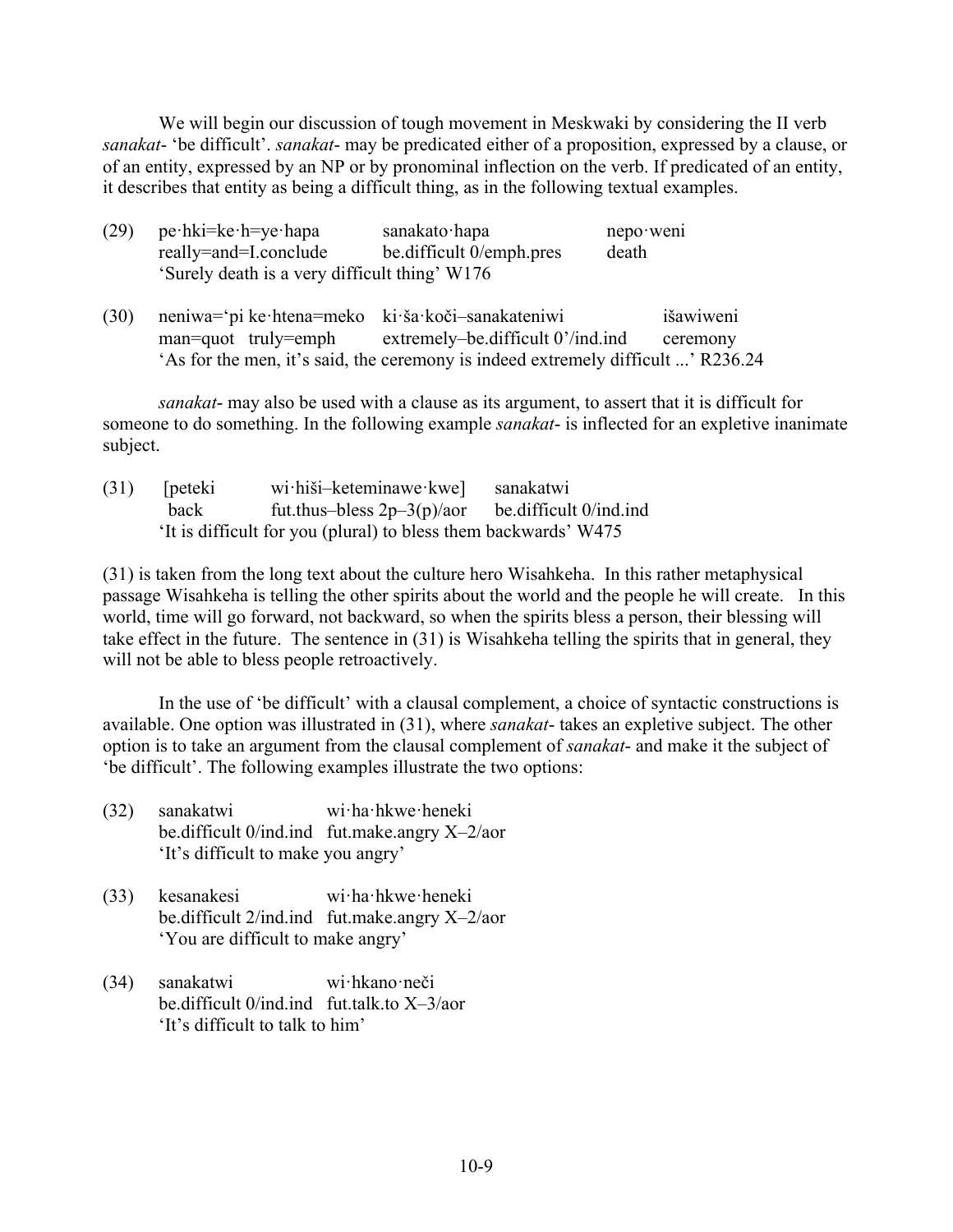We will begin our discussion of tough movement in Meskwaki by considering the II verb *sanakat*- 'be difficult'. *sanakat*- may be predicated either of a proposition, expressed by a clause, or of an entity, expressed by an NP or by pronominal inflection on the verb. If predicated of an entity, it describes that entity as being a difficult thing, as in the following textual examples.

| (29) | $pe\cdot hki = ke\cdot h = ye\cdot hapa$      | sanakato hapa            | $nepo$ went |
|------|-----------------------------------------------|--------------------------|-------------|
|      | really=and=I.conclude                         | be difficult 0/emph.pres | death       |
|      | 'Surely death is a very difficult thing' W176 |                          |             |

(30) neniwa='pi ke·htena=meko ki·ša·koči–sanakateniwi išawiweni man=quot truly=emph extremely–be.difficult 0'/ind.ind ceremony 'As for the men, it's said, the ceremony is indeed extremely difficult ...' R236.24

*sanakat*- may also be used with a clause as its argument, to assert that it is difficult for someone to do something. In the following example *sanakat*- is inflected for an expletive inanimate subject.

| (31) | <i>s</i> [peteki | wi·hiši-keteminawe·kwe] sanakatwi                              |  |
|------|------------------|----------------------------------------------------------------|--|
|      | back             | fut.thus-bless $2p-3(p)/a$ be.difficult 0/ind.ind              |  |
|      |                  | It is difficult for you (plural) to bless them backwards' W475 |  |

(31) is taken from the long text about the culture hero Wisahkeha. In this rather metaphysical passage Wisahkeha is telling the other spirits about the world and the people he will create. In this world, time will go forward, not backward, so when the spirits bless a person, their blessing will take effect in the future. The sentence in (31) is Wisahkeha telling the spirits that in general, they will not be able to bless people retroactively.

In the use of 'be difficult' with a clausal complement, a choice of syntactic constructions is available. One option was illustrated in (31), where *sanakat*- takes an expletive subject. The other option is to take an argument from the clausal complement of *sanakat*- and make it the subject of 'be difficult'. The following examples illustrate the two options:

- (32) sanakatwi wi·ha·hkwe·heneki be.difficult 0/ind.ind fut.make.angry X–2/aor 'It's difficult to make you angry'
- (33) kesanakesi wi·ha·hkwe·heneki be.difficult 2/ind.ind fut.make.angry X–2/aor 'You are difficult to make angry'
- (34) sanakatwi wi·hkano·neči be.difficult 0/ind.ind fut.talk.to X–3/aor 'It's difficult to talk to him'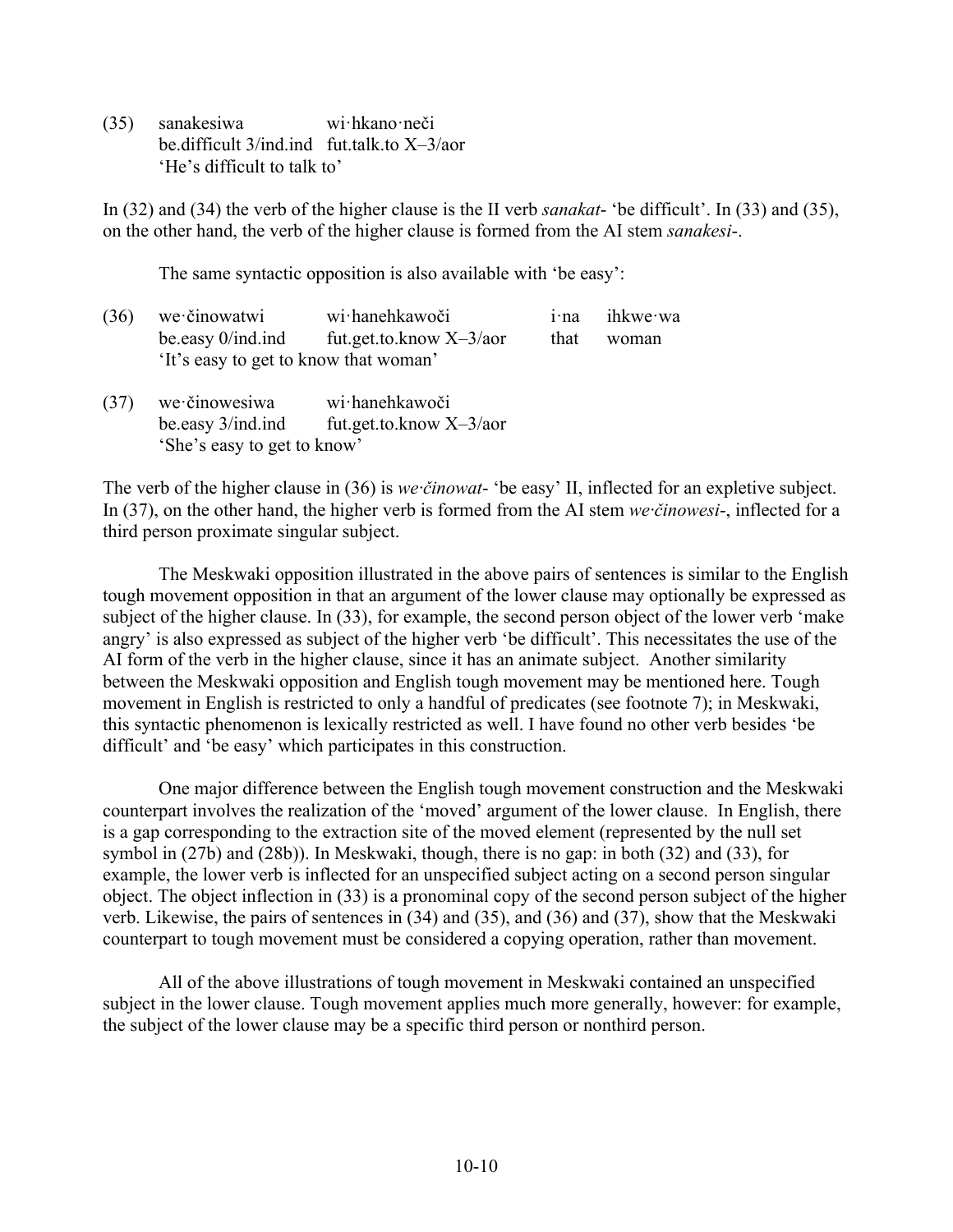(35) sanakesiwa wi·hkano·neči be.difficult 3/ind.ind fut.talk.to X–3/aor 'He's difficult to talk to'

In (32) and (34) the verb of the higher clause is the II verb *sanakat*- 'be difficult'. In (33) and (35), on the other hand, the verb of the higher clause is formed from the AI stem *sanakesi*-.

The same syntactic opposition is also available with 'be easy':

- (36) we·činowatwi wi·hanehkawoči i·na ihkwe·wa be.easy  $0$ /ind.ind fut.get.to.know  $X-3/a$  or that woman 'It's easy to get to know that woman'
- (37) we·činowesiwa wi·hanehkawoči be.easy 3/ind.ind fut.get.to.know X–3/aor 'She's easy to get to know'

The verb of the higher clause in (36) is *we·činowat*- 'be easy' II, inflected for an expletive subject. In (37), on the other hand, the higher verb is formed from the AI stem *we·činowesi*-, inflected for a third person proximate singular subject.

The Meskwaki opposition illustrated in the above pairs of sentences is similar to the English tough movement opposition in that an argument of the lower clause may optionally be expressed as subject of the higher clause. In (33), for example, the second person object of the lower verb 'make angry' is also expressed as subject of the higher verb 'be difficult'. This necessitates the use of the AI form of the verb in the higher clause, since it has an animate subject. Another similarity between the Meskwaki opposition and English tough movement may be mentioned here. Tough movement in English is restricted to only a handful of predicates (see footnote 7); in Meskwaki, this syntactic phenomenon is lexically restricted as well. I have found no other verb besides 'be difficult' and 'be easy' which participates in this construction.

One major difference between the English tough movement construction and the Meskwaki counterpart involves the realization of the 'moved' argument of the lower clause. In English, there is a gap corresponding to the extraction site of the moved element (represented by the null set symbol in (27b) and (28b)). In Meskwaki, though, there is no gap: in both (32) and (33), for example, the lower verb is inflected for an unspecified subject acting on a second person singular object. The object inflection in (33) is a pronominal copy of the second person subject of the higher verb. Likewise, the pairs of sentences in (34) and (35), and (36) and (37), show that the Meskwaki counterpart to tough movement must be considered a copying operation, rather than movement.

All of the above illustrations of tough movement in Meskwaki contained an unspecified subject in the lower clause. Tough movement applies much more generally, however: for example, the subject of the lower clause may be a specific third person or nonthird person.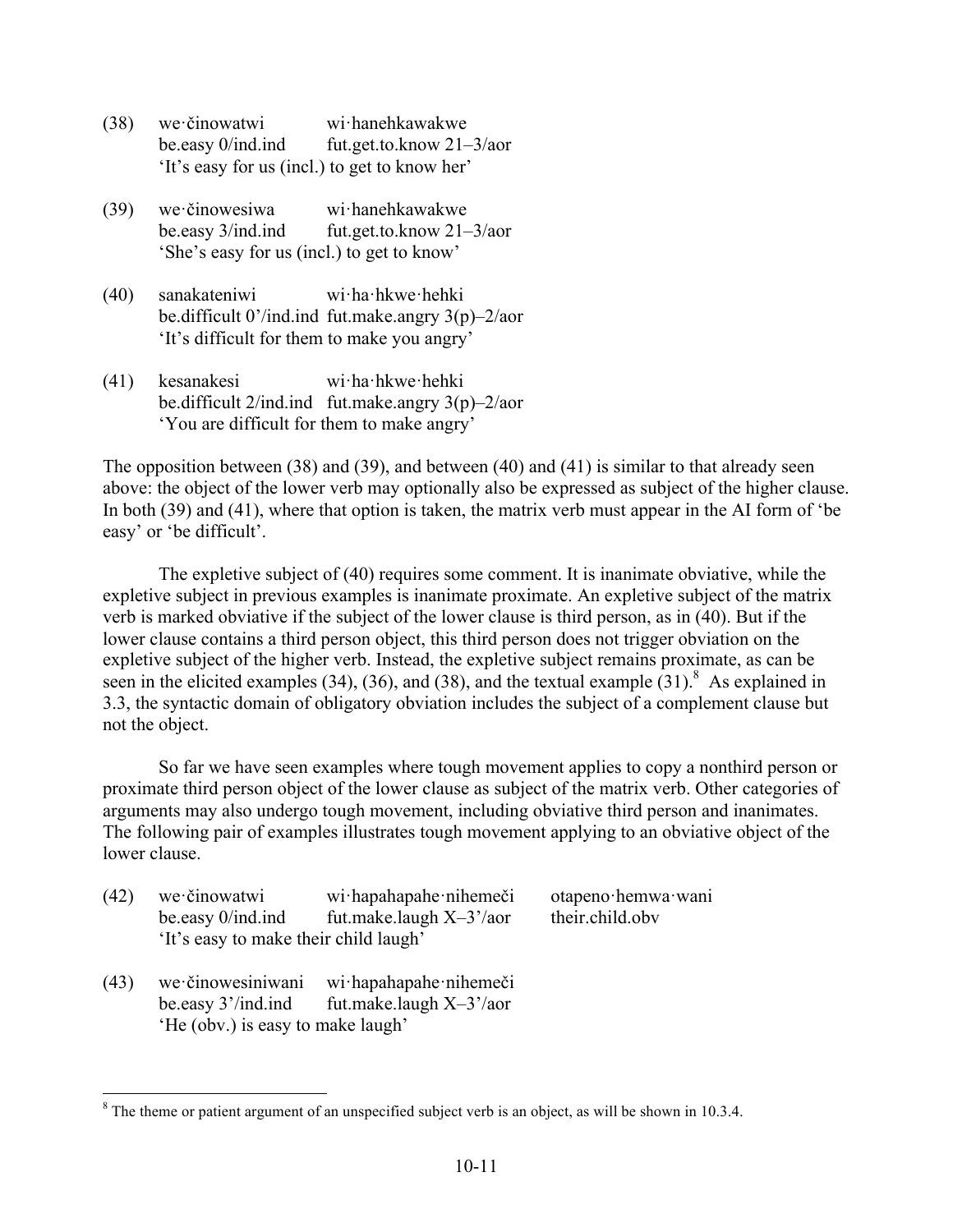- (38) we·činowatwi wi·hanehkawakwe be.easy 0/ind.ind fut.get.to.know 21–3/aor 'It's easy for us (incl.) to get to know her'
- (39) we·činowesiwa wi·hanehkawakwe be.easy 3/ind.ind fut.get.to.know 21–3/aor 'She's easy for us (incl.) to get to know'
- (40) sanakateniwi wi·ha·hkwe·hehki be.difficult 0'/ind.ind fut.make.angry 3(p)–2/aor 'It's difficult for them to make you angry'
- (41) kesanakesi wi·ha·hkwe·hehki be.difficult 2/ind.ind fut.make.angry 3(p)–2/aor 'You are difficult for them to make angry'

The opposition between (38) and (39), and between (40) and (41) is similar to that already seen above: the object of the lower verb may optionally also be expressed as subject of the higher clause. In both (39) and (41), where that option is taken, the matrix verb must appear in the AI form of 'be easy' or 'be difficult'.

The expletive subject of (40) requires some comment. It is inanimate obviative, while the expletive subject in previous examples is inanimate proximate. An expletive subject of the matrix verb is marked obviative if the subject of the lower clause is third person, as in (40). But if the lower clause contains a third person object, this third person does not trigger obviation on the expletive subject of the higher verb. Instead, the expletive subject remains proximate, as can be seen in the elicited examples (34), (36), and (38), and the textual example  $(31)$ .<sup>8</sup> As explained in 3.3, the syntactic domain of obligatory obviation includes the subject of a complement clause but not the object.

So far we have seen examples where tough movement applies to copy a nonthird person or proximate third person object of the lower clause as subject of the matrix verb. Other categories of arguments may also undergo tough movement, including obviative third person and inanimates. The following pair of examples illustrates tough movement applying to an obviative object of the lower clause.

| (42) | we činowatwi<br>be easy 0/ind.ind<br>'It's easy to make their child laugh'   | wi hapahapahe nihemeči<br>fut.make.laugh $X-3'/a$ or | otapeno hemwa wani<br>their.child.obv |
|------|------------------------------------------------------------------------------|------------------------------------------------------|---------------------------------------|
| (43) | we činowesiniwani<br>be easy 3'/ind.ind<br>'He (obv.) is easy to make laugh' | wi hapahapahe nihemeči<br>fut.make.laugh $X-3'/a$ or |                                       |

 $8$  The theme or patient argument of an unspecified subject verb is an object, as will be shown in 10.3.4.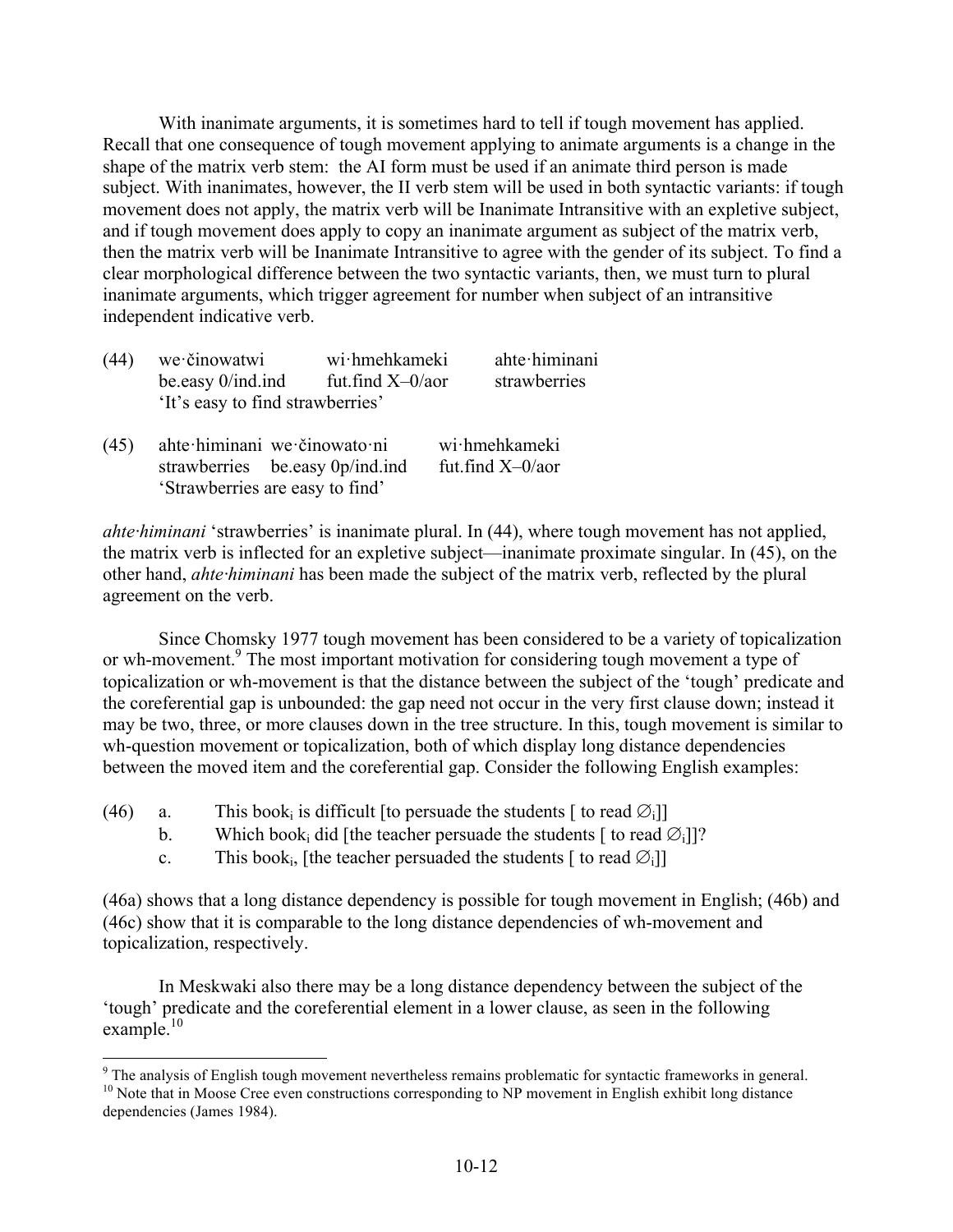With inanimate arguments, it is sometimes hard to tell if tough movement has applied. Recall that one consequence of tough movement applying to animate arguments is a change in the shape of the matrix verb stem: the AI form must be used if an animate third person is made subject. With inanimates, however, the II verb stem will be used in both syntactic variants: if tough movement does not apply, the matrix verb will be Inanimate Intransitive with an expletive subject, and if tough movement does apply to copy an inanimate argument as subject of the matrix verb, then the matrix verb will be Inanimate Intransitive to agree with the gender of its subject. To find a clear morphological difference between the two syntactic variants, then, we must turn to plural inanimate arguments, which trigger agreement for number when subject of an intransitive independent indicative verb.

| (44) | we činowatwi                     | wi hmehkameki       | ahte himinani |
|------|----------------------------------|---------------------|---------------|
|      | be easy $0$ /ind.ind             | fut.find $X=0/a$ or | strawberries  |
|      | 'It's easy to find strawberries' |                     |               |
|      |                                  |                     |               |

(45) ahte·himinani we·činowato·ni wi·hmehkameki strawberries be.easy 0p/ind.ind fut.find X–0/aor 'Strawberries are easy to find'

*ahte·himinani* 'strawberries' is inanimate plural. In (44), where tough movement has not applied, the matrix verb is inflected for an expletive subject—inanimate proximate singular. In (45), on the other hand, *ahte·himinani* has been made the subject of the matrix verb, reflected by the plural agreement on the verb.

Since Chomsky 1977 tough movement has been considered to be a variety of topicalization or wh-movement.<sup>9</sup> The most important motivation for considering tough movement a type of topicalization or wh-movement is that the distance between the subject of the 'tough' predicate and the coreferential gap is unbounded: the gap need not occur in the very first clause down; instead it may be two, three, or more clauses down in the tree structure. In this, tough movement is similar to wh-question movement or topicalization, both of which display long distance dependencies between the moved item and the coreferential gap. Consider the following English examples:

- (46) a. This book<sub>i</sub> is difficult [to persuade the students  $\lceil \text{ to read } \emptyset \rceil$ ]
	- b. Which book<sub>i</sub> did [the teacher persuade the students [ to read  $\varnothing$ <sub>i</sub>]]?
	- c. This book<sub>i</sub>, [the teacher persuaded the students  $\lceil$  to read  $\emptyset$ <sub>i</sub>]]

(46a) shows that a long distance dependency is possible for tough movement in English; (46b) and (46c) show that it is comparable to the long distance dependencies of wh-movement and topicalization, respectively.

In Meskwaki also there may be a long distance dependency between the subject of the 'tough' predicate and the coreferential element in a lower clause, as seen in the following example.<sup>10</sup>

 $9$  The analysis of English tough movement nevertheless remains problematic for syntactic frameworks in general.  $10$  Note that in Moose Cree even constructions corresponding to NP movement in English exhibit long distanc

dependencies (James 1984).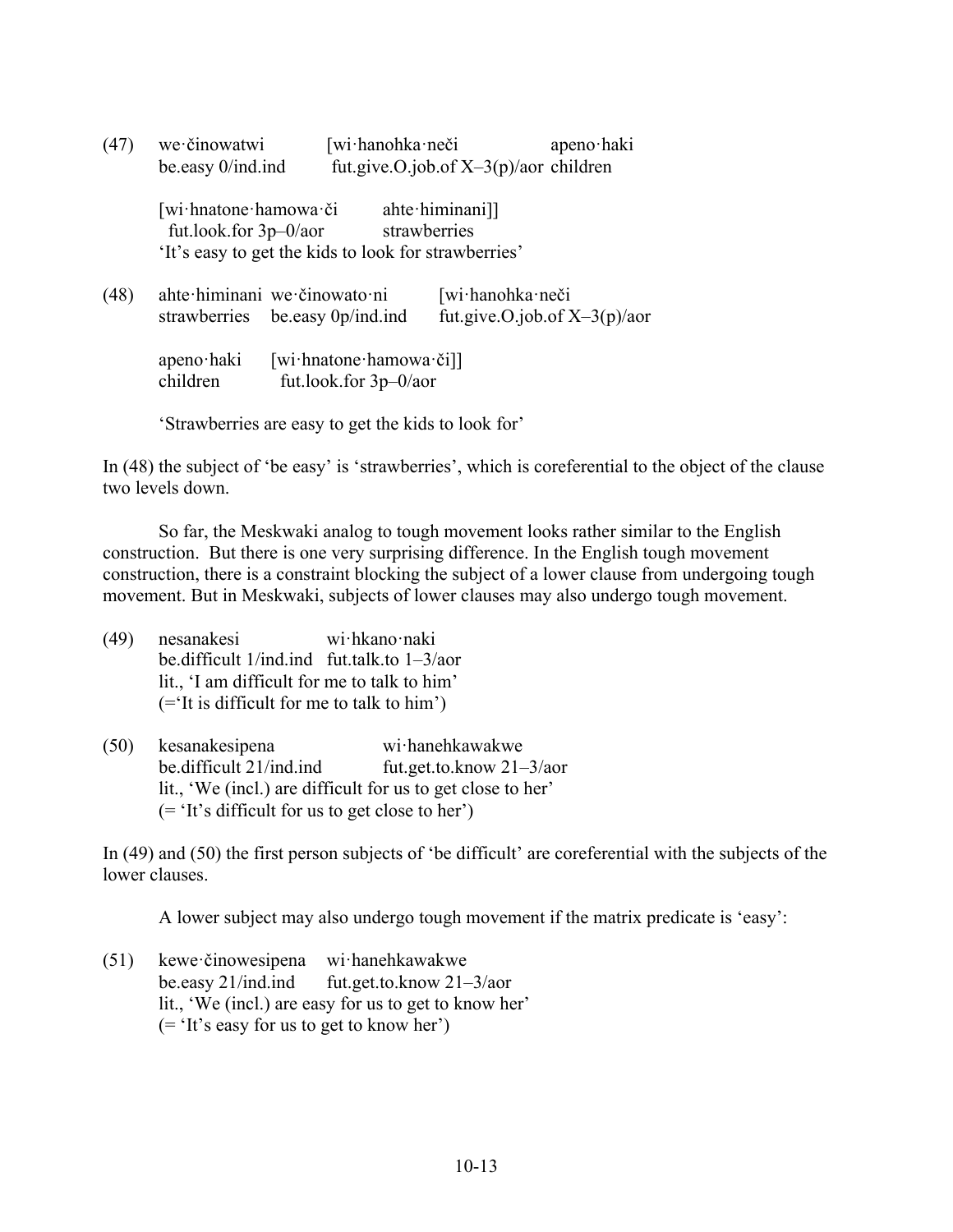| (47) | we činowatwi<br>be.easy 0/ind.ind                 |                                                      | [wi·hanohka·neči                | fut.give.O.job.of $X-3(p)/a$ or children | apeno haki                      |
|------|---------------------------------------------------|------------------------------------------------------|---------------------------------|------------------------------------------|---------------------------------|
|      | [wi·hnatone·hamowa·či<br>fut.look.for $3p-0/a$ or | 'It's easy to get the kids to look for strawberries' | ahte himinani]]<br>strawberries |                                          |                                 |
| (48) | strawberries                                      | ahte himinani we činowato ni<br>be easy 0p/ind.ind   |                                 | [wi·hanohka·neči                         | fut.give.O.job.of $X-3(p)/a$ or |
|      | apeno haki<br>children                            | [wi·hnatone·hamowa·či]]<br>fut.look.for $3p-0/a$ or  |                                 |                                          |                                 |

'Strawberries are easy to get the kids to look for'

In (48) the subject of 'be easy' is 'strawberries', which is coreferential to the object of the clause two levels down.

So far, the Meskwaki analog to tough movement looks rather similar to the English construction. But there is one very surprising difference. In the English tough movement construction, there is a constraint blocking the subject of a lower clause from undergoing tough movement. But in Meskwaki, subjects of lower clauses may also undergo tough movement.

- (49) nesanakesi wi·hkano·naki be.difficult 1/ind.ind fut.talk.to 1–3/aor lit., 'I am difficult for me to talk to him' (='It is difficult for me to talk to him')
- (50) kesanakesipena wi·hanehkawakwe be.difficult 21/ind.ind fut.get.to.know 21–3/aor lit., 'We (incl.) are difficult for us to get close to her' (= 'It's difficult for us to get close to her')

In (49) and (50) the first person subjects of 'be difficult' are coreferential with the subjects of the lower clauses.

A lower subject may also undergo tough movement if the matrix predicate is 'easy':

(51) kewe·činowesipena wi·hanehkawakwe be.easy 21/ind.ind fut.get.to.know 21–3/aor lit., 'We (incl.) are easy for us to get to know her' (= 'It's easy for us to get to know her')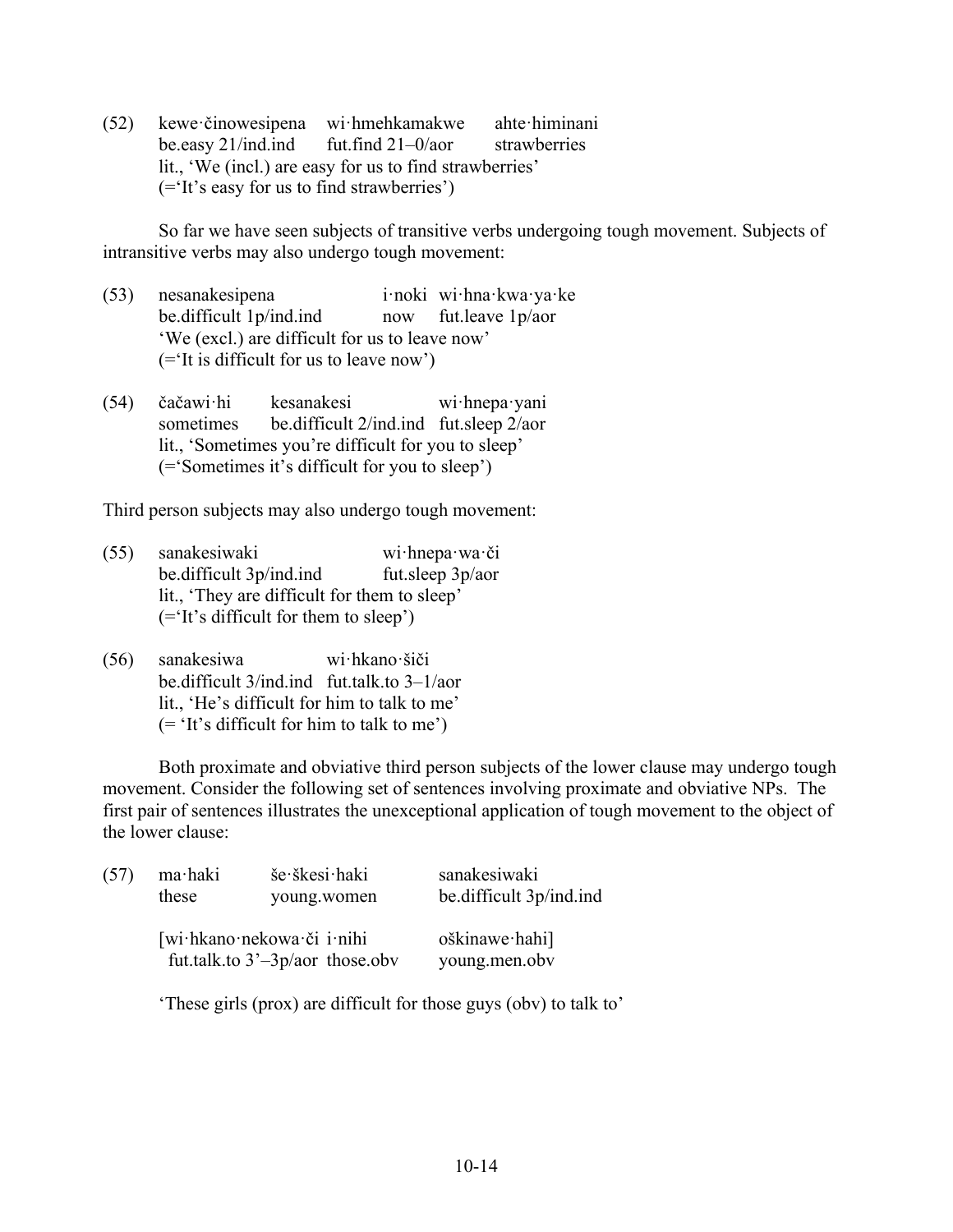(52) kewe·činowesipena wi·hmehkamakwe ahte·himinani be.easy 21/ind.ind fut.find 21–0/aor strawberries lit., 'We (incl.) are easy for us to find strawberries' (='It's easy for us to find strawberries')

So far we have seen subjects of transitive verbs undergoing tough movement. Subjects of intransitive verbs may also undergo tough movement:

- (53) nesanakesipena i·noki wi·hna·kwa·ya·ke be.difficult 1p/ind.ind now fut.leave 1p/aor 'We (excl.) are difficult for us to leave now' (='It is difficult for us to leave now')
- (54) čačawi·hi kesanakesi wi·hnepa·yani sometimes be.difficult 2/ind.ind fut.sleep 2/aor lit., 'Sometimes you're difficult for you to sleep' (='Sometimes it's difficult for you to sleep')

Third person subjects may also undergo tough movement:

- (55) sanakesiwaki wi·hnepa·wa·či be.difficult 3p/ind.ind fut.sleep 3p/aor lit., 'They are difficult for them to sleep' (='It's difficult for them to sleep')
- (56) sanakesiwa wi·hkano·šiči be.difficult 3/ind.ind fut.talk.to 3–1/aor lit., 'He's difficult for him to talk to me' (= 'It's difficult for him to talk to me')

Both proximate and obviative third person subjects of the lower clause may undergo tough movement. Consider the following set of sentences involving proximate and obviative NPs. The first pair of sentences illustrates the unexceptional application of tough movement to the object of the lower clause:

| (57) | ma haki | še škesi haki                                                 | sanakesiwaki                   |
|------|---------|---------------------------------------------------------------|--------------------------------|
|      | these   | young.women                                                   | be difficult 3p/ind.ind        |
|      |         | [wi·hkano·nekowa·či i·nihi<br>fut.talk.to $3'-3p/a$ those.obv | oškinawe hahi<br>young.men.obv |

'These girls (prox) are difficult for those guys (obv) to talk to'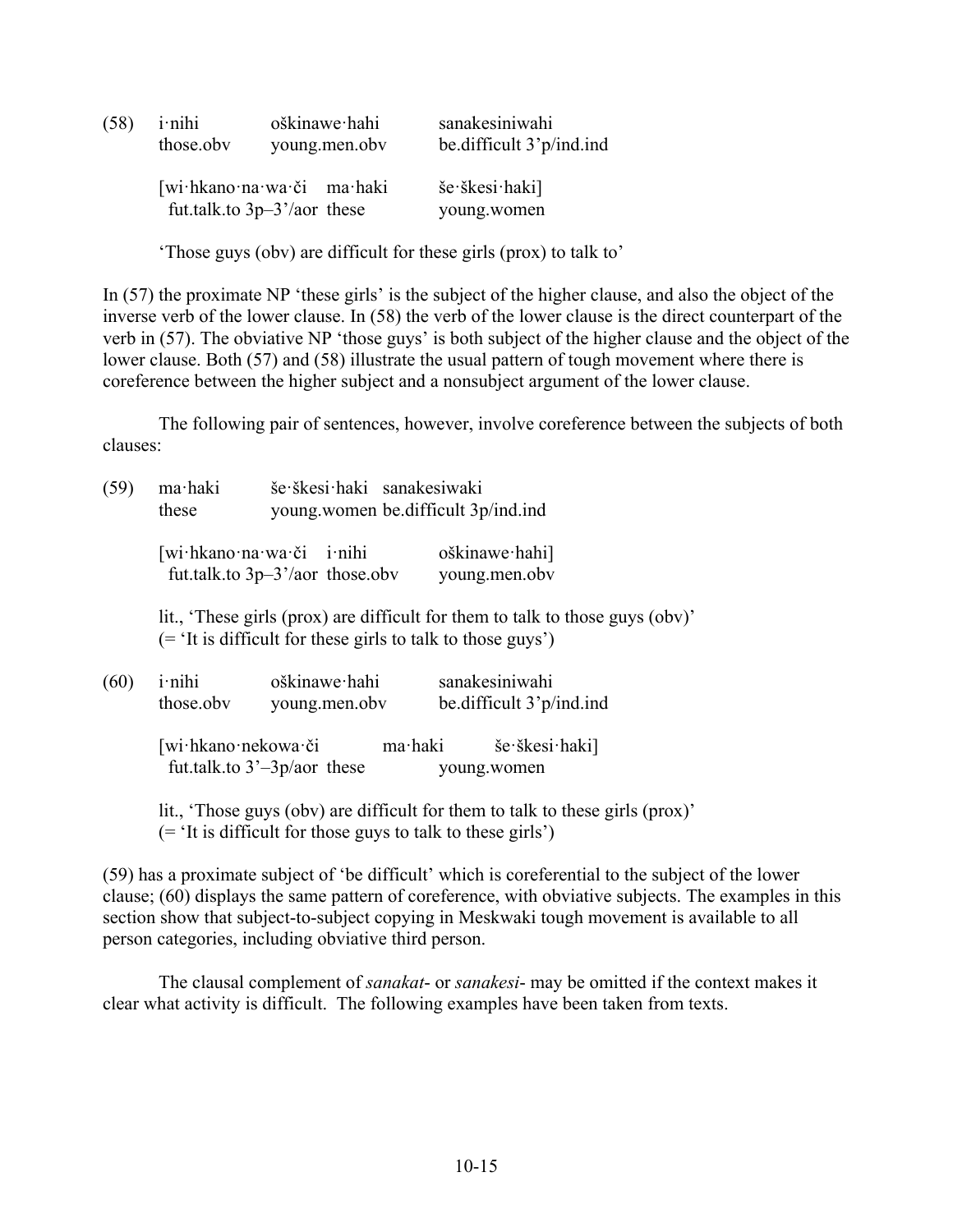| (58) | <i>i</i> -nihi | oškinawe hahi                                             | sanakesiniwahi                |
|------|----------------|-----------------------------------------------------------|-------------------------------|
|      | those.obv      | young menoby                                              | be difficult 3'p/ind.ind      |
|      |                | [wi·hkano·na·wa·či ma·haki<br>fut.talk.to $3p-3'/a$ these | še škesi haki]<br>young.women |

'Those guys (obv) are difficult for these girls (prox) to talk to'

In (57) the proximate NP 'these girls' is the subject of the higher clause, and also the object of the inverse verb of the lower clause. In (58) the verb of the lower clause is the direct counterpart of the verb in (57). The obviative NP 'those guys' is both subject of the higher clause and the object of the lower clause. Both (57) and (58) illustrate the usual pattern of tough movement where there is coreference between the higher subject and a nonsubject argument of the lower clause.

The following pair of sentences, however, involve coreference between the subjects of both clauses:

| še škesi haki sanakesiwaki<br>ma haki<br>(59)<br>young women be difficult 3p/ind.ind<br>these |                             |                                                                        |                                                                               |
|-----------------------------------------------------------------------------------------------|-----------------------------|------------------------------------------------------------------------|-------------------------------------------------------------------------------|
|                                                                                               |                             | [wi·hkano·na·wa·či i·nihi<br>fut.talk.to $3p-3'$ /aor those.obv        | $oškinawe\cdot hahi]$<br>young.men.obv                                        |
|                                                                                               |                             | $($ = $\lceil$ it is difficult for these girls to talk to those guys') | lit., 'These girls (prox) are difficult for them to talk to those guys (obv)' |
| (60)                                                                                          | <i>i</i> -nihi<br>those.obv | oškinawe hahi<br>young.men.obv                                         | sanakesiniwahi<br>be.difficult 3'p/ind.ind                                    |
|                                                                                               | [wi·hkano·nekowa·či         | ma haki<br>fut.talk.to $3'-3p/a$ these                                 | še škesi haki<br>young.women                                                  |

lit., 'Those guys (obv) are difficult for them to talk to these girls (prox)' (= 'It is difficult for those guys to talk to these girls')

(59) has a proximate subject of 'be difficult' which is coreferential to the subject of the lower clause; (60) displays the same pattern of coreference, with obviative subjects. The examples in this section show that subject-to-subject copying in Meskwaki tough movement is available to all person categories, including obviative third person.

The clausal complement of *sanakat*- or *sanakesi*- may be omitted if the context makes it clear what activity is difficult. The following examples have been taken from texts.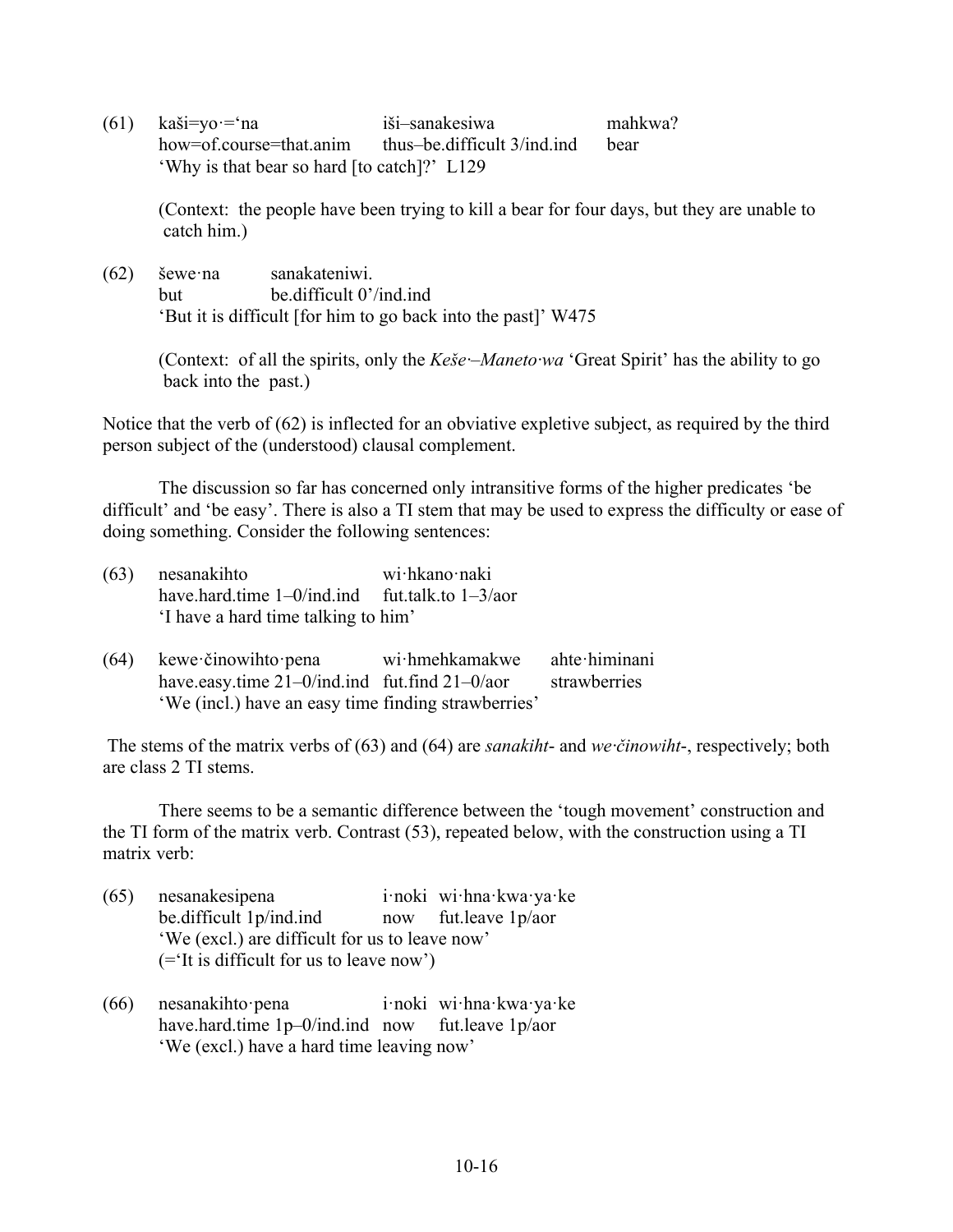(61) kaši=yo·='na iši–sanakesiwa mahkwa? how=of.course=that.anim thus–be.difficult 3/ind.ind bear 'Why is that bear so hard [to catch]?' L129

(Context: the people have been trying to kill a bear for four days, but they are unable to catch him.)

(62) šewe·na sanakateniwi. but be.difficult 0'/ind.ind 'But it is difficult [for him to go back into the past]' W475

> (Context: of all the spirits, only the *Keše·–Maneto·wa* 'Great Spirit' has the ability to go back into the past.)

Notice that the verb of (62) is inflected for an obviative expletive subject, as required by the third person subject of the (understood) clausal complement.

The discussion so far has concerned only intransitive forms of the higher predicates 'be difficult' and 'be easy'. There is also a TI stem that may be used to express the difficulty or ease of doing something. Consider the following sentences:

| nesanakihto                                          | wi hkano naki |
|------------------------------------------------------|---------------|
| have hard time $1-0$ /ind ind fut talk to $1-3/a$ or |               |
| 'I have a hard time talking to him'                  |               |
|                                                      |               |

(64) kewe·činowihto·pena wi·hmehkamakwe ahte·himinani have.easy.time 21–0/ind.ind fut.find 21–0/aor strawberries 'We (incl.) have an easy time finding strawberries'

The stems of the matrix verbs of (63) and (64) are *sanakiht*- and *we·činowiht*-, respectively; both are class 2 TI stems.

There seems to be a semantic difference between the 'tough movement' construction and the TI form of the matrix verb. Contrast (53), repeated below, with the construction using a TI matrix verb:

- (65) nesanakesipena i·noki wi·hna·kwa·ya·ke be.difficult 1p/ind.ind now fut.leave 1p/aor 'We (excl.) are difficult for us to leave now' (='It is difficult for us to leave now')
- (66) nesanakihto·pena i·noki wi·hna·kwa·ya·ke have.hard.time 1p–0/ind.ind now fut.leave 1p/aor 'We (excl.) have a hard time leaving now'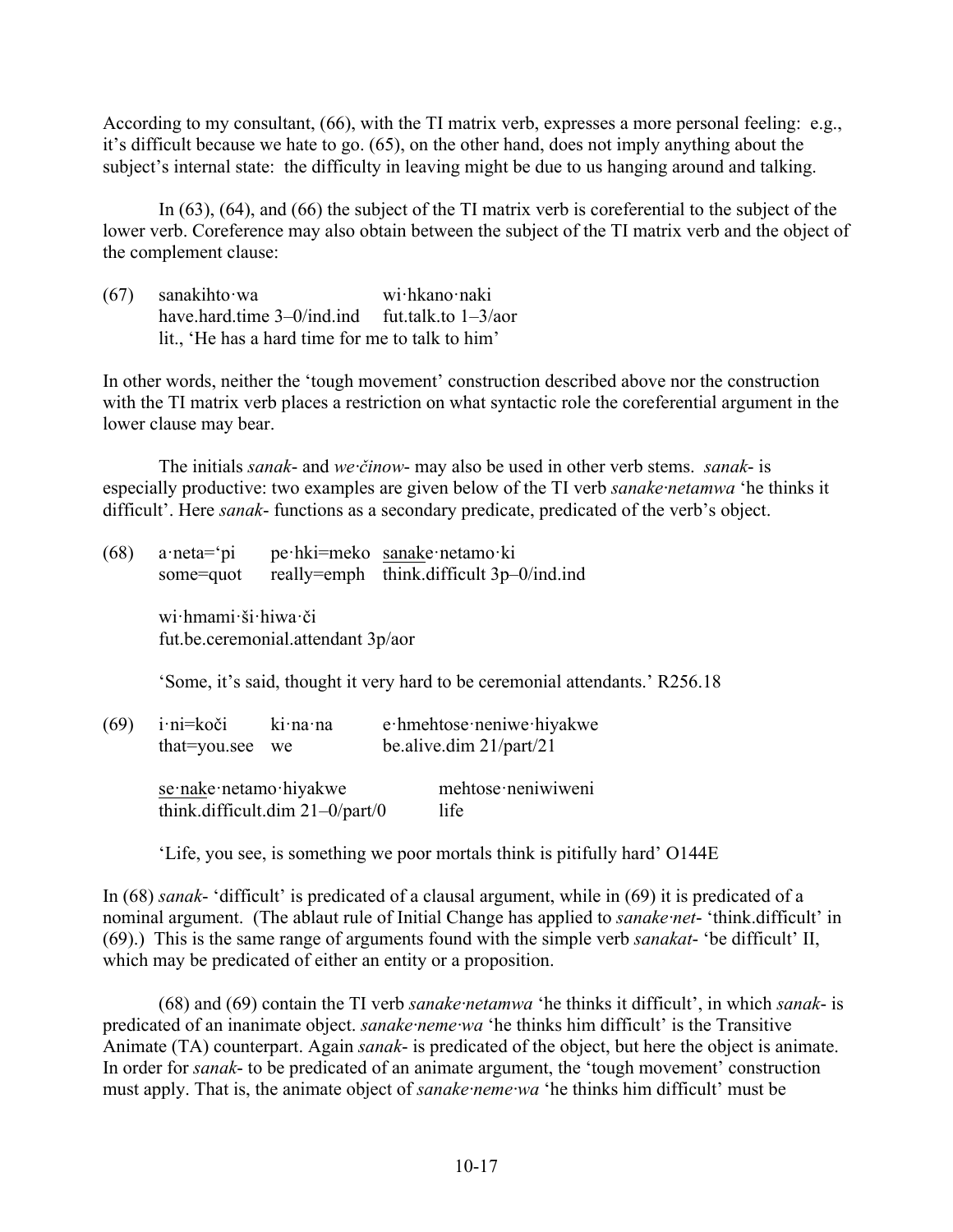According to my consultant, (66), with the TI matrix verb, expresses a more personal feeling: e.g., it's difficult because we hate to go. (65), on the other hand, does not imply anything about the subject's internal state: the difficulty in leaving might be due to us hanging around and talking.

In (63), (64), and (66) the subject of the TI matrix verb is coreferential to the subject of the lower verb. Coreference may also obtain between the subject of the TI matrix verb and the object of the complement clause:

(67) sanakihto·wa wi·hkano·naki have.hard.time 3–0/ind.ind fut.talk.to 1–3/aor lit., 'He has a hard time for me to talk to him'

In other words, neither the 'tough movement' construction described above nor the construction with the TI matrix verb places a restriction on what syntactic role the coreferential argument in the lower clause may bear.

The initials *sanak*- and *we·činow*- may also be used in other verb stems. *sanak*- is especially productive: two examples are given below of the TI verb *sanake·netamwa* 'he thinks it difficult'. Here *sanak*- functions as a secondary predicate, predicated of the verb's object.

| (68) | $a$ ·neta= $'pi$<br>some=quot                                                |                                    | pe hki=meko sanake netamo ki<br>really=emph think.difficult 3p-0/ind.ind |  |
|------|------------------------------------------------------------------------------|------------------------------------|--------------------------------------------------------------------------|--|
|      | wi hmami ši hiwa či                                                          | fut.be.ceremonial.attendant 3p/aor |                                                                          |  |
|      | 'Some, it's said, thought it very hard to be ceremonial attendants.' R256.18 |                                    |                                                                          |  |
| (69) | i·ni=koči<br>that=you.see                                                    | ki na na<br>we                     | e hmehtose neniwe hiyakwe<br>be.alive.dim $21/part/21$                   |  |
|      | se nake netamo hiyakwe                                                       |                                    | mehtose neniwiweni                                                       |  |

think.difficult.dim  $21-0$ /part/0 life

'Life, you see, is something we poor mortals think is pitifully hard' O144E

In (68) *sanak*- 'difficult' is predicated of a clausal argument, while in (69) it is predicated of a nominal argument. (The ablaut rule of Initial Change has applied to *sanake·net*- 'think.difficult' in (69).) This is the same range of arguments found with the simple verb *sanakat*- 'be difficult' II, which may be predicated of either an entity or a proposition.

(68) and (69) contain the TI verb *sanake·netamwa* 'he thinks it difficult', in which *sanak*- is predicated of an inanimate object. *sanake·neme·wa* 'he thinks him difficult' is the Transitive Animate (TA) counterpart. Again *sanak*- is predicated of the object, but here the object is animate. In order for *sanak*- to be predicated of an animate argument, the 'tough movement' construction must apply. That is, the animate object of *sanake·neme·wa* 'he thinks him difficult' must be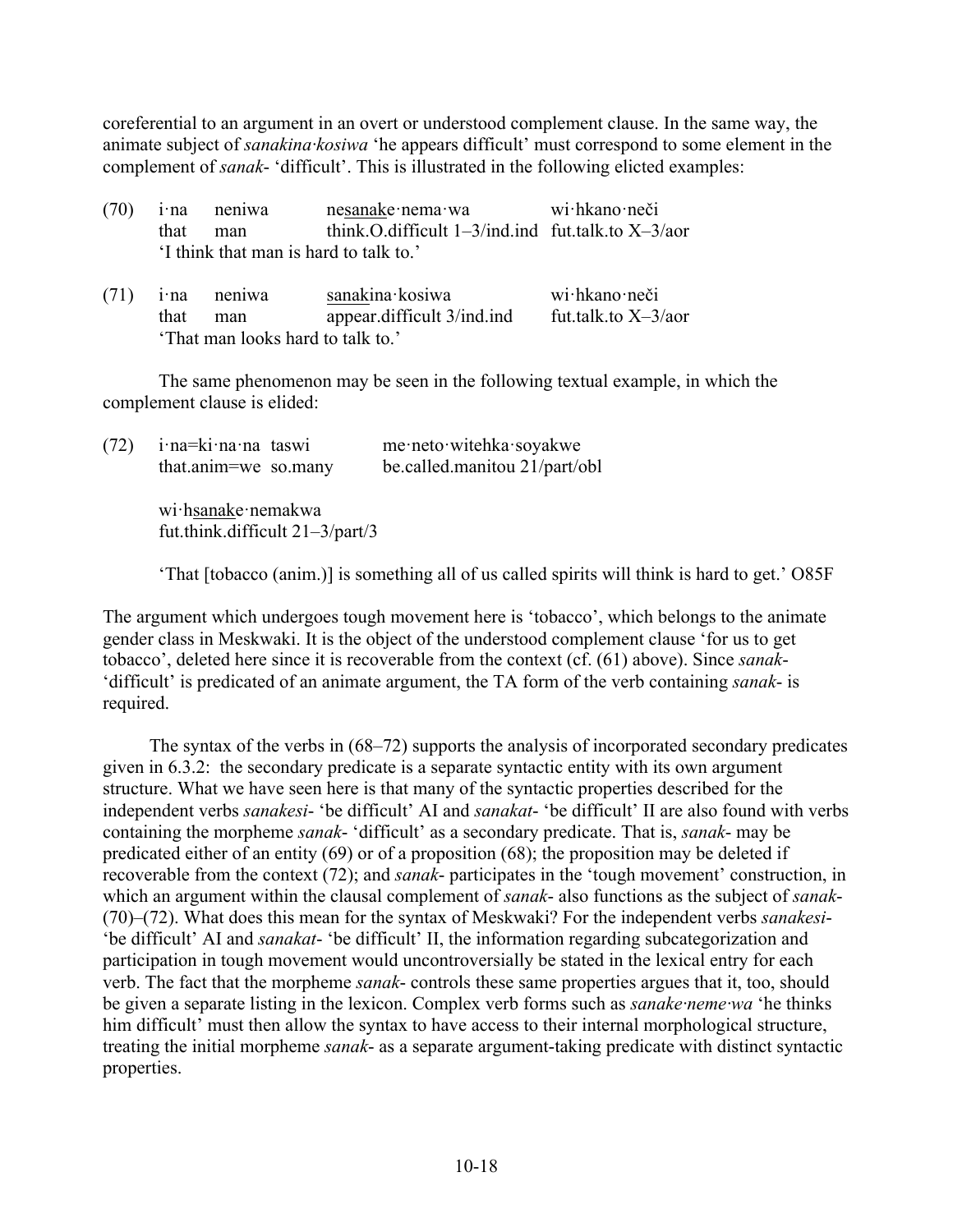coreferential to an argument in an overt or understood complement clause. In the same way, the animate subject of *sanakina·kosiwa* 'he appears difficult' must correspond to some element in the complement of *sanak*- 'difficult'. This is illustrated in the following elicted examples:

|                                       | $(70)$ i na neniwa | nesanake nema wa                                        | wi hkano neči |
|---------------------------------------|--------------------|---------------------------------------------------------|---------------|
| that man                              |                    | think O difficult $1-3$ /ind ind fut talk to $X-3$ /aor |               |
| I think that man is hard to talk to.' |                    |                                                         |               |
|                                       |                    |                                                         |               |

|                                   | $(71)$ i na neniwa | sanakina kosiwa            | wi hkano neči          |
|-----------------------------------|--------------------|----------------------------|------------------------|
|                                   | that man           | appear.difficult 3/ind.ind | fut.talk.to $X-3/a$ or |
| 'That man looks hard to talk to.' |                    |                            |                        |

The same phenomenon may be seen in the following textual example, in which the complement clause is elided:

| (72) | i na=ki na na taswi<br>that.anim=we so.many              | me·neto·witehka·soyakwe<br>be.called.manitou 21/part/obl |
|------|----------------------------------------------------------|----------------------------------------------------------|
|      | wi hsanake nemakwa<br>fut.think.difficult $21-3$ /part/3 |                                                          |

'That [tobacco (anim.)] is something all of us called spirits will think is hard to get.' O85F

The argument which undergoes tough movement here is 'tobacco', which belongs to the animate gender class in Meskwaki. It is the object of the understood complement clause 'for us to get tobacco', deleted here since it is recoverable from the context (cf. (61) above). Since *sanak*- 'difficult' is predicated of an animate argument, the TA form of the verb containing *sanak*- is required.

The syntax of the verbs in (68–72) supports the analysis of incorporated secondary predicates given in 6.3.2: the secondary predicate is a separate syntactic entity with its own argument structure. What we have seen here is that many of the syntactic properties described for the independent verbs *sanakesi*- 'be difficult' AI and *sanakat*- 'be difficult' II are also found with verbs containing the morpheme *sanak*- 'difficult' as a secondary predicate. That is, *sanak*- may be predicated either of an entity (69) or of a proposition (68); the proposition may be deleted if recoverable from the context (72); and *sanak*- participates in the 'tough movement' construction, in which an argument within the clausal complement of *sanak*- also functions as the subject of *sanak*- (70)–(72). What does this mean for the syntax of Meskwaki? For the independent verbs *sanakesi*- 'be difficult' AI and *sanakat*- 'be difficult' II, the information regarding subcategorization and participation in tough movement would uncontroversially be stated in the lexical entry for each verb. The fact that the morpheme *sanak*- controls these same properties argues that it, too, should be given a separate listing in the lexicon. Complex verb forms such as *sanake·neme·wa* 'he thinks him difficult' must then allow the syntax to have access to their internal morphological structure, treating the initial morpheme *sanak*- as a separate argument-taking predicate with distinct syntactic properties.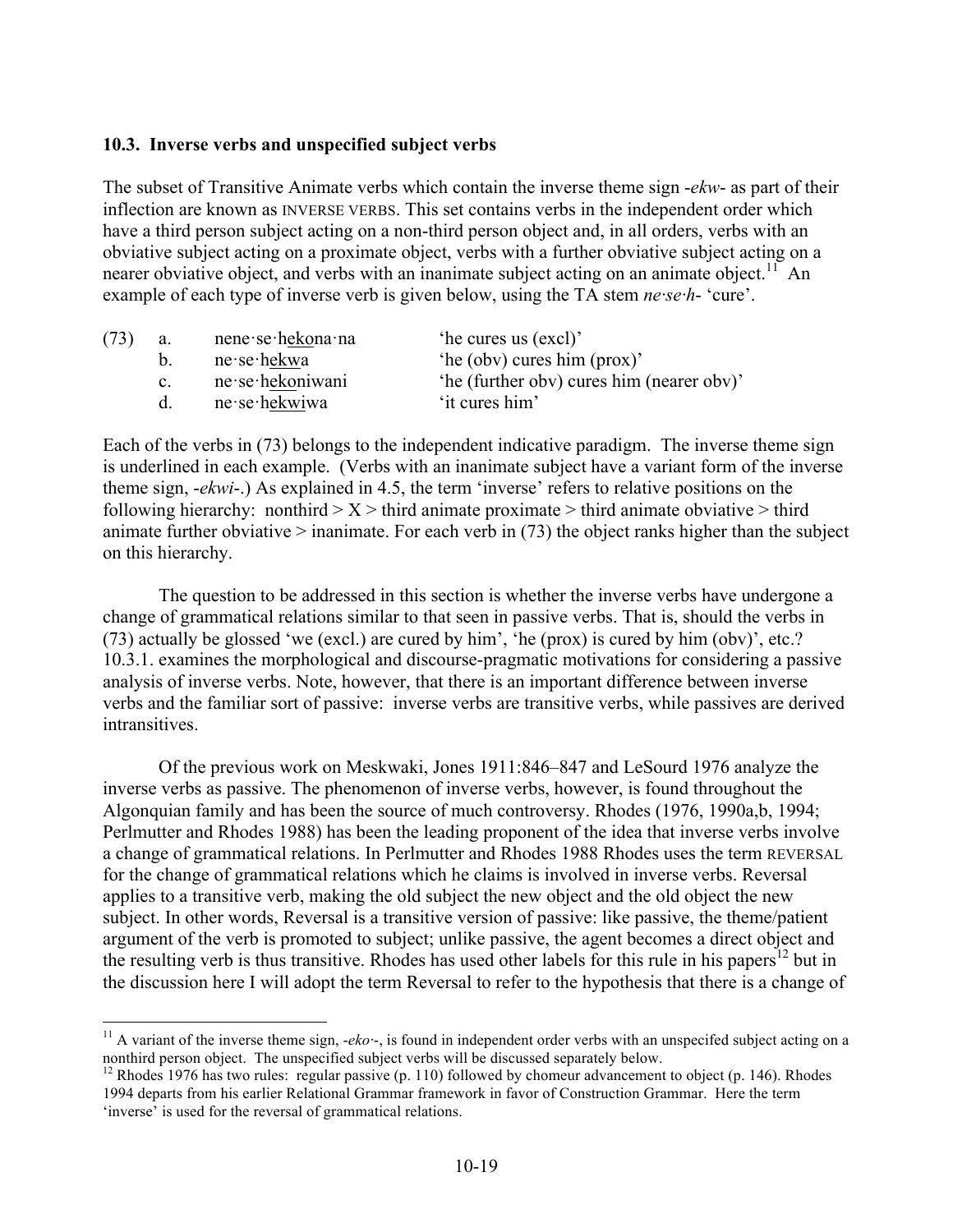#### **10.3. Inverse verbs and unspecified subject verbs**

The subset of Transitive Animate verbs which contain the inverse theme sign -*ekw*- as part of their inflection are known as INVERSE VERBS. This set contains verbs in the independent order which have a third person subject acting on a non-third person object and, in all orders, verbs with an obviative subject acting on a proximate object, verbs with a further obviative subject acting on a nearer obviative object, and verbs with an inanimate subject acting on an animate object.<sup>11</sup> An example of each type of inverse verb is given below, using the TA stem *ne·se·h*- 'cure'.

| (73) | а.          | nene se hekona na | 'he cures us (excl)'                      |
|------|-------------|-------------------|-------------------------------------------|
|      | h.          | ne se hekwa       | 'he (obv) cures him (prox)'               |
|      | $c_{\cdot}$ | ne se hekoniwani  | 'he (further obv) cures him (nearer obv)' |
|      | $d_{\cdot}$ | ne se hekwiwa     | 'it cures him'                            |

Each of the verbs in (73) belongs to the independent indicative paradigm. The inverse theme sign is underlined in each example. (Verbs with an inanimate subject have a variant form of the inverse theme sign, -*ekwi*-.) As explained in 4.5, the term 'inverse' refers to relative positions on the following hierarchy: nonthird  $> X >$  third animate proximate  $>$  third animate obviative  $>$  third animate further obviative > inanimate. For each verb in (73) the object ranks higher than the subject on this hierarchy.

The question to be addressed in this section is whether the inverse verbs have undergone a change of grammatical relations similar to that seen in passive verbs. That is, should the verbs in (73) actually be glossed 'we (excl.) are cured by him', 'he (prox) is cured by him (obv)', etc.? 10.3.1. examines the morphological and discourse-pragmatic motivations for considering a passive analysis of inverse verbs. Note, however, that there is an important difference between inverse verbs and the familiar sort of passive: inverse verbs are transitive verbs, while passives are derived intransitives.

Of the previous work on Meskwaki, Jones 1911:846–847 and LeSourd 1976 analyze the inverse verbs as passive. The phenomenon of inverse verbs, however, is found throughout the Algonquian family and has been the source of much controversy. Rhodes (1976, 1990a,b, 1994; Perlmutter and Rhodes 1988) has been the leading proponent of the idea that inverse verbs involve a change of grammatical relations. In Perlmutter and Rhodes 1988 Rhodes uses the term REVERSAL for the change of grammatical relations which he claims is involved in inverse verbs. Reversal applies to a transitive verb, making the old subject the new object and the old object the new subject. In other words, Reversal is a transitive version of passive: like passive, the theme/patient argument of the verb is promoted to subject; unlike passive, the agent becomes a direct object and the resulting verb is thus transitive. Rhodes has used other labels for this rule in his papers<sup>12</sup> but in the discussion here I will adopt the term Reversal to refer to the hypothesis that there is a change of

<sup>&</sup>lt;sup>11</sup> A variant of the inverse theme sign,  $-eko$ -, is found in independent order verbs with an unspecifed subject acting on a nonthird person object. The unspecified subject verbs will be discussed separately below.

<sup>&</sup>lt;sup>12</sup> Rhodes 1976 has two rules: regular passive (p. 110) followed by chomeur advancement to object (p. 146). Rhodes 1994 departs from his earlier Relational Grammar framework in favor of Construction Grammar. Here the term 'inverse' is used for the reversal of grammatical relations.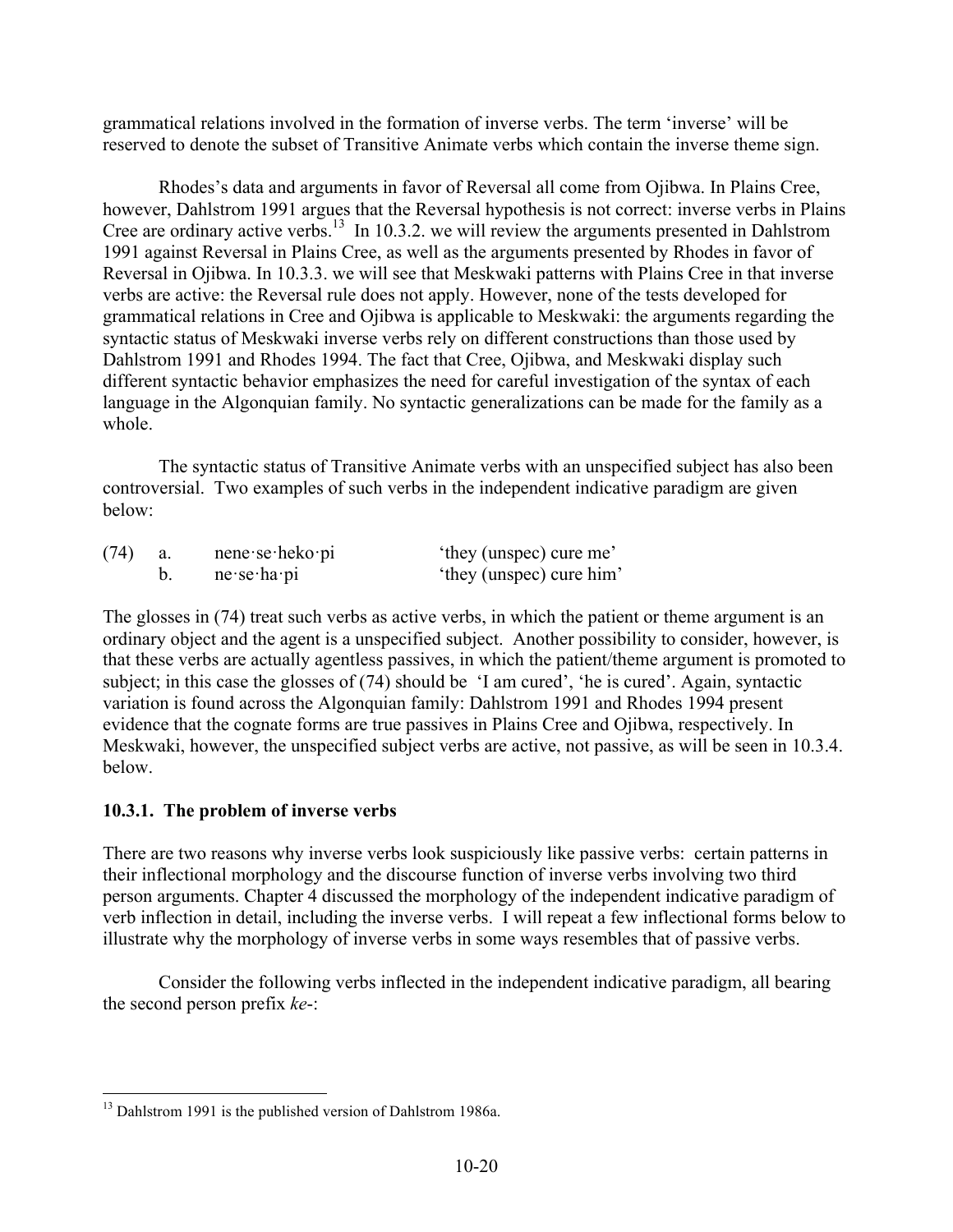grammatical relations involved in the formation of inverse verbs. The term 'inverse' will be reserved to denote the subset of Transitive Animate verbs which contain the inverse theme sign.

Rhodes's data and arguments in favor of Reversal all come from Ojibwa. In Plains Cree, however, Dahlstrom 1991 argues that the Reversal hypothesis is not correct: inverse verbs in Plains Cree are ordinary active verbs.<sup>13</sup> In 10.3.2. we will review the arguments presented in Dahlstrom 1991 against Reversal in Plains Cree, as well as the arguments presented by Rhodes in favor of Reversal in Ojibwa. In 10.3.3. we will see that Meskwaki patterns with Plains Cree in that inverse verbs are active: the Reversal rule does not apply. However, none of the tests developed for grammatical relations in Cree and Ojibwa is applicable to Meskwaki: the arguments regarding the syntactic status of Meskwaki inverse verbs rely on different constructions than those used by Dahlstrom 1991 and Rhodes 1994. The fact that Cree, Ojibwa, and Meskwaki display such different syntactic behavior emphasizes the need for careful investigation of the syntax of each language in the Algonquian family. No syntactic generalizations can be made for the family as a whole.

The syntactic status of Transitive Animate verbs with an unspecified subject has also been controversial. Two examples of such verbs in the independent indicative paradigm are given below:

| (74) | $n$ ene se heko pi            | 'they (unspec) cure me'  |
|------|-------------------------------|--------------------------|
|      | $ne$ se $\cdot$ ha $\cdot$ pi | 'they (unspec) cure him' |

The glosses in (74) treat such verbs as active verbs, in which the patient or theme argument is an ordinary object and the agent is a unspecified subject. Another possibility to consider, however, is that these verbs are actually agentless passives, in which the patient/theme argument is promoted to subject; in this case the glosses of (74) should be 'I am cured', 'he is cured'. Again, syntactic variation is found across the Algonquian family: Dahlstrom 1991 and Rhodes 1994 present evidence that the cognate forms are true passives in Plains Cree and Ojibwa, respectively. In Meskwaki, however, the unspecified subject verbs are active, not passive, as will be seen in 10.3.4. below.

## **10.3.1. The problem of inverse verbs**

There are two reasons why inverse verbs look suspiciously like passive verbs: certain patterns in their inflectional morphology and the discourse function of inverse verbs involving two third person arguments. Chapter 4 discussed the morphology of the independent indicative paradigm of verb inflection in detail, including the inverse verbs. I will repeat a few inflectional forms below to illustrate why the morphology of inverse verbs in some ways resembles that of passive verbs.

Consider the following verbs inflected in the independent indicative paradigm, all bearing the second person prefix *ke*-:

<sup>&</sup>lt;sup>13</sup> Dahlstrom 1991 is the published version of Dahlstrom 1986a.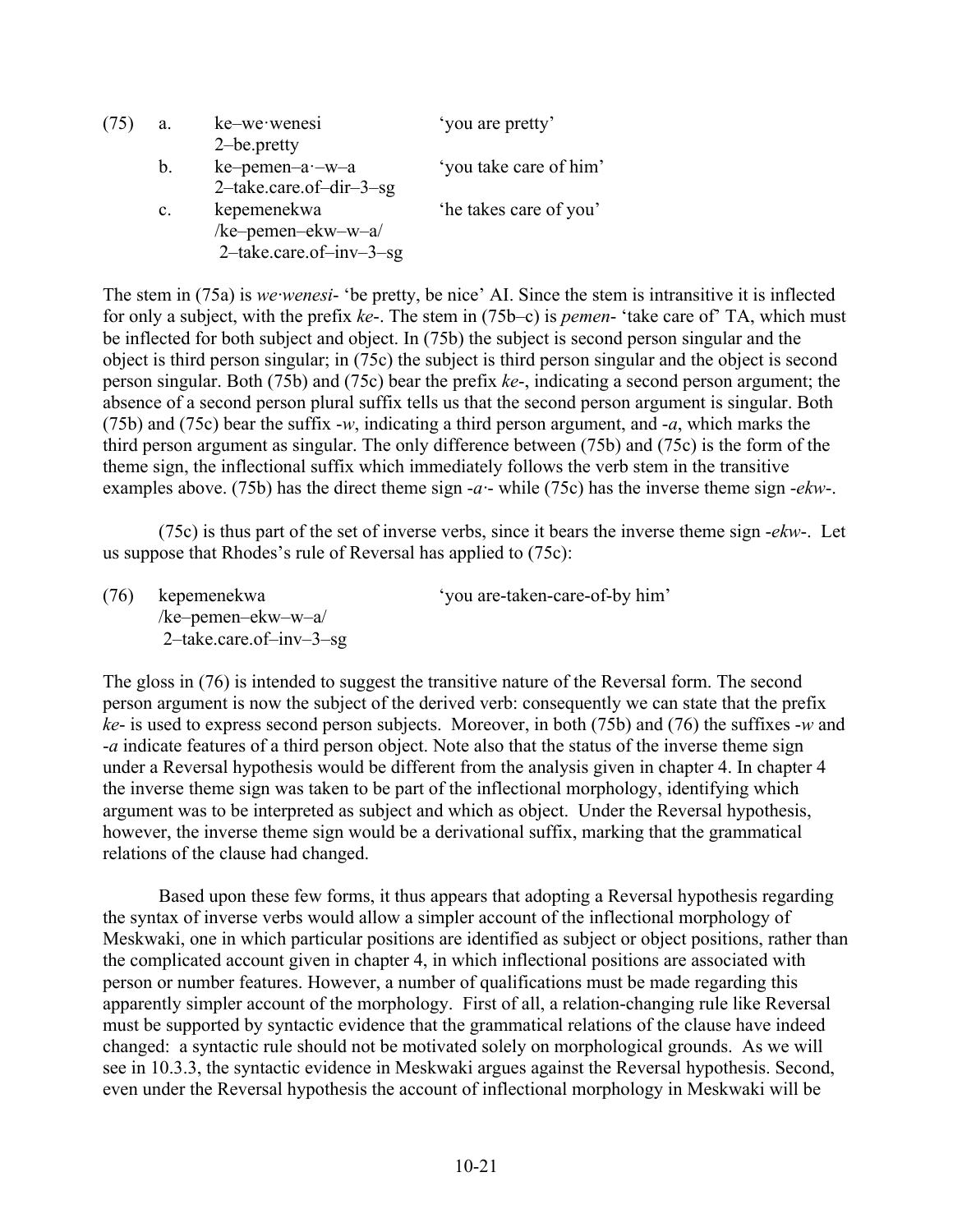| (75) | a.             | ke-we wenesi               | 'you are pretty'       |
|------|----------------|----------------------------|------------------------|
|      |                | 2-be.pretty                |                        |
|      | b.             | ke-pemen-a -- w-a          | 'you take care of him' |
|      |                | $2$ -take.care.of-dir-3-sg |                        |
|      | $\mathbf{c}$ . | kepemenekwa                | 'he takes care of you' |
|      |                | /ke-pemen-ekw-w-a/         |                        |
|      |                | $2$ -take.care.of-inv-3-sg |                        |

The stem in (75a) is *we·wenesi*- 'be pretty, be nice' AI. Since the stem is intransitive it is inflected for only a subject, with the prefix *ke*-. The stem in (75b–c) is *pemen*- 'take care of' TA, which must be inflected for both subject and object. In (75b) the subject is second person singular and the object is third person singular; in (75c) the subject is third person singular and the object is second person singular. Both (75b) and (75c) bear the prefix *ke*-, indicating a second person argument; the absence of a second person plural suffix tells us that the second person argument is singular. Both (75b) and (75c) bear the suffix -*w*, indicating a third person argument, and -*a*, which marks the third person argument as singular. The only difference between (75b) and (75c) is the form of the theme sign, the inflectional suffix which immediately follows the verb stem in the transitive examples above. (75b) has the direct theme sign -*a·*- while (75c) has the inverse theme sign -*ekw*-.

(75c) is thus part of the set of inverse verbs, since it bears the inverse theme sign -*ekw*-. Let us suppose that Rhodes's rule of Reversal has applied to (75c):

(76) kepemenekwa 'you are-taken-care-of-by him' /ke–pemen–ekw–w–a/ 2–take.care.of–inv–3–sg

The gloss in (76) is intended to suggest the transitive nature of the Reversal form. The second person argument is now the subject of the derived verb: consequently we can state that the prefix *ke*- is used to express second person subjects. Moreover, in both (75b) and (76) the suffixes -*w* and -*a* indicate features of a third person object. Note also that the status of the inverse theme sign under a Reversal hypothesis would be different from the analysis given in chapter 4. In chapter 4 the inverse theme sign was taken to be part of the inflectional morphology, identifying which argument was to be interpreted as subject and which as object. Under the Reversal hypothesis, however, the inverse theme sign would be a derivational suffix, marking that the grammatical relations of the clause had changed.

Based upon these few forms, it thus appears that adopting a Reversal hypothesis regarding the syntax of inverse verbs would allow a simpler account of the inflectional morphology of Meskwaki, one in which particular positions are identified as subject or object positions, rather than the complicated account given in chapter 4, in which inflectional positions are associated with person or number features. However, a number of qualifications must be made regarding this apparently simpler account of the morphology. First of all, a relation-changing rule like Reversal must be supported by syntactic evidence that the grammatical relations of the clause have indeed changed: a syntactic rule should not be motivated solely on morphological grounds. As we will see in 10.3.3, the syntactic evidence in Meskwaki argues against the Reversal hypothesis. Second, even under the Reversal hypothesis the account of inflectional morphology in Meskwaki will be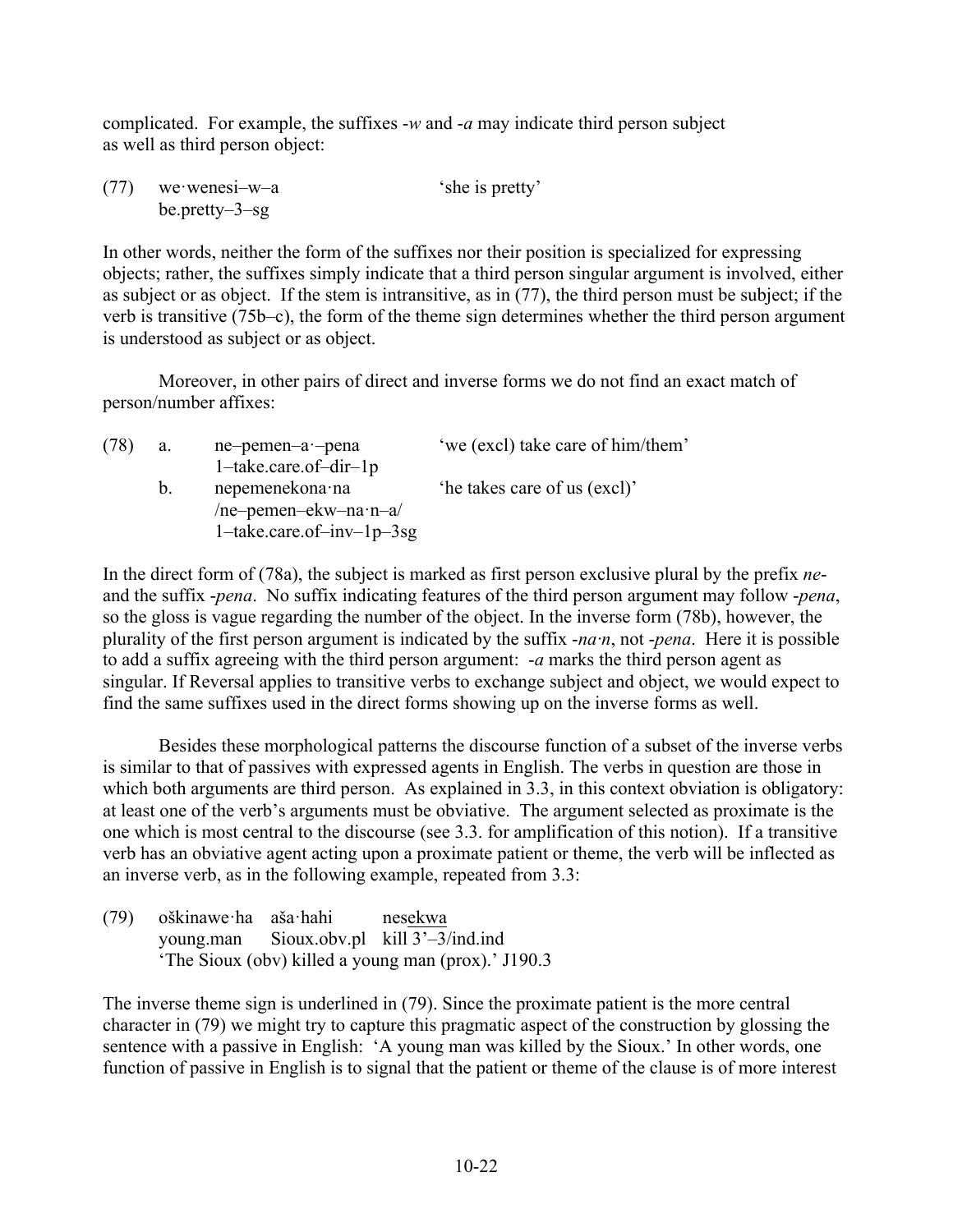complicated. For example, the suffixes -*w* and -*a* may indicate third person subject as well as third person object:

| (77) | we wenesi-w-a      | 'she is pretty' |  |
|------|--------------------|-----------------|--|
|      | be.pretty $-3$ -sg |                 |  |

In other words, neither the form of the suffixes nor their position is specialized for expressing objects; rather, the suffixes simply indicate that a third person singular argument is involved, either as subject or as object. If the stem is intransitive, as in (77), the third person must be subject; if the verb is transitive (75b–c), the form of the theme sign determines whether the third person argument is understood as subject or as object.

Moreover, in other pairs of direct and inverse forms we do not find an exact match of person/number affixes:

| (78) | a.      | ne-pemen-a -pena<br>$1$ -take.care.of-dir-1p                                | 'we (excl) take care of him/them' |
|------|---------|-----------------------------------------------------------------------------|-----------------------------------|
|      | $b_{-}$ | nepemenekona na<br>/ne-pemen-ekw-na·n-a/<br>$1$ -take.care.of-inv- $1p-3sg$ | 'he takes care of us (excl)'      |

In the direct form of (78a), the subject is marked as first person exclusive plural by the prefix *ne*and the suffix -*pena*. No suffix indicating features of the third person argument may follow -*pena*, so the gloss is vague regarding the number of the object. In the inverse form (78b), however, the plurality of the first person argument is indicated by the suffix -*na·n*, not -*pena*. Here it is possible to add a suffix agreeing with the third person argument: -*a* marks the third person agent as singular. If Reversal applies to transitive verbs to exchange subject and object, we would expect to find the same suffixes used in the direct forms showing up on the inverse forms as well.

Besides these morphological patterns the discourse function of a subset of the inverse verbs is similar to that of passives with expressed agents in English. The verbs in question are those in which both arguments are third person. As explained in 3.3, in this context obviation is obligatory: at least one of the verb's arguments must be obviative. The argument selected as proximate is the one which is most central to the discourse (see 3.3. for amplification of this notion). If a transitive verb has an obviative agent acting upon a proximate patient or theme, the verb will be inflected as an inverse verb, as in the following example, repeated from 3.3:

(79) oškinawe·ha aša·hahi nesekwa young.man Sioux.obv.pl kill 3'–3/ind.ind 'The Sioux (obv) killed a young man (prox).' J190.3

The inverse theme sign is underlined in (79). Since the proximate patient is the more central character in (79) we might try to capture this pragmatic aspect of the construction by glossing the sentence with a passive in English: 'A young man was killed by the Sioux.' In other words, one function of passive in English is to signal that the patient or theme of the clause is of more interest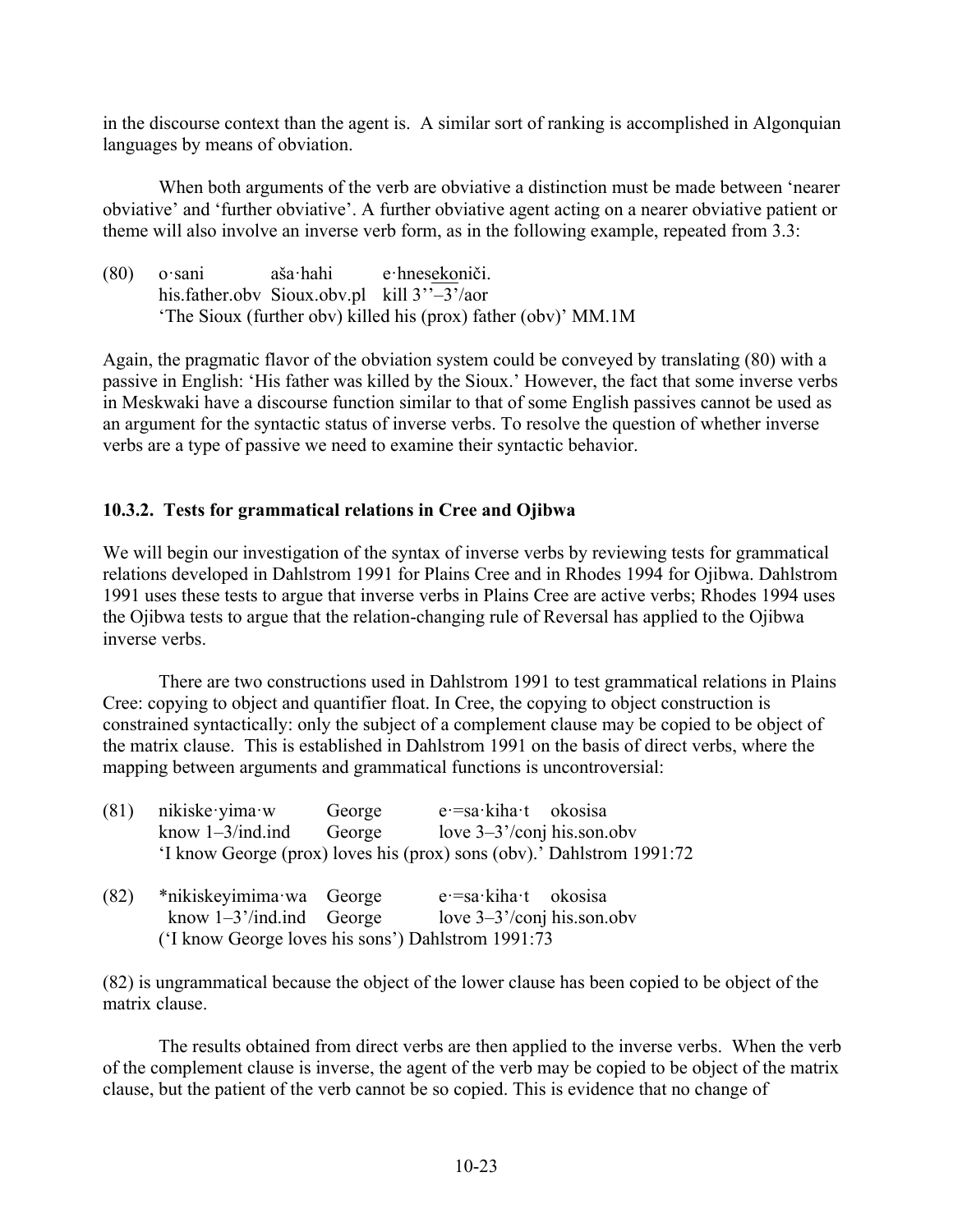in the discourse context than the agent is. A similar sort of ranking is accomplished in Algonquian languages by means of obviation.

When both arguments of the verb are obviative a distinction must be made between 'nearer obviative' and 'further obviative'. A further obviative agent acting on a nearer obviative patient or theme will also involve an inverse verb form, as in the following example, repeated from 3.3:

| (80) | o sani | aša∙hahi | e hnesekoniči.                                                 |
|------|--------|----------|----------------------------------------------------------------|
|      |        |          | his father obv Sioux obv.pl kill $3''-3'$ /aor                 |
|      |        |          | 'The Sioux (further obv) killed his (prox) father (obv)' MM.1M |

Again, the pragmatic flavor of the obviation system could be conveyed by translating (80) with a passive in English: 'His father was killed by the Sioux.' However, the fact that some inverse verbs in Meskwaki have a discourse function similar to that of some English passives cannot be used as an argument for the syntactic status of inverse verbs. To resolve the question of whether inverse verbs are a type of passive we need to examine their syntactic behavior.

## **10.3.2. Tests for grammatical relations in Cree and Ojibwa**

We will begin our investigation of the syntax of inverse verbs by reviewing tests for grammatical relations developed in Dahlstrom 1991 for Plains Cree and in Rhodes 1994 for Ojibwa. Dahlstrom 1991 uses these tests to argue that inverse verbs in Plains Cree are active verbs; Rhodes 1994 uses the Ojibwa tests to argue that the relation-changing rule of Reversal has applied to the Ojibwa inverse verbs.

There are two constructions used in Dahlstrom 1991 to test grammatical relations in Plains Cree: copying to object and quantifier float. In Cree, the copying to object construction is constrained syntactically: only the subject of a complement clause may be copied to be object of the matrix clause. This is established in Dahlstrom 1991 on the basis of direct verbs, where the mapping between arguments and grammatical functions is uncontroversial:

| (81) | nikiske vima w                                     | George | $e = sa \cdot kiha \cdot t$ okosisa                                   |  |
|------|----------------------------------------------------|--------|-----------------------------------------------------------------------|--|
|      | know $1-3$ /ind.ind                                | George | love $3-3'$ /conj his.son.obv                                         |  |
|      |                                                    |        | 'I know George (prox) loves his (prox) sons (obv).' Dahlstrom 1991:72 |  |
| (82) | *nikiskeyimima wa George                           |        | $e = sa \cdot k$ iha $\cdot t$ okosisa                                |  |
|      | know $1-3$ '/ind.ind George                        |        | love $3-3$ '/conj his.son.obv                                         |  |
|      | ('I know George loves his sons') Dahlstrom 1991:73 |        |                                                                       |  |

(82) is ungrammatical because the object of the lower clause has been copied to be object of the matrix clause.

The results obtained from direct verbs are then applied to the inverse verbs. When the verb of the complement clause is inverse, the agent of the verb may be copied to be object of the matrix clause, but the patient of the verb cannot be so copied. This is evidence that no change of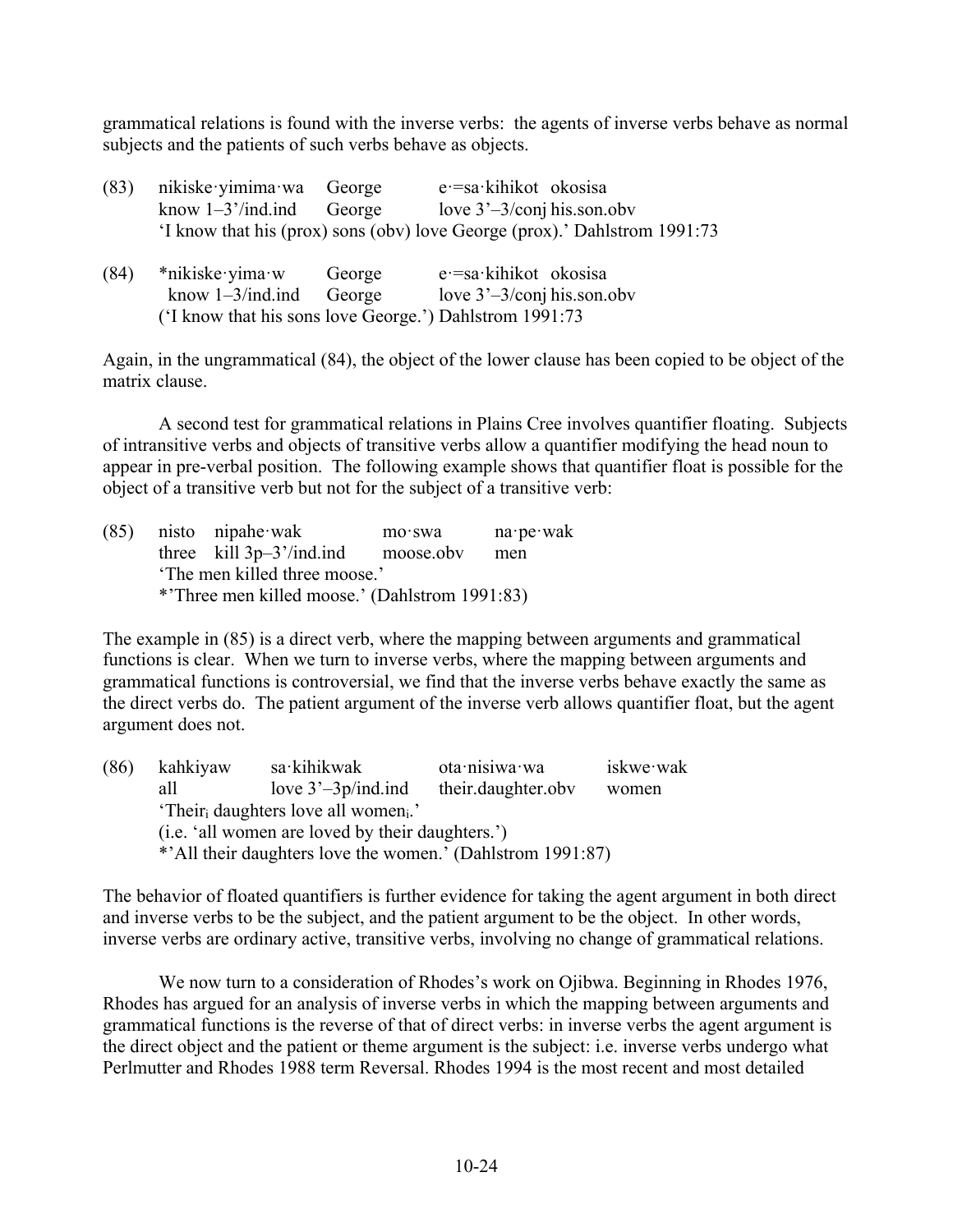grammatical relations is found with the inverse verbs: the agents of inverse verbs behave as normal subjects and the patients of such verbs behave as objects.

| (83)                                                    | nikiske vimima wa George |        | e = sa kihikot okosisa                                                    |
|---------------------------------------------------------|--------------------------|--------|---------------------------------------------------------------------------|
|                                                         | know $1-3$ '/ind.ind     | George | love $3'-3$ /conj his.son.obv                                             |
|                                                         |                          |        | 'I know that his (prox) sons (obv) love George (prox).' Dahlstrom 1991:73 |
| (84)                                                    | *nikiske vima w          | George | $e = sa$ kihikot okosisa                                                  |
|                                                         | know $1-3$ /ind.ind      | George | love $3'-3$ /conj his.son.obv                                             |
| ('I know that his sons love George.') Dahlstrom 1991:73 |                          |        |                                                                           |

Again, in the ungrammatical (84), the object of the lower clause has been copied to be object of the matrix clause.

A second test for grammatical relations in Plains Cree involves quantifier floating. Subjects of intransitive verbs and objects of transitive verbs allow a quantifier modifying the head noun to appear in pre-verbal position. The following example shows that quantifier float is possible for the object of a transitive verb but not for the subject of a transitive verb:

|                                                | $(85)$ nisto nipahe wak                       | mo·swa    | $na \cdot pe \cdot wak$ |  |
|------------------------------------------------|-----------------------------------------------|-----------|-------------------------|--|
|                                                | three $\text{kill } 3p-3' / \text{ind}$ . ind | moose.obv | men                     |  |
| The men killed three moose.'                   |                                               |           |                         |  |
| *'Three men killed moose.' (Dahlstrom 1991:83) |                                               |           |                         |  |

The example in (85) is a direct verb, where the mapping between arguments and grammatical functions is clear. When we turn to inverse verbs, where the mapping between arguments and grammatical functions is controversial, we find that the inverse verbs behave exactly the same as the direct verbs do. The patient argument of the inverse verb allows quantifier float, but the agent argument does not.

| (86) | kahkiyaw                                                     | sa kihikwak           | ota nisiwa wa      | iskwe wak |  |
|------|--------------------------------------------------------------|-----------------------|--------------------|-----------|--|
|      | all                                                          | love $3'-3p/ind$ .ind | their.daughter.obv | women     |  |
|      | 'Their <sub>i</sub> daughters love all women <sub>i</sub> .' |                       |                    |           |  |
|      | (i.e. 'all women are loved by their daughters.')             |                       |                    |           |  |
|      | *'All their daughters love the women.' (Dahlstrom 1991:87)   |                       |                    |           |  |
|      |                                                              |                       |                    |           |  |

The behavior of floated quantifiers is further evidence for taking the agent argument in both direct and inverse verbs to be the subject, and the patient argument to be the object. In other words, inverse verbs are ordinary active, transitive verbs, involving no change of grammatical relations.

We now turn to a consideration of Rhodes's work on Ojibwa. Beginning in Rhodes 1976, Rhodes has argued for an analysis of inverse verbs in which the mapping between arguments and grammatical functions is the reverse of that of direct verbs: in inverse verbs the agent argument is the direct object and the patient or theme argument is the subject: i.e. inverse verbs undergo what Perlmutter and Rhodes 1988 term Reversal. Rhodes 1994 is the most recent and most detailed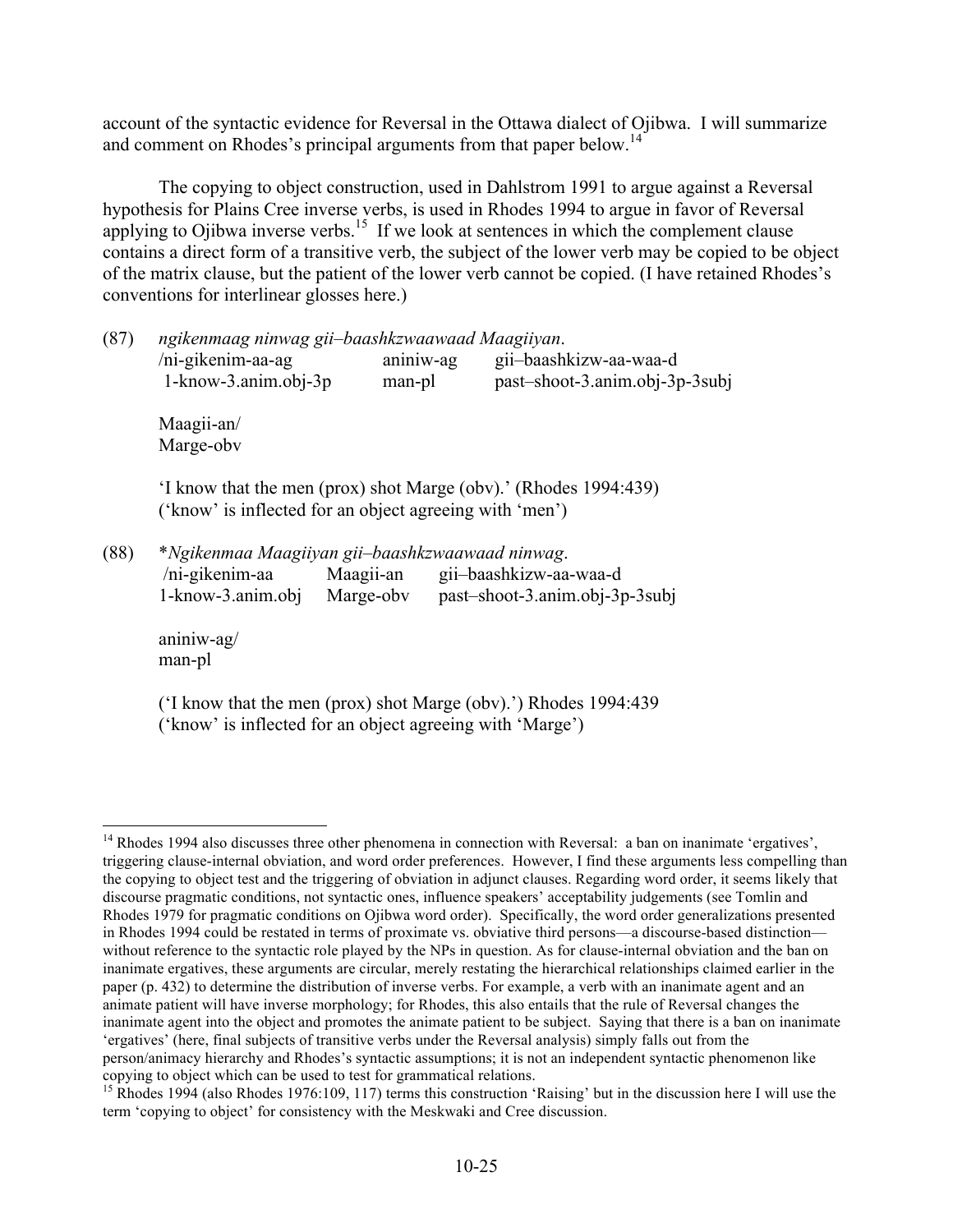account of the syntactic evidence for Reversal in the Ottawa dialect of Ojibwa. I will summarize and comment on Rhodes's principal arguments from that paper below.<sup>14</sup>

The copying to object construction, used in Dahlstrom 1991 to argue against a Reversal hypothesis for Plains Cree inverse verbs, is used in Rhodes 1994 to argue in favor of Reversal applying to Ojibwa inverse verbs.<sup>15</sup> If we look at sentences in which the complement clause contains a direct form of a transitive verb, the subject of the lower verb may be copied to be object of the matrix clause, but the patient of the lower verb cannot be copied. (I have retained Rhodes's conventions for interlinear glosses here.)

| (87) | ngikenmaag ninwag gii-baashkzwaawaad Maagiiyan. |  |  |
|------|-------------------------------------------------|--|--|
|------|-------------------------------------------------|--|--|

| /ni-gikenim-aa-ag        | aniniw-ag | gii-baashkizw-aa-waa-d         |
|--------------------------|-----------|--------------------------------|
| $1 -$ know-3.anim.obj-3p | man-pl    | past-shoot-3.anim.obj-3p-3subj |

Maagii-an/ Marge-obv

'I know that the men (prox) shot Marge (obv).' (Rhodes 1994:439) ('know' is inflected for an object agreeing with 'men')

(88) \**Ngikenmaa Maagiiyan gii–baashkzwaawaad ninwag*.

| /ni-gikenim-aa        | Maagii-an | gii-baashkizw-aa-waa-d         |
|-----------------------|-----------|--------------------------------|
| $1 -$ know-3.anim.obj | Marge-oby | past-shoot-3.anim.obj-3p-3subj |

aniniw-ag/ man-pl

('I know that the men (prox) shot Marge (obv).') Rhodes 1994:439 ('know' is inflected for an object agreeing with 'Marge')

<sup>&</sup>lt;sup>14</sup> Rhodes 1994 also discusses three other phenomena in connection with Reversal: a ban on inanimate 'ergatives', triggering clause-internal obviation, and word order preferences. However, I find these arguments less compelling than the copying to object test and the triggering of obviation in adjunct clauses. Regarding word order, it seems likely that discourse pragmatic conditions, not syntactic ones, influence speakers' acceptability judgements (see Tomlin and Rhodes 1979 for pragmatic conditions on Ojibwa word order). Specifically, the word order generalizations presented in Rhodes 1994 could be restated in terms of proximate vs. obviative third persons—a discourse-based distinction without reference to the syntactic role played by the NPs in question. As for clause-internal obviation and the ban on inanimate ergatives, these arguments are circular, merely restating the hierarchical relationships claimed earlier in the paper (p. 432) to determine the distribution of inverse verbs. For example, a verb with an inanimate agent and an animate patient will have inverse morphology; for Rhodes, this also entails that the rule of Reversal changes the inanimate agent into the object and promotes the animate patient to be subject. Saying that there is a ban on inanimate 'ergatives' (here, final subjects of transitive verbs under the Reversal analysis) simply falls out from the person/animacy hierarchy and Rhodes's syntactic assumptions; it is not an independent syntactic phenomenon like

copying to object which can be used to test for grammatical relations. <sup>15</sup> Rhodes 1994 (also Rhodes 1976:109, 117) terms this construction 'Raising' but in the discussion here I will use the term 'copying to object' for consistency with the Meskwaki and Cree discussion.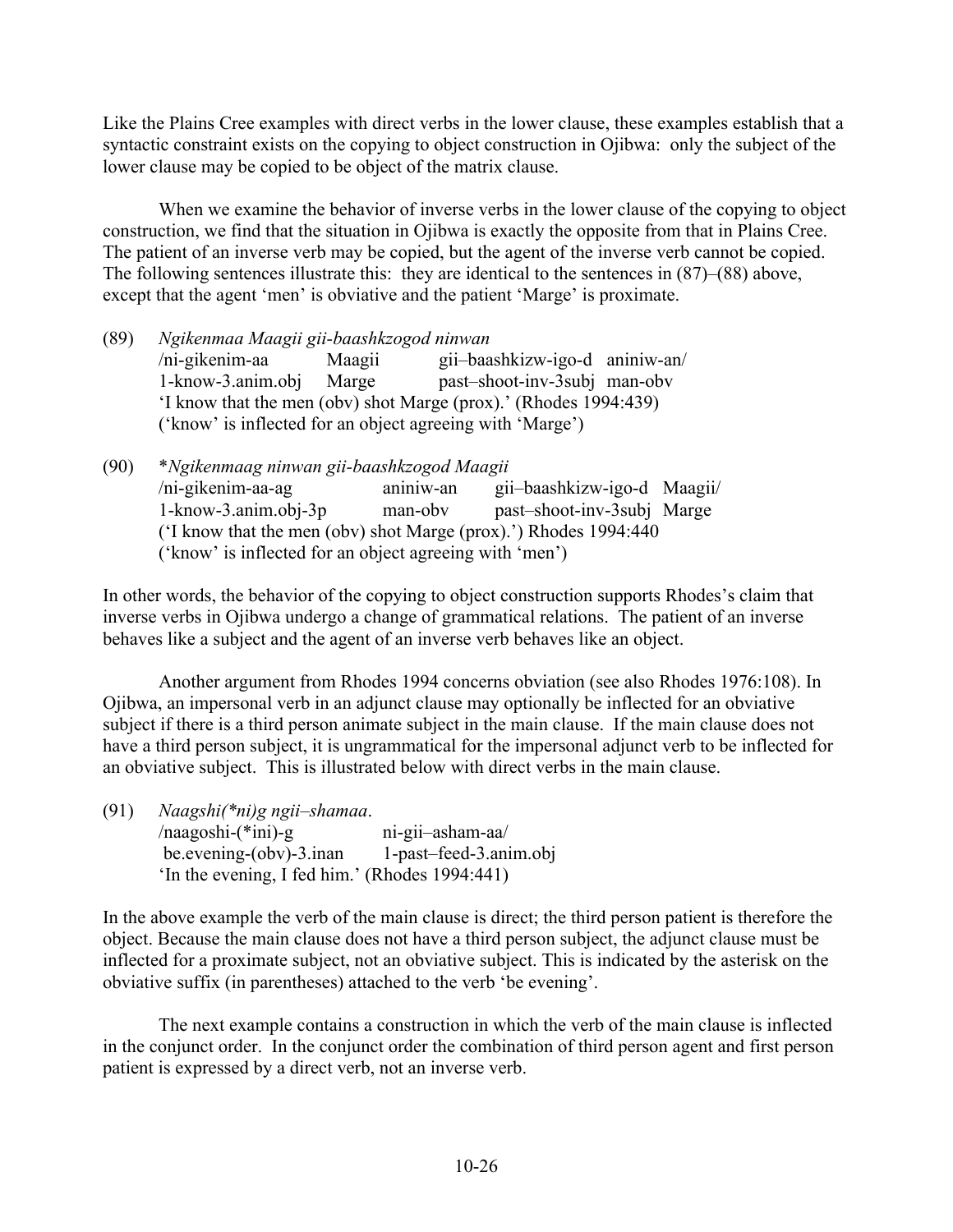Like the Plains Cree examples with direct verbs in the lower clause, these examples establish that a syntactic constraint exists on the copying to object construction in Ojibwa: only the subject of the lower clause may be copied to be object of the matrix clause.

When we examine the behavior of inverse verbs in the lower clause of the copying to object construction, we find that the situation in Ojibwa is exactly the opposite from that in Plains Cree. The patient of an inverse verb may be copied, but the agent of the inverse verb cannot be copied. The following sentences illustrate this: they are identical to the sentences in (87)–(88) above, except that the agent 'men' is obviative and the patient 'Marge' is proximate.

(89) *Ngikenmaa Maagii gii-baashkzogod ninwan* /ni-gikenim-aa Maagii gii–baashkizw-igo-d aniniw-an/ 1-know-3.anim.obj Marge past–shoot-inv-3subj man-obv 'I know that the men (obv) shot Marge (prox).' (Rhodes 1994:439) ('know' is inflected for an object agreeing with 'Marge')

(90) \**Ngikenmaag ninwan gii-baashkzogod Maagii* /ni-gikenim-aa-ag aniniw-an gii–baashkizw-igo-d Maagii/ 1-know-3.anim.obj-3p man-obv past–shoot-inv-3subj Marge ('I know that the men (obv) shot Marge (prox).') Rhodes 1994:440 ('know' is inflected for an object agreeing with 'men')

In other words, the behavior of the copying to object construction supports Rhodes's claim that inverse verbs in Ojibwa undergo a change of grammatical relations. The patient of an inverse behaves like a subject and the agent of an inverse verb behaves like an object.

Another argument from Rhodes 1994 concerns obviation (see also Rhodes 1976:108). In Ojibwa, an impersonal verb in an adjunct clause may optionally be inflected for an obviative subject if there is a third person animate subject in the main clause. If the main clause does not have a third person subject, it is ungrammatical for the impersonal adjunct verb to be inflected for an obviative subject. This is illustrated below with direct verbs in the main clause.

| (91) | Naagshi(*ni)g ngii-shamaa.                     |                        |
|------|------------------------------------------------|------------------------|
|      | $/naagoshi-(*ini)-g$                           | ni-gii-asham-aa/       |
|      | be.evening-(obv)-3.inan                        | 1-past-feed-3.anim.obj |
|      | 'In the evening, I fed him.' (Rhodes 1994:441) |                        |

In the above example the verb of the main clause is direct; the third person patient is therefore the object. Because the main clause does not have a third person subject, the adjunct clause must be inflected for a proximate subject, not an obviative subject. This is indicated by the asterisk on the obviative suffix (in parentheses) attached to the verb 'be evening'.

The next example contains a construction in which the verb of the main clause is inflected in the conjunct order. In the conjunct order the combination of third person agent and first person patient is expressed by a direct verb, not an inverse verb.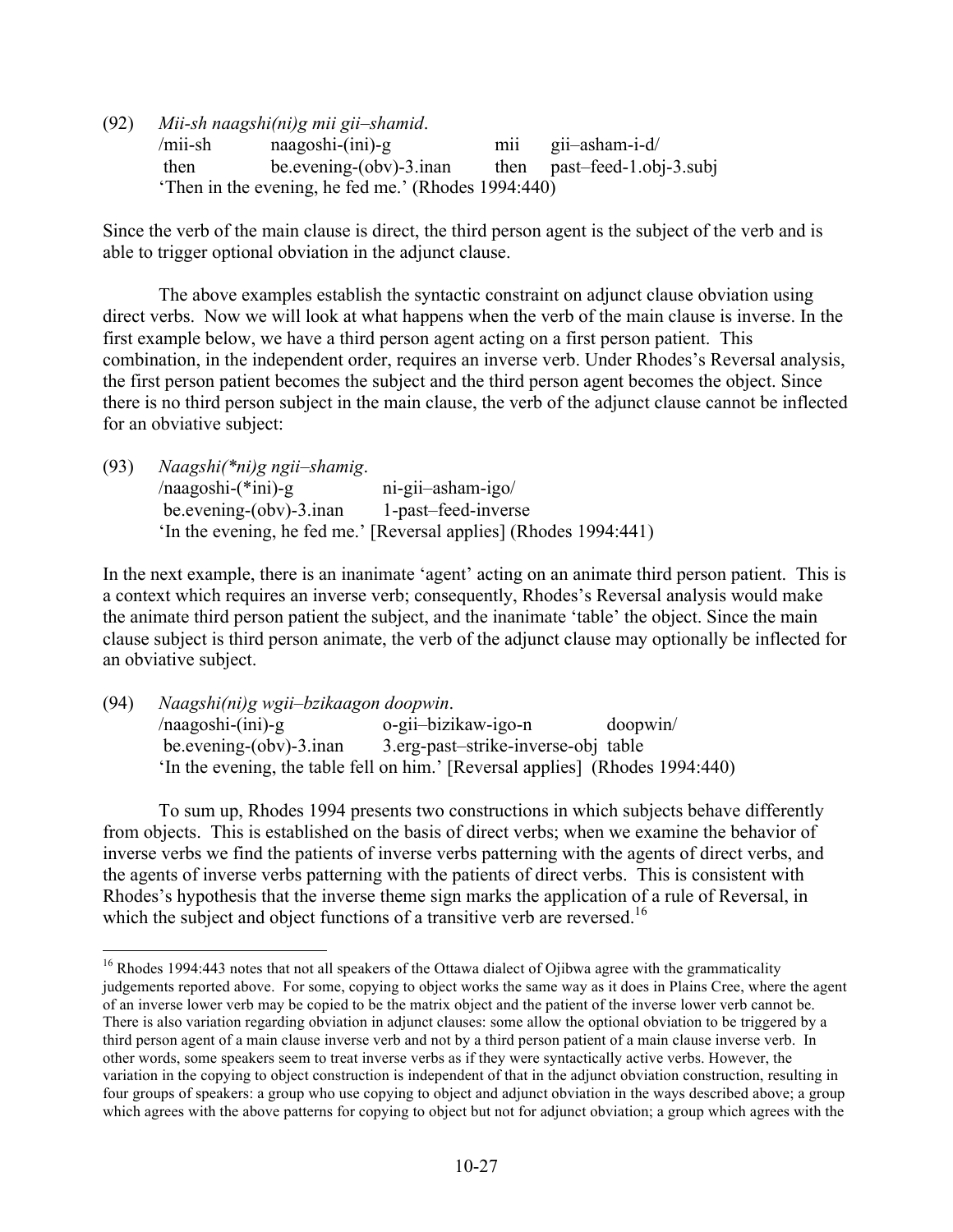(92) *Mii-sh naagshi(ni)g mii gii–shamid*. /mii-sh naagoshi-(ini)-g mii gii–asham-i-d/ then be.evening-(obv)-3.inan then past–feed-1.obj-3.subj 'Then in the evening, he fed me.' (Rhodes 1994:440)

Since the verb of the main clause is direct, the third person agent is the subject of the verb and is able to trigger optional obviation in the adjunct clause.

The above examples establish the syntactic constraint on adjunct clause obviation using direct verbs. Now we will look at what happens when the verb of the main clause is inverse. In the first example below, we have a third person agent acting on a first person patient. This combination, in the independent order, requires an inverse verb. Under Rhodes's Reversal analysis, the first person patient becomes the subject and the third person agent becomes the object. Since there is no third person subject in the main clause, the verb of the adjunct clause cannot be inflected for an obviative subject:

| (93) | $Naagshi(*ni)g ngii-shamig.$ |                                                                   |
|------|------------------------------|-------------------------------------------------------------------|
|      | $/naagoshi-(*ini)-g$         | ni-gii-asham-igo/                                                 |
|      | be.evening-(obv)-3.inan      | 1-past-feed-inverse                                               |
|      |                              | 'In the evening, he fed me.' [Reversal applies] (Rhodes 1994:441) |

In the next example, there is an inanimate 'agent' acting on an animate third person patient. This is a context which requires an inverse verb; consequently, Rhodes's Reversal analysis would make the animate third person patient the subject, and the inanimate 'table' the object. Since the main clause subject is third person animate, the verb of the adjunct clause may optionally be inflected for an obviative subject.

(94) *Naagshi(ni)g wgii–bzikaagon doopwin*. /naagoshi-(ini)-g o-gii–bizikaw-igo-n doopwin/ be.evening-(obv)-3.inan 3.erg-past–strike-inverse-obj table 'In the evening, the table fell on him.' [Reversal applies] (Rhodes 1994:440)

To sum up, Rhodes 1994 presents two constructions in which subjects behave differently from objects. This is established on the basis of direct verbs; when we examine the behavior of inverse verbs we find the patients of inverse verbs patterning with the agents of direct verbs, and the agents of inverse verbs patterning with the patients of direct verbs. This is consistent with Rhodes's hypothesis that the inverse theme sign marks the application of a rule of Reversal, in which the subject and object functions of a transitive verb are reversed.<sup>16</sup>

<sup>&</sup>lt;sup>16</sup> Rhodes 1994:443 notes that not all speakers of the Ottawa dialect of Ojibwa agree with the grammaticality judgements reported above. For some, copying to object works the same way as it does in Plains Cree, where the agent of an inverse lower verb may be copied to be the matrix object and the patient of the inverse lower verb cannot be. There is also variation regarding obviation in adjunct clauses: some allow the optional obviation to be triggered by a third person agent of a main clause inverse verb and not by a third person patient of a main clause inverse verb. In other words, some speakers seem to treat inverse verbs as if they were syntactically active verbs. However, the variation in the copying to object construction is independent of that in the adjunct obviation construction, resulting in four groups of speakers: a group who use copying to object and adjunct obviation in the ways described above; a group which agrees with the above patterns for copying to object but not for adjunct obviation; a group which agrees with the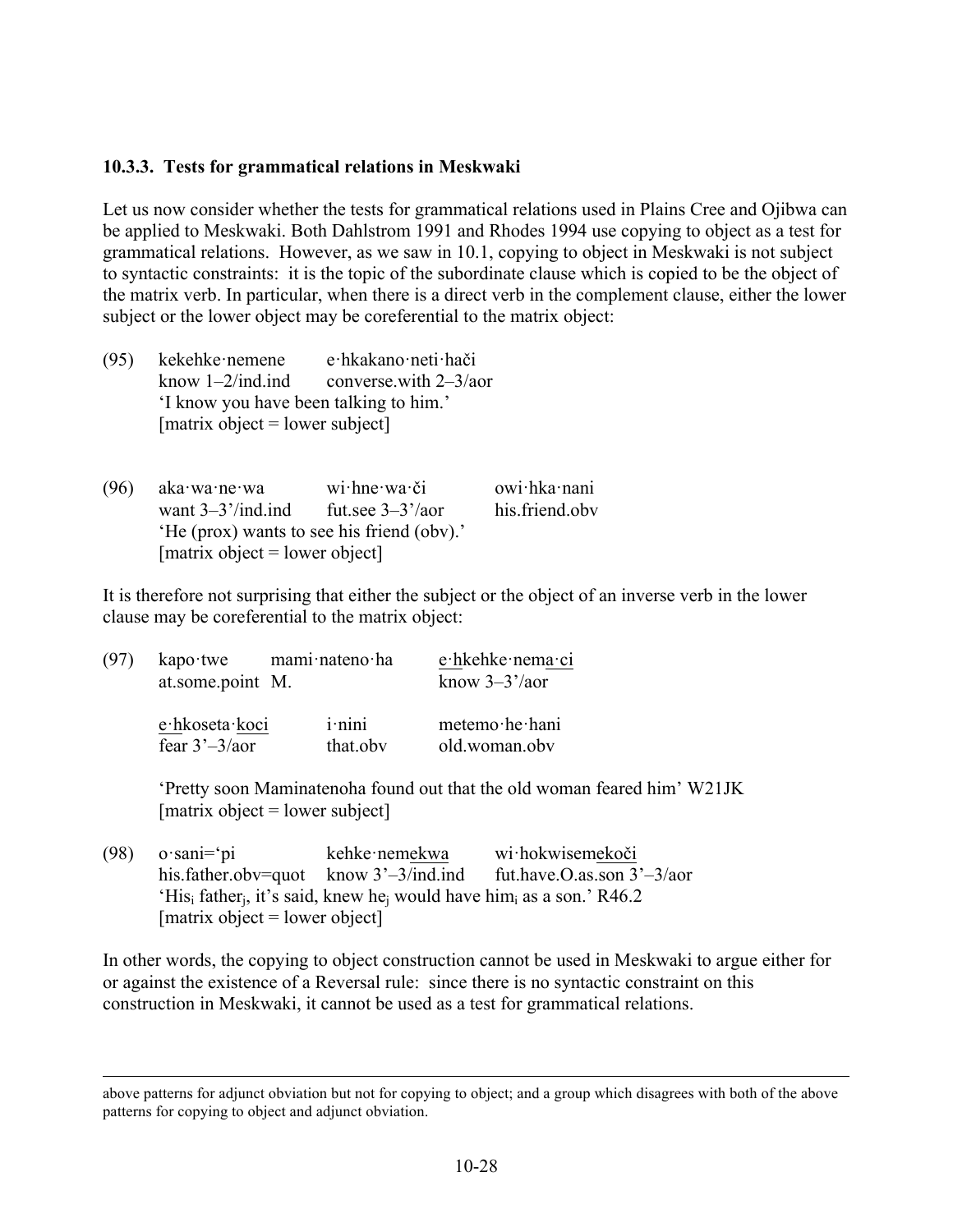#### **10.3.3. Tests for grammatical relations in Meskwaki**

Let us now consider whether the tests for grammatical relations used in Plains Cree and Ojibwa can be applied to Meskwaki. Both Dahlstrom 1991 and Rhodes 1994 use copying to object as a test for grammatical relations. However, as we saw in 10.1, copying to object in Meskwaki is not subject to syntactic constraints: it is the topic of the subordinate clause which is copied to be the object of the matrix verb. In particular, when there is a direct verb in the complement clause, either the lower subject or the lower object may be coreferential to the matrix object:

(95) kekehke·nemene e·hkakano·neti·hači know  $1-2$ /ind.ind converse.with  $2-3$ /aor 'I know you have been talking to him.'  $[matrix object = lower subject]$ 

| (96) | aka∙wa∙ne∙wa                               | $wi$ hne wa či      | owi hka nani   |
|------|--------------------------------------------|---------------------|----------------|
|      | want $3-3^{\prime}$ /ind.ind               | fut see $3-3^2/20r$ | his friend oby |
|      | 'He (prox) wants to see his friend (obv).' |                     |                |
|      | [matrix object = lower object]             |                     |                |

It is therefore not surprising that either the subject or the object of an inverse verb in the lower clause may be coreferential to the matrix object:

| (97) | $kapo$ twe<br>at.some.point M.     | mami nateno ha |                       | e hkehke nema ci<br>know $3-3^{\prime}/a$ or |  |
|------|------------------------------------|----------------|-----------------------|----------------------------------------------|--|
|      | e hkoseta koci<br>fear $3'-3/a$ or |                | $i$ ·nini<br>that.obv | metemo he hani<br>old.woman.obv              |  |

'Pretty soon Maminatenoha found out that the old woman feared him' W21JK  $[matrix object = lower subject]$ 

(98) o·sani='pi kehke·nemekwa wi·hokwisemekoči his.father.obv=quot know 3'-3/ind.ind fut.have.O.as.son 3'-3/aor 'His<sub>i</sub> father<sub>i</sub>, it's said, knew he<sub>i</sub> would have him<sub>i</sub> as a son.' R46.2  $[matrix object = lower object]$ 

In other words, the copying to object construction cannot be used in Meskwaki to argue either for or against the existence of a Reversal rule: since there is no syntactic constraint on this construction in Meskwaki, it cannot be used as a test for grammatical relations.

above patterns for adjunct obviation but not for copying to object; and a group which disagrees with both of the above patterns for copying to object and adjunct obviation.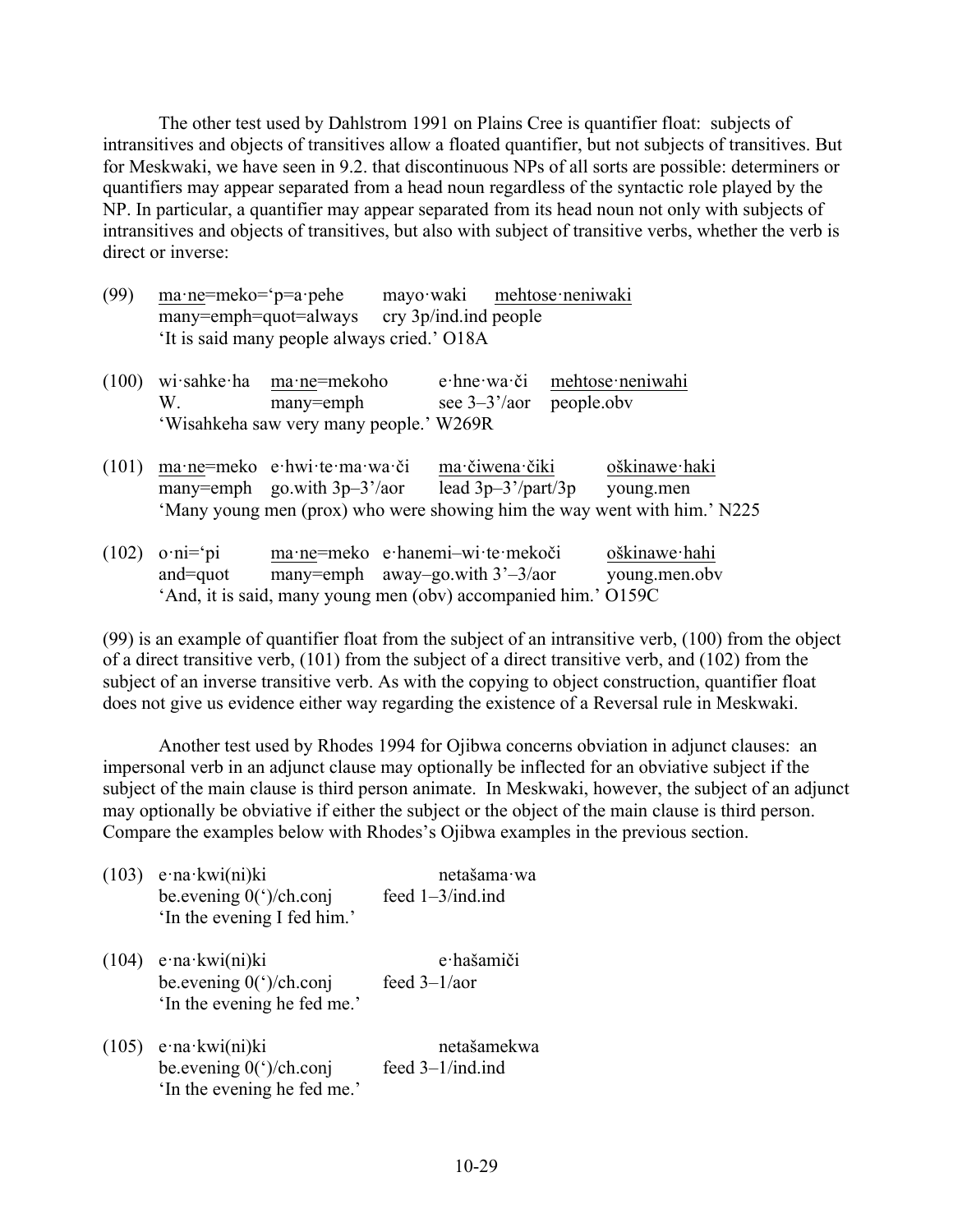The other test used by Dahlstrom 1991 on Plains Cree is quantifier float: subjects of intransitives and objects of transitives allow a floated quantifier, but not subjects of transitives. But for Meskwaki, we have seen in 9.2. that discontinuous NPs of all sorts are possible: determiners or quantifiers may appear separated from a head noun regardless of the syntactic role played by the NP. In particular, a quantifier may appear separated from its head noun not only with subjects of intransitives and objects of transitives, but also with subject of transitive verbs, whether the verb is direct or inverse:

| (99) | $ma$ ne=meko= $'p=a$ pehe                   |  | mayo waki mehtose neniwaki |  |  |
|------|---------------------------------------------|--|----------------------------|--|--|
|      | many=emph=quot=always cry 3p/ind.ind people |  |                            |  |  |
|      | 'It is said many people always cried.' O18A |  |                            |  |  |

|                                         | $(100)$ wi sahke ha ma ne=mekoho              |  | e hne wa či mehtose neniwahi |
|-----------------------------------------|-----------------------------------------------|--|------------------------------|
|                                         | W. many=emph see $3-3'/\text{aor}$ people.obv |  |                              |
| 'Wisahkeha saw very many people.' W269R |                                               |  |                              |

|  | (101) ma ne=meko e hwi te ma wa či ma čiwena čiki |                                                                          | oškinawe haki |
|--|---------------------------------------------------|--------------------------------------------------------------------------|---------------|
|  | many=emph go.with $3p-3'/a$ or                    | lead $3p-3'/part/3p$ young.men                                           |               |
|  |                                                   | 'Many young men (prox) who were showing him the way went with him.' N225 |               |

| $(102)$ o·ni= $\gamma$ pi | ma ne=meko e hanemi-wi te mekoči                               | oškinawe hahi |
|---------------------------|----------------------------------------------------------------|---------------|
| and=quot                  | many=emph away-go.with $3'-3/a$ or                             | young.men.obv |
|                           | 'And, it is said, many young men (obv) accompanied him.' O159C |               |

(99) is an example of quantifier float from the subject of an intransitive verb, (100) from the object of a direct transitive verb, (101) from the subject of a direct transitive verb, and (102) from the subject of an inverse transitive verb. As with the copying to object construction, quantifier float does not give us evidence either way regarding the existence of a Reversal rule in Meskwaki.

Another test used by Rhodes 1994 for Ojibwa concerns obviation in adjunct clauses: an impersonal verb in an adjunct clause may optionally be inflected for an obviative subject if the subject of the main clause is third person animate. In Meskwaki, however, the subject of an adjunct may optionally be obviative if either the subject or the object of the main clause is third person. Compare the examples below with Rhodes's Ojibwa examples in the previous section.

| (103) | $e$ ·na·kwi(ni)ki<br>be.evening 0(')/ch.conj<br>'In the evening I fed him.'    | netašama wa<br>feed 1-3/ind.ind |
|-------|--------------------------------------------------------------------------------|---------------------------------|
| (104) | $e$ ·na·kwi(ni)ki<br>be.evening $0$ (')/ch.conj<br>'In the evening he fed me.' | e hašamiči<br>feed $3-1/a$ or   |
| (105) | $e$ ·na·kwi(ni)ki<br>be.evening $0$ (')/ch.conj<br>'In the evening he fed me.' | netašamekwa<br>feed 3-1/ind.ind |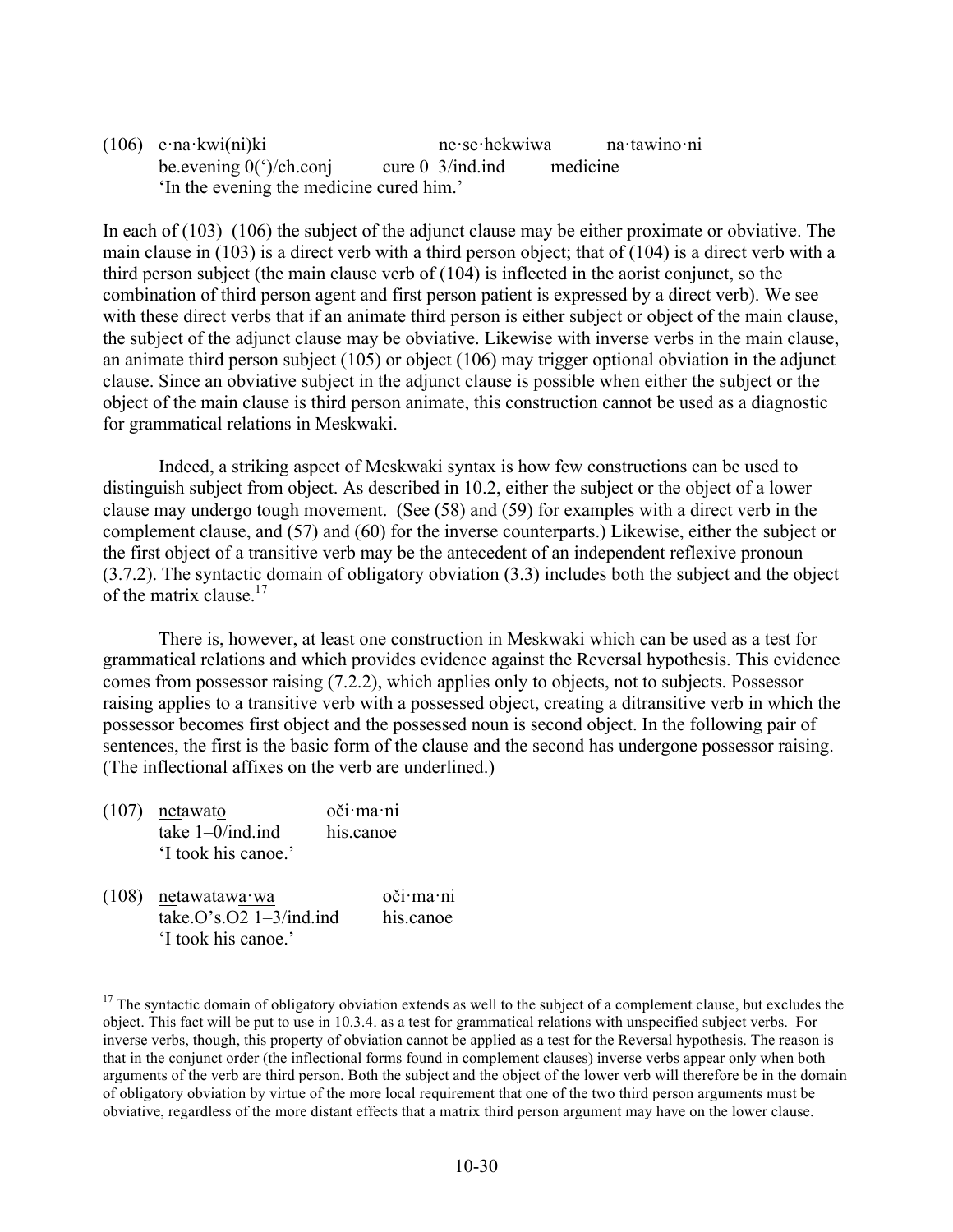(106) e·na·kwi(ni)ki ne·se·hekwiwa na·tawino·ni be.evening  $0$ (')/ch.conj cure 0–3/ind.ind medicine 'In the evening the medicine cured him.'

In each of (103)–(106) the subject of the adjunct clause may be either proximate or obviative. The main clause in (103) is a direct verb with a third person object; that of (104) is a direct verb with a third person subject (the main clause verb of (104) is inflected in the aorist conjunct, so the combination of third person agent and first person patient is expressed by a direct verb). We see with these direct verbs that if an animate third person is either subject or object of the main clause, the subject of the adjunct clause may be obviative. Likewise with inverse verbs in the main clause, an animate third person subject (105) or object (106) may trigger optional obviation in the adjunct clause. Since an obviative subject in the adjunct clause is possible when either the subject or the object of the main clause is third person animate, this construction cannot be used as a diagnostic for grammatical relations in Meskwaki.

Indeed, a striking aspect of Meskwaki syntax is how few constructions can be used to distinguish subject from object. As described in 10.2, either the subject or the object of a lower clause may undergo tough movement. (See (58) and (59) for examples with a direct verb in the complement clause, and (57) and (60) for the inverse counterparts.) Likewise, either the subject or the first object of a transitive verb may be the antecedent of an independent reflexive pronoun (3.7.2). The syntactic domain of obligatory obviation (3.3) includes both the subject and the object of the matrix clause  $17$ 

There is, however, at least one construction in Meskwaki which can be used as a test for grammatical relations and which provides evidence against the Reversal hypothesis. This evidence comes from possessor raising (7.2.2), which applies only to objects, not to subjects. Possessor raising applies to a transitive verb with a possessed object, creating a ditransitive verb in which the possessor becomes first object and the possessed noun is second object. In the following pair of sentences, the first is the basic form of the clause and the second has undergone possessor raising. (The inflectional affixes on the verb are underlined.)

| $(107)$ netawato    | oči ma ni |
|---------------------|-----------|
| take $1-0$ /ind.ind | his canoe |
| 'I took his canoe.' |           |

(108) netawatawa·wa oči·ma·ni  $take. O's. O2 1-3/ind.$ ind his.canoe 'I took his canoe.'

 $17$  The syntactic domain of obligatory obviation extends as well to the subject of a complement clause, but excludes the object. This fact will be put to use in 10.3.4. as a test for grammatical relations with unspecified subject verbs. For inverse verbs, though, this property of obviation cannot be applied as a test for the Reversal hypothesis. The reason is that in the conjunct order (the inflectional forms found in complement clauses) inverse verbs appear only when both arguments of the verb are third person. Both the subject and the object of the lower verb will therefore be in the domain of obligatory obviation by virtue of the more local requirement that one of the two third person arguments must be obviative, regardless of the more distant effects that a matrix third person argument may have on the lower clause.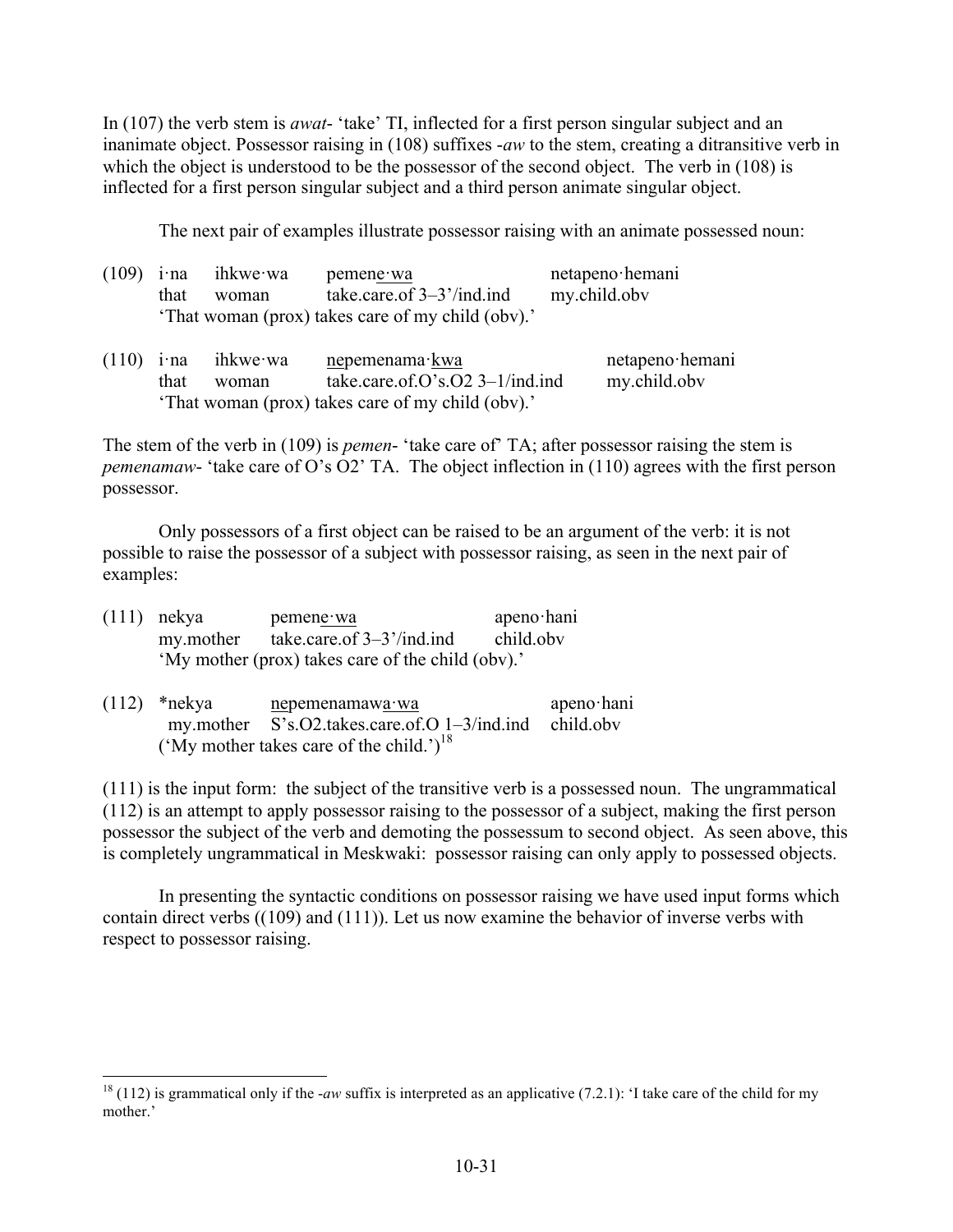In (107) the verb stem is *awat*- 'take' TI, inflected for a first person singular subject and an inanimate object. Possessor raising in (108) suffixes -*aw* to the stem, creating a ditransitive verb in which the object is understood to be the possessor of the second object. The verb in (108) is inflected for a first person singular subject and a third person animate singular object.

The next pair of examples illustrate possessor raising with an animate possessed noun:

| (109) | $1$ ·na<br>that | ihkwe∙wa<br>woman | pemene wa<br>take.care.of $3-3$ '/ind.ind<br>'That woman (prox) takes care of my child (obv).'            | netapeno hemani<br>my.child.obv |                                 |
|-------|-----------------|-------------------|-----------------------------------------------------------------------------------------------------------|---------------------------------|---------------------------------|
| (110) | $1$ na<br>that  | ihkwe∙wa<br>woman | nepemenama kwa<br>take.care.of.O's.O2 $3-1/ind$ .ind<br>'That woman (prox) takes care of my child (obv).' |                                 | netapeno hemani<br>my.child.obv |

The stem of the verb in (109) is *pemen*- 'take care of' TA; after possessor raising the stem is *pemenamaw*- 'take care of O's O2' TA. The object inflection in (110) agrees with the first person possessor.

Only possessors of a first object can be raised to be an argument of the verb: it is not possible to raise the possessor of a subject with possessor raising, as seen in the next pair of examples:

| $(111)$ nekya | pemene wa                                         | apeno hani |
|---------------|---------------------------------------------------|------------|
| my.mother     | take.care.of $3-3$ '/ind.ind                      | child.obv  |
|               | 'My mother (prox) takes care of the child (obv).' |            |

| $(112)$ *nekya | nepemenamawa wa                                        | apeno hani |
|----------------|--------------------------------------------------------|------------|
|                | my.mother S's.O2.takes.care.of.O 1-3/ind.ind child.obv |            |
|                | ('My mother takes care of the child.') <sup>18</sup>   |            |

(111) is the input form: the subject of the transitive verb is a possessed noun. The ungrammatical (112) is an attempt to apply possessor raising to the possessor of a subject, making the first person possessor the subject of the verb and demoting the possessum to second object. As seen above, this is completely ungrammatical in Meskwaki: possessor raising can only apply to possessed objects.

In presenting the syntactic conditions on possessor raising we have used input forms which contain direct verbs ((109) and (111)). Let us now examine the behavior of inverse verbs with respect to possessor raising.

<sup>&</sup>lt;sup>18</sup> (112) is grammatical only if the *-aw* suffix is interpreted as an applicative (7.2.1): 'I take care of the child for my mother<sup>'</sup>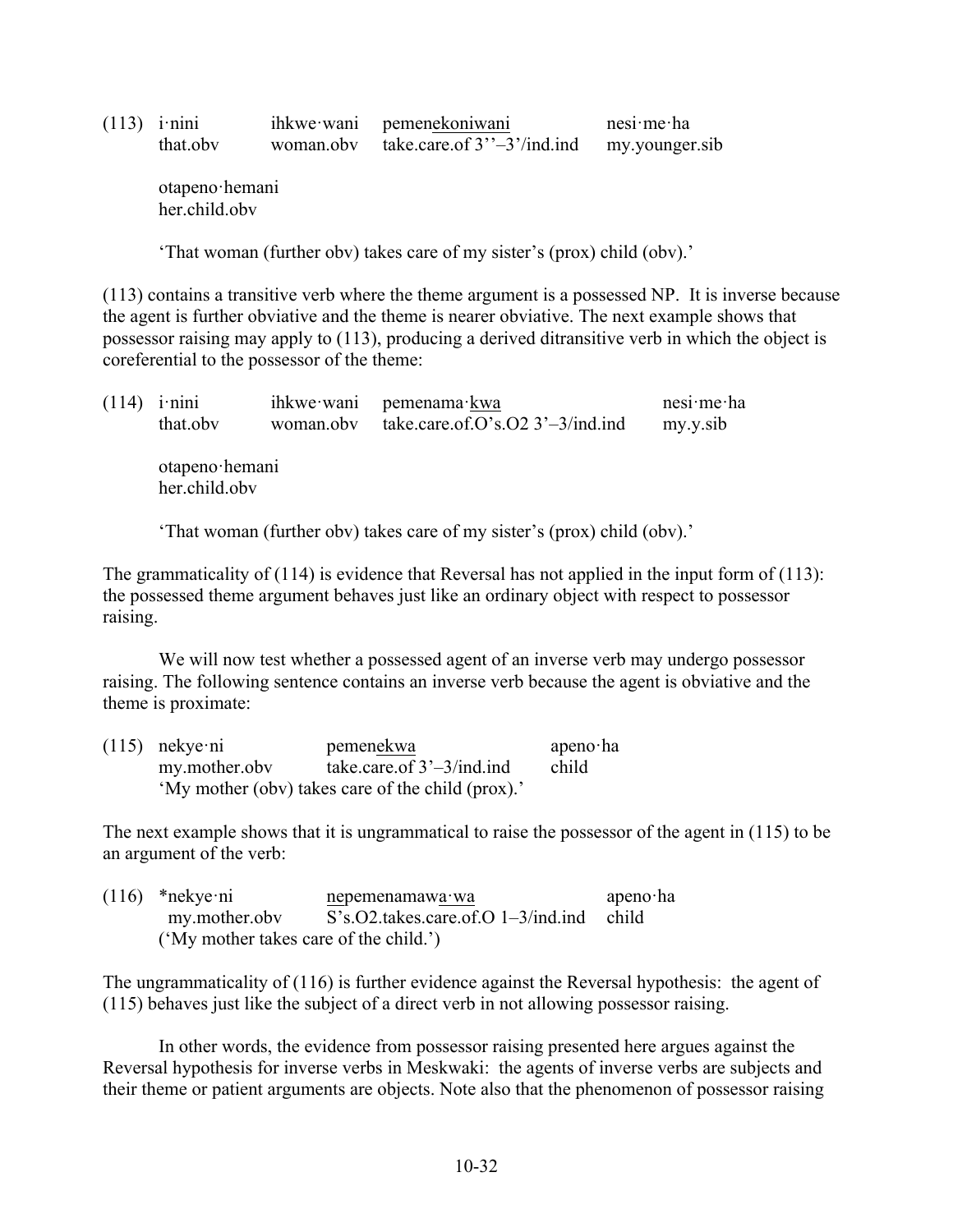| $(113)$ i·nini | ihkwe wani pemenekoniwani                | $nesi$ me ha   |
|----------------|------------------------------------------|----------------|
| that.oby       | woman.obv take.care.of $3''-3'$ /ind.ind | my.younger.sib |

otapeno·hemani her.child.obv

'That woman (further obv) takes care of my sister's (prox) child (obv).'

(113) contains a transitive verb where the theme argument is a possessed NP. It is inverse because the agent is further obviative and the theme is nearer obviative. The next example shows that possessor raising may apply to (113), producing a derived ditransitive verb in which the object is coreferential to the possessor of the theme:

| (114) | $1$ nini<br>that.obv            | ihkwe wani<br>woman.obv | pemenama kwa<br>take.care.of.O's.O2 $3'-3/ind$ .ind                                                             | nesi me ha<br>my.y.sib |
|-------|---------------------------------|-------------------------|-----------------------------------------------------------------------------------------------------------------|------------------------|
|       | otapeno hemani<br>her.child.obv |                         |                                                                                                                 |                        |
|       |                                 |                         | 'That woman (further obv) takes care of my sister's (prox) child (obv).'                                        |                        |
|       |                                 |                         | The grammaticality of $(114)$ is evidence that $\mathbf{D}$ evergel has not applied in the input form of $\ell$ |                        |

The grammaticality of (114) is evidence that Reversal has not applied in the input form of (113): the possessed theme argument behaves just like an ordinary object with respect to possessor raising.

We will now test whether a possessed agent of an inverse verb may undergo possessor raising. The following sentence contains an inverse verb because the agent is obviative and the theme is proximate:

| $(115)$ nekye ni | pemenekwa                                         | apeno $\cdot$ ha |
|------------------|---------------------------------------------------|------------------|
| my.mother.obv    | take.care.of $3'-3/ind$ .ind                      | child            |
|                  | 'My mother (obv) takes care of the child (prox).' |                  |

The next example shows that it is ungrammatical to raise the possessor of the agent in (115) to be an argument of the verb:

| $(116)$ *nekye·ni                      | nepemenamawa wa                                       | apeno $\cdot$ ha |
|----------------------------------------|-------------------------------------------------------|------------------|
| my.mother.obv                          | $S's. O2$ takes care of $O \frac{1-3}{ind}$ ind child |                  |
| ('My mother takes care of the child.') |                                                       |                  |

The ungrammaticality of (116) is further evidence against the Reversal hypothesis: the agent of (115) behaves just like the subject of a direct verb in not allowing possessor raising.

In other words, the evidence from possessor raising presented here argues against the Reversal hypothesis for inverse verbs in Meskwaki: the agents of inverse verbs are subjects and their theme or patient arguments are objects. Note also that the phenomenon of possessor raising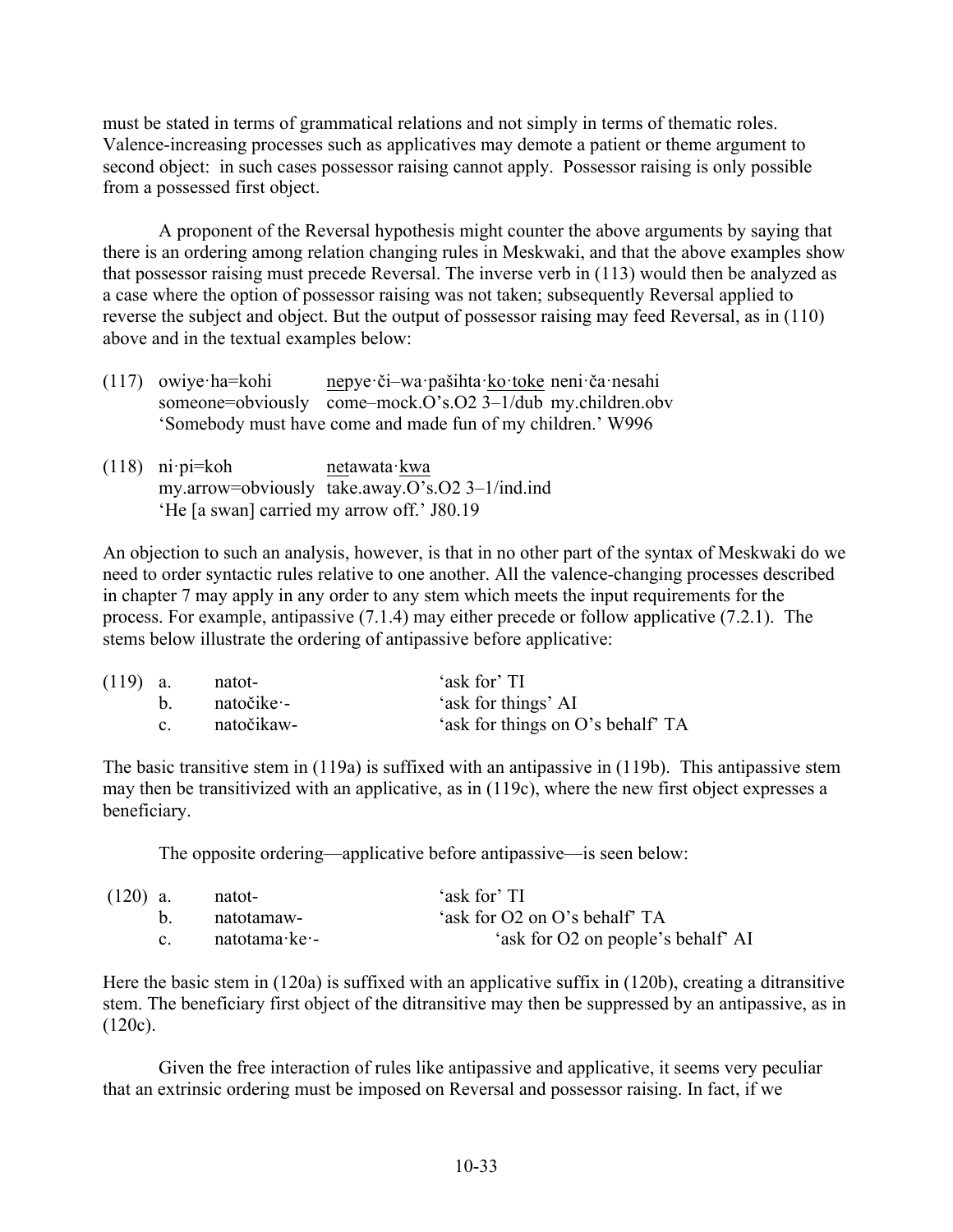must be stated in terms of grammatical relations and not simply in terms of thematic roles. Valence-increasing processes such as applicatives may demote a patient or theme argument to second object: in such cases possessor raising cannot apply. Possessor raising is only possible from a possessed first object.

A proponent of the Reversal hypothesis might counter the above arguments by saying that there is an ordering among relation changing rules in Meskwaki, and that the above examples show that possessor raising must precede Reversal. The inverse verb in (113) would then be analyzed as a case where the option of possessor raising was not taken; subsequently Reversal applied to reverse the subject and object. But the output of possessor raising may feed Reversal, as in (110) above and in the textual examples below:

- (117) owiye·ha=kohi nepye·či–wa·pašihta·ko·toke neni·ča·nesahi someone=obviously come-mock.O's.O2 3-1/dub my.children.obv 'Somebody must have come and made fun of my children.' W996
- (118) ni·pi=koh netawata·kwa my.arrow=obviously  $\overline{\text{take.away.}O's.O2}$  3–1/ind.ind 'He [a swan] carried my arrow off.' J80.19

An objection to such an analysis, however, is that in no other part of the syntax of Meskwaki do we need to order syntactic rules relative to one another. All the valence-changing processes described in chapter 7 may apply in any order to any stem which meets the input requirements for the process. For example, antipassive (7.1.4) may either precede or follow applicative (7.2.1). The stems below illustrate the ordering of antipassive before applicative:

| $(119)$ a. |             | natot-          | 'ask for' TI                      |
|------------|-------------|-----------------|-----------------------------------|
|            |             | $b.$ natočike – | 'ask for things' AI               |
|            | $c_{\cdot}$ | natočikaw-      | 'ask for things on O's behalf' TA |

The basic transitive stem in (119a) is suffixed with an antipassive in (119b). This antipassive stem may then be transitivized with an applicative, as in (119c), where the new first object expresses a beneficiary.

The opposite ordering—applicative before antipassive—is seen below:

| $(120)$ a. | natot-                        | 'ask for' TI                       |
|------------|-------------------------------|------------------------------------|
|            | - natotamaw                   | 'ask for O2 on O's behalf' TA      |
| $c -$      | natotama $\cdot$ ke $\cdot$ - | 'ask for O2 on people's behalf' AI |

Here the basic stem in (120a) is suffixed with an applicative suffix in (120b), creating a ditransitive stem. The beneficiary first object of the ditransitive may then be suppressed by an antipassive, as in  $(120c)$ .

Given the free interaction of rules like antipassive and applicative, it seems very peculiar that an extrinsic ordering must be imposed on Reversal and possessor raising. In fact, if we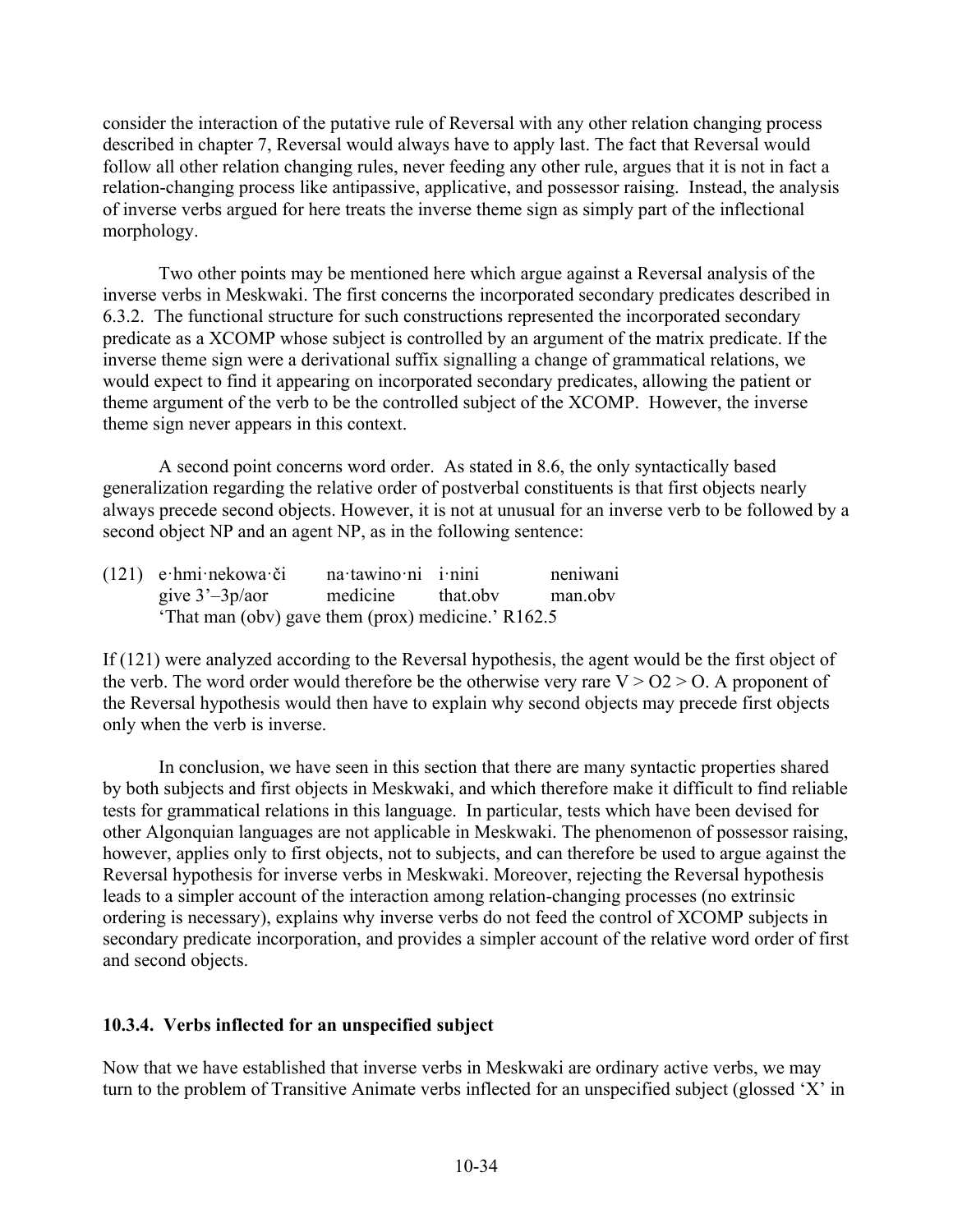consider the interaction of the putative rule of Reversal with any other relation changing process described in chapter 7, Reversal would always have to apply last. The fact that Reversal would follow all other relation changing rules, never feeding any other rule, argues that it is not in fact a relation-changing process like antipassive, applicative, and possessor raising. Instead, the analysis of inverse verbs argued for here treats the inverse theme sign as simply part of the inflectional morphology.

Two other points may be mentioned here which argue against a Reversal analysis of the inverse verbs in Meskwaki. The first concerns the incorporated secondary predicates described in 6.3.2. The functional structure for such constructions represented the incorporated secondary predicate as a XCOMP whose subject is controlled by an argument of the matrix predicate. If the inverse theme sign were a derivational suffix signalling a change of grammatical relations, we would expect to find it appearing on incorporated secondary predicates, allowing the patient or theme argument of the verb to be the controlled subject of the XCOMP. However, the inverse theme sign never appears in this context.

A second point concerns word order. As stated in 8.6, the only syntactically based generalization regarding the relative order of postverbal constituents is that first objects nearly always precede second objects. However, it is not at unusual for an inverse verb to be followed by a second object NP and an agent NP, as in the following sentence:

| $(121)$ e hmi nekowa či                            | na tawino ni i nini | neniwani |
|----------------------------------------------------|---------------------|----------|
| give $3'-3p/a$ medicine that obv                   |                     | man.obv  |
| 'That man (obv) gave them (prox) medicine.' R162.5 |                     |          |

If (121) were analyzed according to the Reversal hypothesis, the agent would be the first object of the verb. The word order would therefore be the otherwise very rare  $V > 02 > 0$ . A proponent of the Reversal hypothesis would then have to explain why second objects may precede first objects only when the verb is inverse.

In conclusion, we have seen in this section that there are many syntactic properties shared by both subjects and first objects in Meskwaki, and which therefore make it difficult to find reliable tests for grammatical relations in this language. In particular, tests which have been devised for other Algonquian languages are not applicable in Meskwaki. The phenomenon of possessor raising, however, applies only to first objects, not to subjects, and can therefore be used to argue against the Reversal hypothesis for inverse verbs in Meskwaki. Moreover, rejecting the Reversal hypothesis leads to a simpler account of the interaction among relation-changing processes (no extrinsic ordering is necessary), explains why inverse verbs do not feed the control of XCOMP subjects in secondary predicate incorporation, and provides a simpler account of the relative word order of first and second objects.

## **10.3.4. Verbs inflected for an unspecified subject**

Now that we have established that inverse verbs in Meskwaki are ordinary active verbs, we may turn to the problem of Transitive Animate verbs inflected for an unspecified subject (glossed 'X' in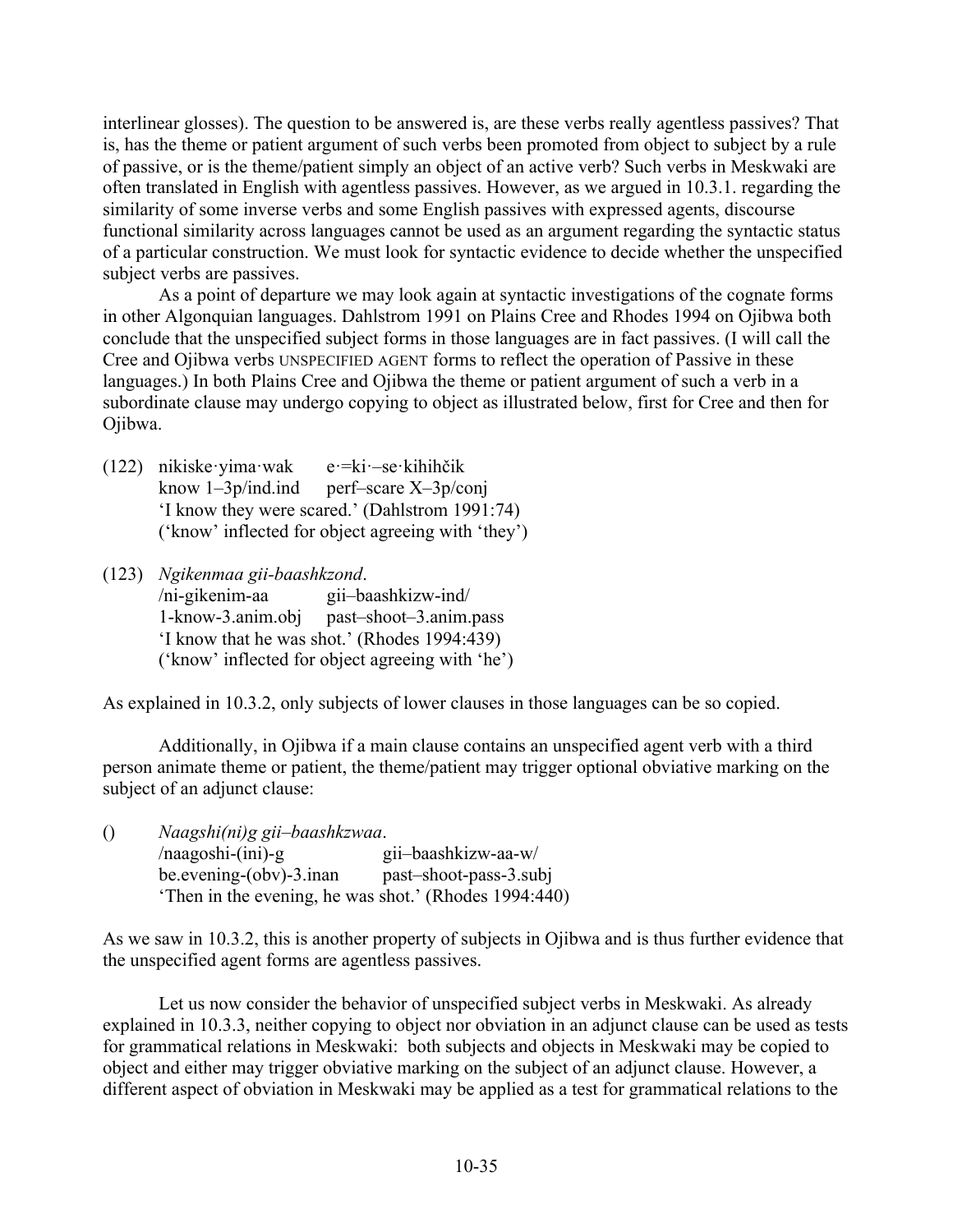interlinear glosses). The question to be answered is, are these verbs really agentless passives? That is, has the theme or patient argument of such verbs been promoted from object to subject by a rule of passive, or is the theme/patient simply an object of an active verb? Such verbs in Meskwaki are often translated in English with agentless passives. However, as we argued in 10.3.1. regarding the similarity of some inverse verbs and some English passives with expressed agents, discourse functional similarity across languages cannot be used as an argument regarding the syntactic status of a particular construction. We must look for syntactic evidence to decide whether the unspecified subject verbs are passives.

As a point of departure we may look again at syntactic investigations of the cognate forms in other Algonquian languages. Dahlstrom 1991 on Plains Cree and Rhodes 1994 on Ojibwa both conclude that the unspecified subject forms in those languages are in fact passives. (I will call the Cree and Ojibwa verbs UNSPECIFIED AGENT forms to reflect the operation of Passive in these languages.) In both Plains Cree and Ojibwa the theme or patient argument of such a verb in a subordinate clause may undergo copying to object as illustrated below, first for Cree and then for Ojibwa.

- (122) nikiske·yima·wak e·=ki·-se·kihihčik know  $1-3p/ind$ .ind perf–scare  $X-3p/conj$ 'I know they were scared.' (Dahlstrom 1991:74) ('know' inflected for object agreeing with 'they')
- (123) *Ngikenmaa gii-baashkzond*. /ni-gikenim-aa gii–baashkizw-ind/ 1-know-3.anim.obj past–shoot–3.anim.pass 'I know that he was shot.' (Rhodes 1994:439) ('know' inflected for object agreeing with 'he')

As explained in 10.3.2, only subjects of lower clauses in those languages can be so copied.

Additionally, in Ojibwa if a main clause contains an unspecified agent verb with a third person animate theme or patient, the theme/patient may trigger optional obviative marking on the subject of an adjunct clause:

() *Naagshi(ni)g gii–baashkzwaa*. /naagoshi-(ini)-g gii–baashkizw-aa-w/ be.evening-(obv)-3.inan past–shoot-pass-3.subj 'Then in the evening, he was shot.' (Rhodes 1994:440)

As we saw in 10.3.2, this is another property of subjects in Ojibwa and is thus further evidence that the unspecified agent forms are agentless passives.

Let us now consider the behavior of unspecified subject verbs in Meskwaki. As already explained in 10.3.3, neither copying to object nor obviation in an adjunct clause can be used as tests for grammatical relations in Meskwaki: both subjects and objects in Meskwaki may be copied to object and either may trigger obviative marking on the subject of an adjunct clause. However, a different aspect of obviation in Meskwaki may be applied as a test for grammatical relations to the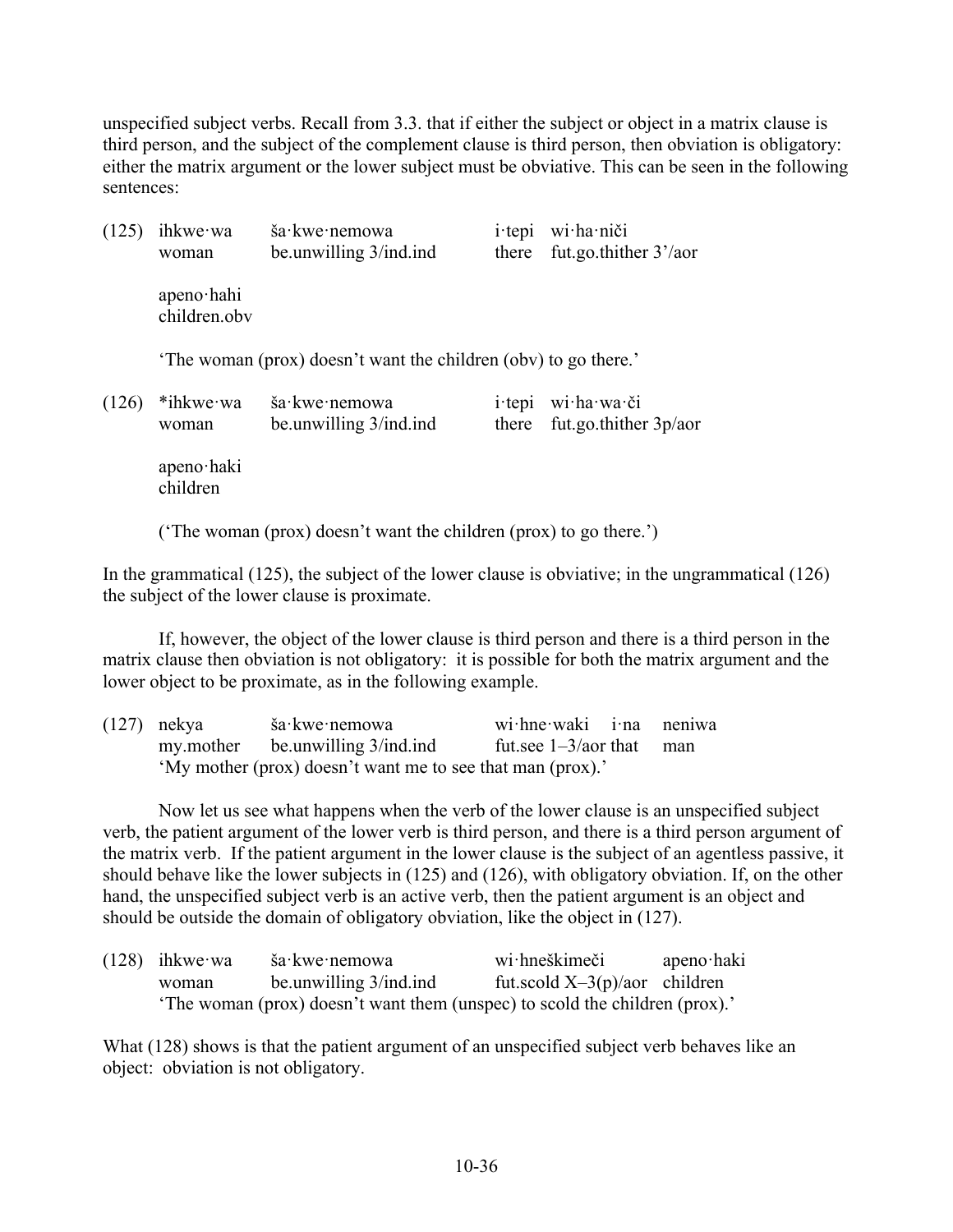unspecified subject verbs. Recall from 3.3. that if either the subject or object in a matrix clause is third person, and the subject of the complement clause is third person, then obviation is obligatory: either the matrix argument or the lower subject must be obviative. This can be seen in the following sentences:

| (125) | ihkwe wa<br>woman                                                  | ša·kwe·nemowa<br>be unwilling 3/ind ind                       | $i$ tepi<br>there | wi ha niči<br>fut.go.thither $3'/a$ or |
|-------|--------------------------------------------------------------------|---------------------------------------------------------------|-------------------|----------------------------------------|
|       | apeno hahi<br>children.obv                                         |                                                               |                   |                                        |
|       |                                                                    | The woman (prox) doesn't want the children (obv) to go there. |                   |                                        |
| (126) | *ihkwe wa<br>woman                                                 | ša kwe nemowa<br>be unwilling $3/ind$ ind                     | $i$ tepi<br>there | wi ha wa či<br>fut.go.thither $3p/a$   |
|       | apeno haki<br>children                                             |                                                               |                   |                                        |
|       | ('The woman (prox) doesn't want the children (prox) to go there.') |                                                               |                   |                                        |

In the grammatical (125), the subject of the lower clause is obviative; in the ungrammatical (126) the subject of the lower clause is proximate.

If, however, the object of the lower clause is third person and there is a third person in the matrix clause then obviation is not obligatory: it is possible for both the matrix argument and the lower object to be proximate, as in the following example.

| $(127)$ nekya | ša∙kwe∙nemowa                                              | wi hne waki i na neniwa     |  |
|---------------|------------------------------------------------------------|-----------------------------|--|
|               | my.mother be.unwilling 3/ind.ind                           | fut.see $1-3/a$ or that man |  |
|               | 'My mother (prox) doesn't want me to see that man (prox).' |                             |  |

Now let us see what happens when the verb of the lower clause is an unspecified subject verb, the patient argument of the lower verb is third person, and there is a third person argument of the matrix verb. If the patient argument in the lower clause is the subject of an agentless passive, it should behave like the lower subjects in (125) and (126), with obligatory obviation. If, on the other hand, the unspecified subject verb is an active verb, then the patient argument is an object and should be outside the domain of obligatory obviation, like the object in (127).

| $(128)$ ihkwe wa | ša kwe nemowa                                                              | wi·hneškimeči                    | apeno haki |
|------------------|----------------------------------------------------------------------------|----------------------------------|------------|
| woman            | be unwilling 3/ind ind                                                     | fut.scold $X-3(p)/a$ or children |            |
|                  | The woman (prox) doesn't want them (unspec) to scold the children (prox).' |                                  |            |

What (128) shows is that the patient argument of an unspecified subject verb behaves like an object: obviation is not obligatory.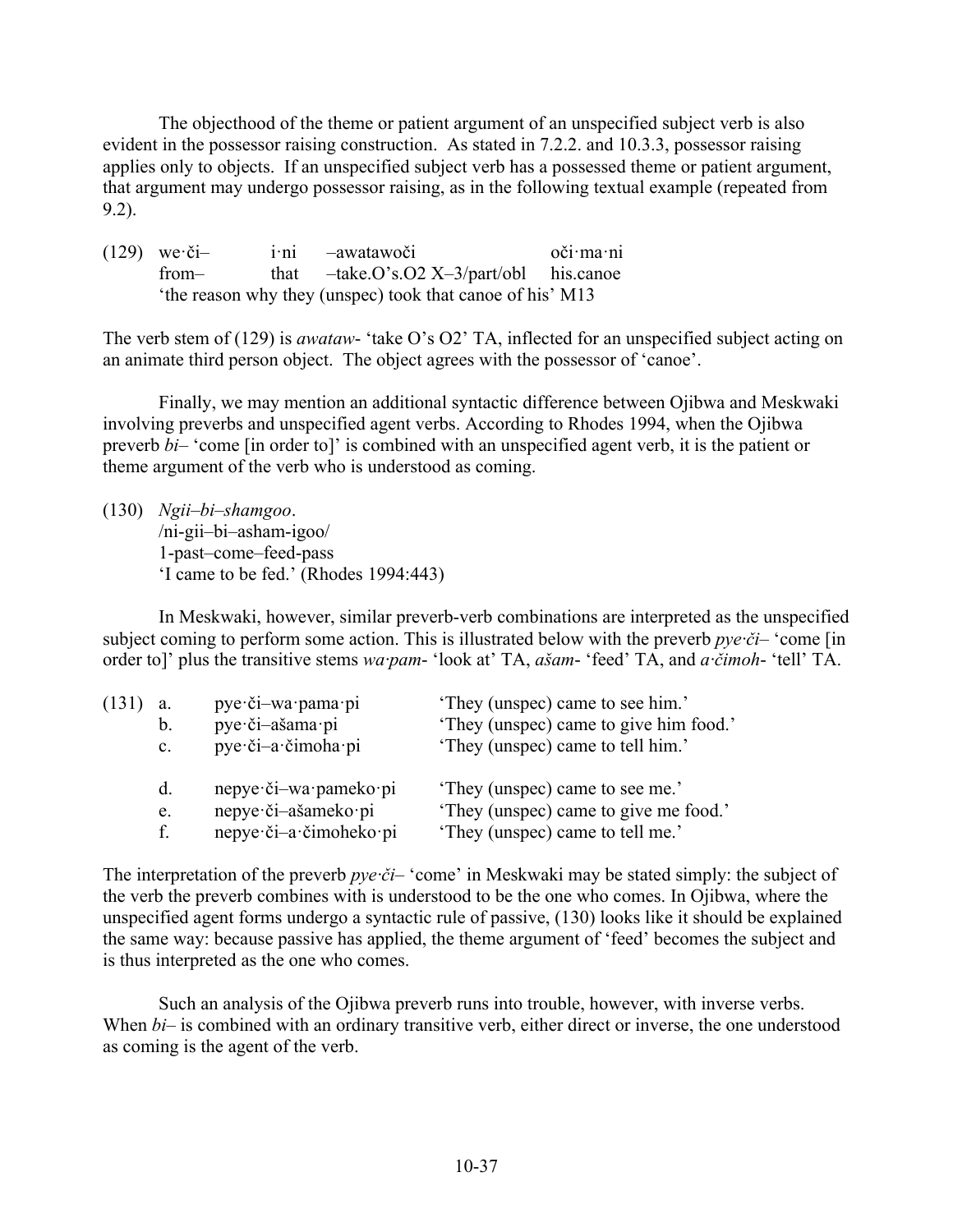The objecthood of the theme or patient argument of an unspecified subject verb is also evident in the possessor raising construction. As stated in 7.2.2. and 10.3.3, possessor raising applies only to objects. If an unspecified subject verb has a possessed theme or patient argument, that argument may undergo possessor raising, as in the following textual example (repeated from 9.2).

(129) we·či– i·ni –awatawoči oči·ma·ni from– that –take.O's.O2 X–3/part/obl his.canoe 'the reason why they (unspec) took that canoe of his' M13

The verb stem of (129) is *awataw*- 'take O's O2' TA, inflected for an unspecified subject acting on an animate third person object. The object agrees with the possessor of 'canoe'.

Finally, we may mention an additional syntactic difference between Ojibwa and Meskwaki involving preverbs and unspecified agent verbs. According to Rhodes 1994, when the Ojibwa preverb *bi*– 'come [in order to]' is combined with an unspecified agent verb, it is the patient or theme argument of the verb who is understood as coming.

(130) *Ngii–bi–shamgoo*. /ni-gii–bi–asham-igoo/ 1-past–come–feed-pass 'I came to be fed.' (Rhodes 1994:443)

In Meskwaki, however, similar preverb-verb combinations are interpreted as the unspecified subject coming to perform some action. This is illustrated below with the preverb  $pye·\tilde{c}i-$  'come [in] order to]' plus the transitive stems *wa·pam*- 'look at' TA, *ašam*- 'feed' TA, and *a·čimoh*- 'tell' TA.

| (131) | a.             | pye či-wa pama pi      | 'They (unspec) came to see him.'       |
|-------|----------------|------------------------|----------------------------------------|
|       | $\mathbf b$ .  | pye či-ašama pi        | 'They (unspec) came to give him food.' |
|       | $\mathbf{c}$ . | pye·či-a·čimoha·pi     | 'They (unspec) came to tell him.'      |
|       | d.             | nepye či-wa pameko pi  | 'They (unspec) came to see me.'        |
|       | e.             | nepye či-ašameko pi    | 'They (unspec) came to give me food.'  |
|       | f.             | nepye či-a čimoheko pi | 'They (unspec) came to tell me.'       |

The interpretation of the preverb *pye·či*– 'come' in Meskwaki may be stated simply: the subject of the verb the preverb combines with is understood to be the one who comes. In Ojibwa, where the unspecified agent forms undergo a syntactic rule of passive, (130) looks like it should be explained the same way: because passive has applied, the theme argument of 'feed' becomes the subject and is thus interpreted as the one who comes.

Such an analysis of the Ojibwa preverb runs into trouble, however, with inverse verbs. When *bi*– is combined with an ordinary transitive verb, either direct or inverse, the one understood as coming is the agent of the verb.